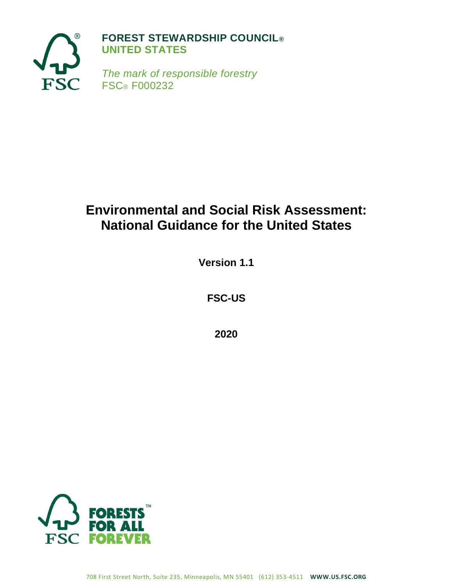

# **Environmental and Social Risk Assessment: National Guidance for the United States**

**Version 1.1**

**FSC-US**

**2020**

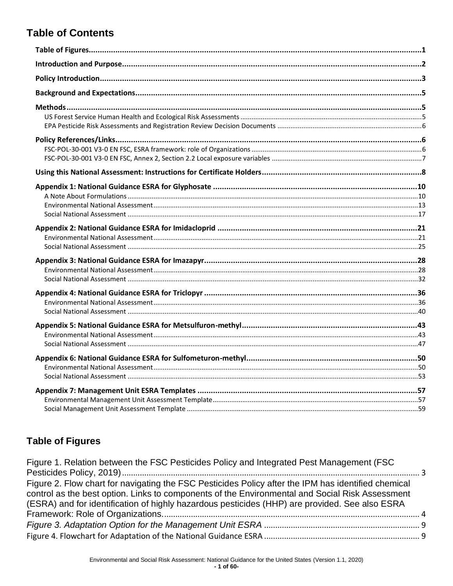## **Table of Contents**

## <span id="page-1-0"></span>**Table of Figures**

| Figure 1. Relation between the FSC Pesticides Policy and Integrated Pest Management (FSC            |  |
|-----------------------------------------------------------------------------------------------------|--|
|                                                                                                     |  |
| Figure 2. Flow chart for navigating the FSC Pesticides Policy after the IPM has identified chemical |  |
| control as the best option. Links to components of the Environmental and Social Risk Assessment     |  |
| (ESRA) and for identification of highly hazardous pesticides (HHP) are provided. See also ESRA      |  |
|                                                                                                     |  |
|                                                                                                     |  |
|                                                                                                     |  |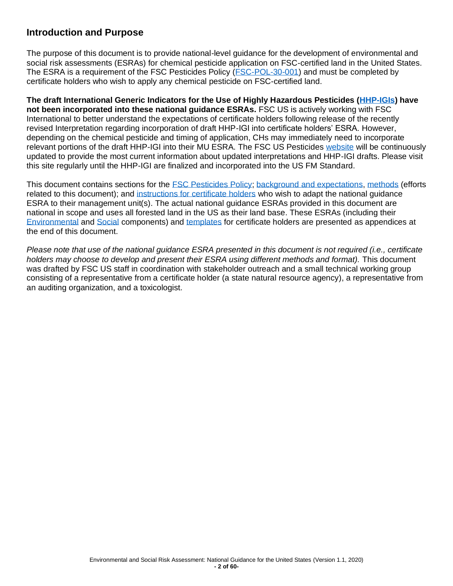## <span id="page-2-0"></span>**Introduction and Purpose**

The purpose of this document is to provide national-level guidance for the development of environmental and social risk assessments (ESRAs) for chemical pesticide application on FSC-certified land in the United States. The ESRA is a requirement of the FSC Pesticides Policy (ESC-POL-30-001) and must be completed by certificate holders who wish to apply any chemical pesticide on FSC-certified land.

**The draft International Generic Indicators for the Use of Highly Hazardous Pesticides [\(HHP-IGIs\)](#page-6-1) have not been incorporated into these national guidance ESRAs.** FSC US is actively working with FSC International to better understand the expectations of certificate holders following release of the recently revised Interpretation regarding incorporation of draft HHP-IGI into certificate holders' ESRA. However, depending on the chemical pesticide and timing of application, CHs may immediately need to incorporate relevant portions of the draft HHP-IGI into their MU ESRA. The FSC US Pesticides [website](https://us.fsc.org/en-us/certification/forest-management-certification/pesticides-policy) will be continuously updated to provide the most current information about updated interpretations and HHP-IGI drafts. Please visit this site regularly until the HHP-IGI are finalized and incorporated into the US FM Standard.

This document contains sections for the **FSC Pesticides Policy**; background and [expectations,](#page-5-0) [methods](#page-5-1) (efforts related to this document); and [instructions for certificate holders](#page-8-0) who wish to adapt the national quidance ESRA to their management unit(s). The actual national guidance ESRAs provided in this document are national in scope and uses all forested land in the US as their land base. These ESRAs (including their [Environmental](#page-10-0) and [Social](#page-16-0) components) and [templates](#page-21-0) for certificate holders are presented as appendices at the end of this document.

*Please note that use of the national guidance ESRA presented in this document is not required (i.e., certificate holders may choose to develop and present their ESRA using different methods and format).* This document was drafted by FSC US staff in coordination with stakeholder outreach and a small technical working group consisting of a representative from a certificate holder (a state natural resource agency), a representative from an auditing organization, and a toxicologist.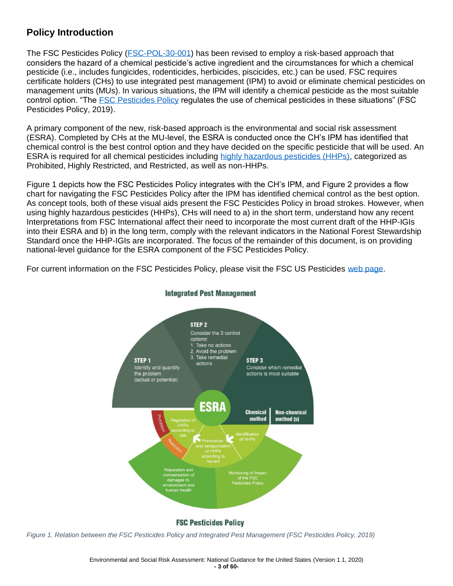## <span id="page-3-0"></span>**Policy Introduction**

The FSC Pesticides Policy [\(FSC-POL-30-001\)](#page-6-1) has been revised to employ a risk-based approach that considers the hazard of a chemical pesticide's active ingredient and the circumstances for which a chemical pesticide (i.e., includes fungicides, rodenticides, herbicides, piscicides, etc.) can be used. FSC requires certificate holders (CHs) to use integrated pest management (IPM) to avoid or eliminate chemical pesticides on management units (MUs). In various situations, the IPM will identify a chemical pesticide as the most suitable control option. "The [FSC Pesticides Policy](#page-6-1) regulates the use of chemical pesticides in these situations" (FSC Pesticides Policy, 2019).

A primary component of the new, risk-based approach is the environmental and social risk assessment (ESRA). Completed by CHs at the MU-level, the ESRA is conducted once the CH's IPM has identified that chemical control is the best control option and they have decided on the specific pesticide that will be used. An ESRA is required for all chemical pesticides including [highly hazardous pesticides \(HHPs\),](#page-6-1) categorized as Prohibited, Highly Restricted, and Restricted, as well as non-HHPs.

Figure 1 depicts how the FSC Pesticides Policy integrates with the CH's IPM, and Figure 2 provides a flow chart for navigating the FSC Pesticides Policy after the IPM has identified chemical control as the best option. As concept tools, both of these visual aids present the FSC Pesticides Policy in broad strokes. However, when using highly hazardous pesticides (HHPs), CHs will need to a) in the short term, understand how any recent Interpretations from FSC International affect their need to incorporate the most current draft of the HHP-IGIs into their ESRA and b) in the long term, comply with the relevant indicators in the National Forest Stewardship Standard once the HHP-IGIs are incorporated. The focus of the remainder of this document, is on providing national-level guidance for the ESRA component of the FSC Pesticides Policy.

For current information on the FSC Pesticides Policy, please visit the FSC US Pesticides [web page.](https://us.fsc.org/en-us/certification/forest-management-certification/pesticides-policy)



#### **Integrated Pest Management**

*Figure 1. Relation between the FSC Pesticides Policy and Integrated Pest Management (FSC Pesticides Policy, 2019)*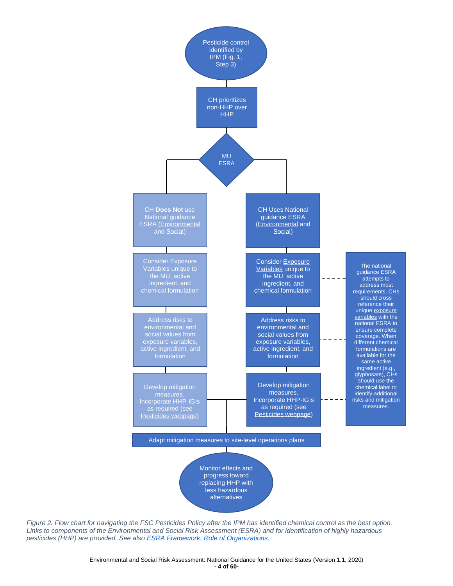

*Figure 2. Flow chart for navigating the FSC Pesticides Policy after the IPM has identified chemical control as the best option. Links to components of the Environmental and Social Risk Assessment (ESRA) and for identification of highly hazardous pesticides (HHP) are provided. See also ESRA Framework: Role of Organizations.*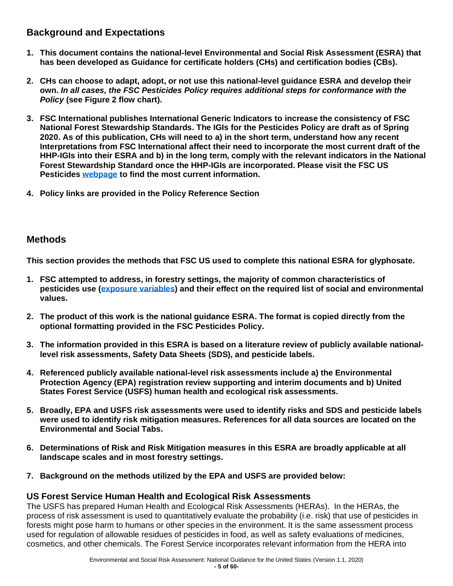## <span id="page-5-0"></span>**Background and Expectations**

- **1. This document contains the national-level Environmental and Social Risk Assessment (ESRA) that has been developed as Guidance for certificate holders (CHs) and certification bodies (CBs).**
- **2. CHs can choose to adapt, adopt, or not use this national-level guidance ESRA and develop their own.** *In all cases, the FSC Pesticides Policy requires additional steps for conformance with the Policy* **(see Figure 2 flow chart).**
- **3. FSC International publishes International Generic Indicators to increase the consistency of FSC National Forest Stewardship Standards. The IGIs for the Pesticides Policy are draft as of Spring 2020. As of this publication, CHs will need to a) in the short term, understand how any recent Interpretations from FSC International affect their need to incorporate the most current draft of the HHP-IGIs into their ESRA and b) in the long term, comply with the relevant indicators in the National Forest Stewardship Standard once the HHP-IGIs are incorporated. Please visit the FSC US Pesticides [webpage](https://us.fsc.org/en-us/certification/forest-management-certification/pesticides-policy) to find the most current information.**
- **4. Policy links are provided in the Policy Reference Section**

## <span id="page-5-1"></span>**Methods**

**This section provides the methods that FSC US used to complete this national ESRA for glyphosate.**

- **1. FSC attempted to address, in forestry settings, the majority of common characteristics of pesticides use [\(exposure variables\)](#page-7-0) and their effect on the required list of social and environmental values.**
- **2. The product of this work is the national guidance ESRA. The format is copied directly from the optional formatting provided in the FSC Pesticides Policy.**
- **3. The information provided in this ESRA is based on a literature review of publicly available nationallevel risk assessments, Safety Data Sheets (SDS), and pesticide labels.**
- **4. Referenced publicly available national-level risk assessments include a) the Environmental Protection Agency (EPA) registration review supporting and interim documents and b) United States Forest Service (USFS) human health and ecological risk assessments.**
- **5. Broadly, EPA and USFS risk assessments were used to identify risks and SDS and pesticide labels were used to identify risk mitigation measures. References for all data sources are located on the Environmental and Social Tabs.**
- **6. Determinations of Risk and Risk Mitigation measures in this ESRA are broadly applicable at all landscape scales and in most forestry settings.**
- **7. Background on the methods utilized by the EPA and USFS are provided below:**

### <span id="page-5-2"></span>**US Forest Service Human Health and Ecological Risk Assessments**

The USFS has prepared Human Health and Ecological Risk Assessments (HERAs). In the HERAs, the process of risk assessment is used to quantitatively evaluate the probability (i.e. risk) that use of pesticides in forests might pose harm to humans or other species in the environment. It is the same assessment process used for regulation of allowable residues of pesticides in food, as well as safety evaluations of medicines, cosmetics, and other chemicals. The Forest Service incorporates relevant information from the HERA into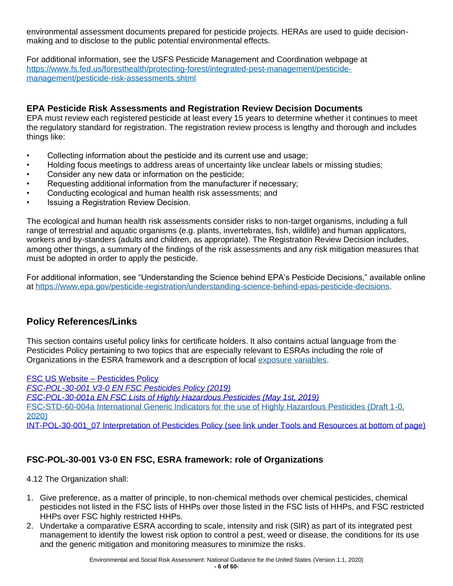environmental assessment documents prepared for pesticide projects. HERAs are used to guide decisionmaking and to disclose to the public potential environmental effects.

For additional information, see the USFS Pesticide Management and Coordination webpage at [https://www.fs.fed.us/foresthealth/protecting-forest/integrated-pest-management/pesticide](https://www.fs.fed.us/foresthealth/protecting-forest/integrated-pest-management/pesticide-management/pesticide-risk-assessments.shtml)[management/pesticide-risk-assessments.shtml](https://www.fs.fed.us/foresthealth/protecting-forest/integrated-pest-management/pesticide-management/pesticide-risk-assessments.shtml)

#### <span id="page-6-0"></span>**EPA Pesticide Risk Assessments and Registration Review Decision Documents**

EPA must review each registered pesticide at least every 15 years to determine whether it continues to meet the regulatory standard for registration. The registration review process is lengthy and thorough and includes things like:

- Collecting information about the pesticide and its current use and usage;
- Holding focus meetings to address areas of uncertainty like unclear labels or missing studies;
- Consider any new data or information on the pesticide;
- Requesting additional information from the manufacturer if necessary;
- Conducting ecological and human health risk assessments; and
- Issuing a Registration Review Decision.

The ecological and human health risk assessments consider risks to non-target organisms, including a full range of terrestrial and aquatic organisms (e.g. plants, invertebrates, fish, wildlife) and human applicators, workers and by-standers (adults and children, as appropriate). The Registration Review Decision includes, among other things, a summary of the findings of the risk assessments and any risk mitigation measures that must be adopted in order to apply the pesticide.

For additional information, see "Understanding the Science behind EPA's Pesticide Decisions," available online at [https://www.epa.gov/pesticide-registration/understanding-science-behind-epas-pesticide-decisions.](https://www.epa.gov/pesticide-registration/understanding-science-behind-epas-pesticide-decisions)

## <span id="page-6-1"></span>**Policy References/Links**

This section contains useful policy links for certificate holders. It also contains actual language from the Pesticides Policy pertaining to two topics that are especially relevant to ESRAs including the role of Organizations in the ESRA framework and a description of local [exposure variables.](#page-7-0)

[FSC US Website –](https://us.fsc.org/en-us/certification/forest-management-certification/pesticides-policy) Pesticides Policy *FSC-POL-30-001 [V3-0 EN FSC Pesticides Policy \(2019\)](https://www.fsc.org/en/document-centre/documents/resource/208) [FSC-POL-30-001a EN FSC Lists of Highly Hazardous Pesticides \(May 1st, 2019\)](https://www.fsc.org/en/document-centre/documents/resource/315.2)* [FSC-STD-60-004a International Generic Indicators for the use of Highly Hazardous Pesticides \(Draft 1-0,](https://fsc.org/en/news/consultation-international-generic-indicators-for-the-use-of-highly-hazardous-pesticides)  [2020\)](https://fsc.org/en/news/consultation-international-generic-indicators-for-the-use-of-highly-hazardous-pesticides) [INT-POL-30-001\\_07 Interpretation of Pesticides Policy \(see link under Tools and Resources at bottom of page\)](https://us.fsc.org/en-us/certification/forest-management-certification/pesticides-policy)

## <span id="page-6-2"></span>**FSC-POL-30-001 V3-0 EN FSC, ESRA framework: role of Organizations**

4.12 The Organization shall:

- 1. Give preference, as a matter of principle, to non-chemical methods over chemical pesticides, chemical pesticides not listed in the FSC lists of HHPs over those listed in the FSC lists of HHPs, and FSC restricted HHPs over FSC highly restricted HHPs.
- 2. Undertake a comparative ESRA according to scale, intensity and risk (SIR) as part of its integrated pest management to identify the lowest risk option to control a pest, weed or disease, the conditions for its use and the generic mitigation and monitoring measures to minimize the risks.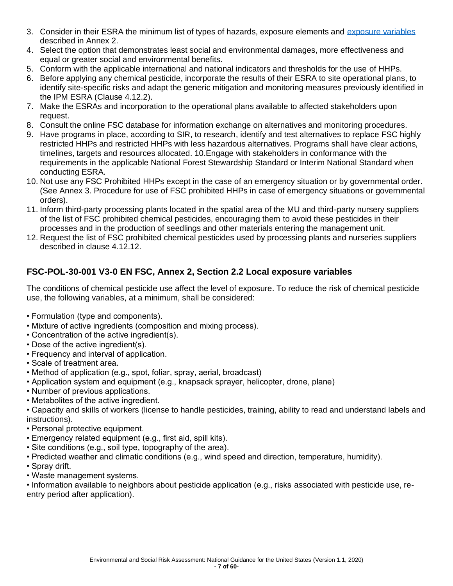- 3. Consider in their ESRA the minimum list of types of hazards, exposure elements and [exposure variables](#page-7-0) described in Annex 2.
- 4. Select the option that demonstrates least social and environmental damages, more effectiveness and equal or greater social and environmental benefits.
- 5. Conform with the applicable international and national indicators and thresholds for the use of HHPs.
- 6. Before applying any chemical pesticide, incorporate the results of their ESRA to site operational plans, to identify site-specific risks and adapt the generic mitigation and monitoring measures previously identified in the IPM ESRA (Clause 4.12.2).
- 7. Make the ESRAs and incorporation to the operational plans available to affected stakeholders upon request.
- 8. Consult the online FSC database for information exchange on alternatives and monitoring procedures.
- 9. Have programs in place, according to SIR, to research, identify and test alternatives to replace FSC highly restricted HHPs and restricted HHPs with less hazardous alternatives. Programs shall have clear actions, timelines, targets and resources allocated. 10.Engage with stakeholders in conformance with the requirements in the applicable National Forest Stewardship Standard or Interim National Standard when conducting ESRA.
- 10. Not use any FSC Prohibited HHPs except in the case of an emergency situation or by governmental order. (See Annex 3. Procedure for use of FSC prohibited HHPs in case of emergency situations or governmental orders).
- 11. Inform third-party processing plants located in the spatial area of the MU and third-party nursery suppliers of the list of FSC prohibited chemical pesticides, encouraging them to avoid these pesticides in their processes and in the production of seedlings and other materials entering the management unit.
- 12. Request the list of FSC prohibited chemical pesticides used by processing plants and nurseries suppliers described in clause 4.12.12.

## <span id="page-7-0"></span>**FSC-POL-30-001 V3-0 EN FSC, Annex 2, Section 2.2 Local exposure variables**

The conditions of chemical pesticide use affect the level of exposure. To reduce the risk of chemical pesticide use, the following variables, at a minimum, shall be considered:

- Formulation (type and components).
- Mixture of active ingredients (composition and mixing process).
- Concentration of the active ingredient(s).
- Dose of the active ingredient(s).
- Frequency and interval of application.
- Scale of treatment area.
- Method of application (e.g., spot, foliar, spray, aerial, broadcast)
- Application system and equipment (e.g., knapsack sprayer, helicopter, drone, plane)
- Number of previous applications.
- Metabolites of the active ingredient.
- Capacity and skills of workers (license to handle pesticides, training, ability to read and understand labels and instructions).
- Personal protective equipment.
- Emergency related equipment (e.g., first aid, spill kits).
- Site conditions (e.g., soil type, topography of the area).
- Predicted weather and climatic conditions (e.g., wind speed and direction, temperature, humidity).
- Spray drift.
- Waste management systems.

• Information available to neighbors about pesticide application (e.g., risks associated with pesticide use, reentry period after application).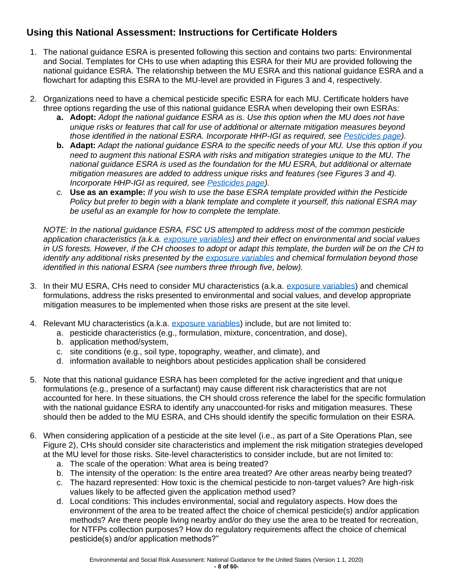## <span id="page-8-0"></span>**Using this National Assessment: Instructions for Certificate Holders**

- 1. The national guidance ESRA is presented following this section and contains two parts: Environmental and Social. Templates for CHs to use when adapting this ESRA for their MU are provided following the national guidance ESRA. The relationship between the MU ESRA and this national guidance ESRA and a flowchart for adapting this ESRA to the MU-level are provided in Figures 3 and 4, respectively.
- 2. Organizations need to have a chemical pesticide specific ESRA for each MU. Certificate holders have three options regarding the use of this national guidance ESRA when developing their own ESRAs:
	- **a. Adopt:** *Adopt the national guidance ESRA as is. Use this option when the MU does not have unique risks or features that call for use of additional or alternate mitigation measures beyond those identified in the national ESRA. Incorporate HHP-IGI as required, see [Pesticides page\)](https://us.fsc.org/en-us/certification/forest-management-certification/pesticides-policy).*
	- **b. Adapt:** *Adapt the national guidance ESRA to the specific needs of your MU. Use this option if you need to augment this national ESRA with risks and mitigation strategies unique to the MU. The national guidance ESRA is used as the foundation for the MU ESRA, but additional or alternate mitigation measures are added to address unique risks and features (see Figures 3 and 4). Incorporate HHP-IGI as required, see [Pesticides page\)](https://us.fsc.org/en-us/certification/forest-management-certification/pesticides-policy).*
	- *c.* **Use as an example:** *If you wish to use the base ESRA template provided within the Pesticide Policy but prefer to begin with a blank template and complete it yourself, this national ESRA may be useful as an example for how to complete the template.*

*NOTE: In the national guidance ESRA, FSC US attempted to address most of the common pesticide application characteristics (a.k.a. [exposure variables\)](#page-7-0) and their effect on environmental and social values in US forests. However, if the CH chooses to adopt or adapt this template, the burden will be on the CH to identify any additional risks presented by the [exposure variables](#page-7-0) and chemical formulation beyond those identified in this national ESRA (see numbers three through five, below).* 

- 3. In their MU ESRA, CHs need to consider MU characteristics (a.k.a. [exposure variables\)](#page-7-0) and chemical formulations, address the risks presented to environmental and social values, and develop appropriate mitigation measures to be implemented when those risks are present at the site level.
- 4. Relevant MU characteristics (a.k.a. [exposure variables\)](#page-7-0) include, but are not limited to:
	- a. pesticide characteristics (e.g., formulation, mixture, concentration, and dose),
	- b. application method/system,
	- c. site conditions (e.g., soil type, topography, weather, and climate), and
	- d. information available to neighbors about pesticides application shall be considered
- 5. Note that this national guidance ESRA has been completed for the active ingredient and that unique formulations (e.g., presence of a surfactant) may cause different risk characteristics that are not accounted for here. In these situations, the CH should cross reference the label for the specific formulation with the national guidance ESRA to identify any unaccounted-for risks and mitigation measures. These should then be added to the MU ESRA, and CHs should identify the specific formulation on their ESRA.
- 6. When considering application of a pesticide at the site level (i.e., as part of a Site Operations Plan, see Figure 2), CHs should consider site characteristics and implement the risk mitigation strategies developed at the MU level for those risks. Site-level characteristics to consider include, but are not limited to:
	- a. The scale of the operation: What area is being treated?
	- b. The intensity of the operation: Is the entire area treated? Are other areas nearby being treated?
	- c. The hazard represented: How toxic is the chemical pesticide to non-target values? Are high-risk values likely to be affected given the application method used?
	- d. Local conditions: This includes environmental, social and regulatory aspects. How does the environment of the area to be treated affect the choice of chemical pesticide(s) and/or application methods? Are there people living nearby and/or do they use the area to be treated for recreation, for NTFPs collection purposes? How do regulatory requirements affect the choice of chemical pesticide(s) and/or application methods?"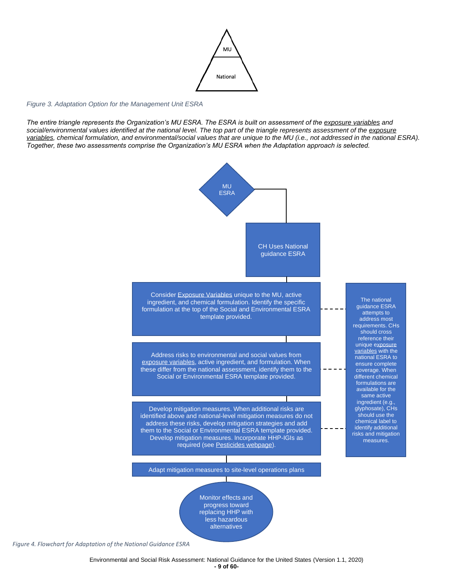

#### <span id="page-9-0"></span>*Figure 3. Adaptation Option for the Management Unit ESRA*

*The entire triangle represents the Organization's MU ESRA. The ESRA is built on assessment of the [exposure variables](#page-7-0) and social/environmental values identified at the national level. The top part of the triangle represents assessment of the [exposure](#page-7-0)  [variables,](#page-7-0) chemical formulation, and environmental/social values that are unique to the MU (i.e., not addressed in the national ESRA). Together, these two assessments comprise the Organization's MU ESRA when the Adaptation approach is selected.*



*Figure 4. Flowchart for Adaptation of the National Guidance ESRA*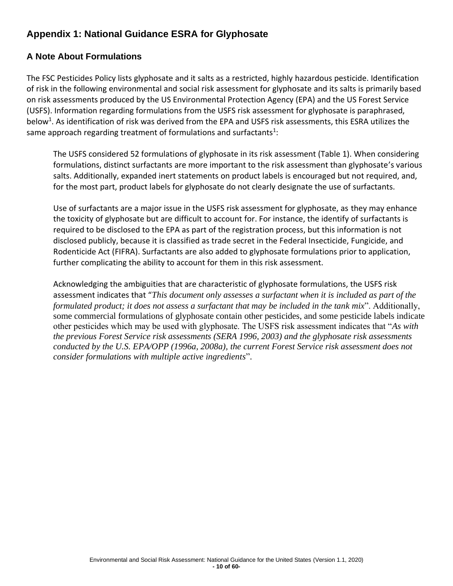## <span id="page-10-0"></span>**Appendix 1: National Guidance ESRA for Glyphosate**

## <span id="page-10-1"></span>**A Note About Formulations**

The FSC Pesticides Policy lists glyphosate and it salts as a restricted, highly hazardous pesticide. Identification of risk in the following environmental and social risk assessment for glyphosate and its salts is primarily based on risk assessments produced by the US Environmental Protection Agency (EPA) and the US Forest Service (USFS). Information regarding formulations from the USFS risk assessment for glyphosate is paraphrased, below<sup>1</sup>. As identification of risk was derived from the EPA and USFS risk assessments, this ESRA utilizes the same approach regarding treatment of formulations and surfactants<sup>1</sup>:

The USFS considered 52 formulations of glyphosate in its risk assessment (Table 1). When considering formulations, distinct surfactants are more important to the risk assessment than glyphosate's various salts. Additionally, expanded inert statements on product labels is encouraged but not required, and, for the most part, product labels for glyphosate do not clearly designate the use of surfactants.

Use of surfactants are a major issue in the USFS risk assessment for glyphosate, as they may enhance the toxicity of glyphosate but are difficult to account for. For instance, the identify of surfactants is required to be disclosed to the EPA as part of the registration process, but this information is not disclosed publicly, because it is classified as trade secret in the Federal Insecticide, Fungicide, and Rodenticide Act (FIFRA). Surfactants are also added to glyphosate formulations prior to application, further complicating the ability to account for them in this risk assessment.

Acknowledging the ambiguities that are characteristic of glyphosate formulations, the USFS risk assessment indicates that "*This document only assesses a surfactant when it is included as part of the formulated product; it does not assess a surfactant that may be included in the tank mix*". Additionally, some commercial formulations of glyphosate contain other pesticides, and some pesticide labels indicate other pesticides which may be used with glyphosate. The USFS risk assessment indicates that "*As with the previous Forest Service risk assessments (SERA 1996, 2003) and the glyphosate risk assessments conducted by the U.S. EPA/OPP (1996a, 2008a), the current Forest Service risk assessment does not consider formulations with multiple active ingredients*".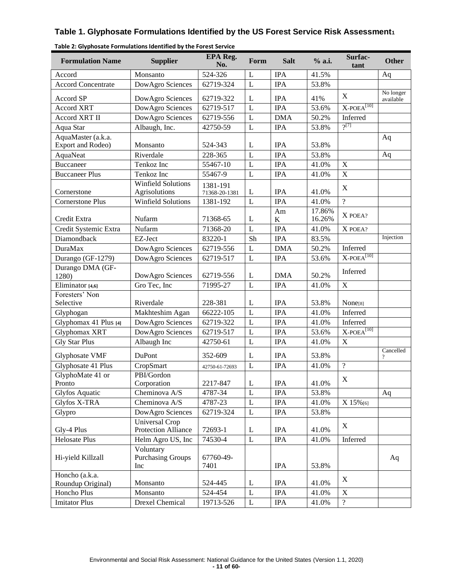### **Table 1. Glyphosate Formulations Identified by the US Forest Service Risk Assessment<sup>1</sup>**

| <b>Formulation Name</b>                 | <b>Supplier</b>                              | <b>EPA Reg.</b><br>No.    | Form           | <b>Salt</b>   | % a.i.           | Surfac-<br>tant           | <b>Other</b>           |
|-----------------------------------------|----------------------------------------------|---------------------------|----------------|---------------|------------------|---------------------------|------------------------|
| Accord                                  | Monsanto                                     | 524-326                   | L              | <b>IPA</b>    | 41.5%            |                           | Aq                     |
| <b>Accord Concentrate</b>               | DowAgro Sciences                             | 62719-324                 | $\mathbf{L}$   | <b>IPA</b>    | 53.8%            |                           |                        |
| Accord SP                               | DowAgro Sciences                             | 62719-322                 | L              | <b>IPA</b>    | 41%              | $\mathbf X$               | No longer<br>available |
| <b>Accord XRT</b>                       | DowAgro Sciences                             | 62719-517                 | $\overline{L}$ | <b>IPA</b>    | 53.6%            | $X-POEA^{[10]}$           |                        |
| Accord XRT II                           | DowAgro Sciences                             | 62719-556                 | L              | <b>DMA</b>    | 50.2%            | Inferred                  |                        |
| Aqua Star                               | Albaugh, Inc.                                | 42750-59                  | L              | <b>IPA</b>    | 53.8%            | 2[7]                      |                        |
| AquaMaster (a.k.a.<br>Export and Rodeo) | Monsanto                                     | 524-343                   | L              | <b>IPA</b>    | 53.8%            |                           | Aq                     |
| AquaNeat                                | Riverdale                                    | 228-365                   | L              | <b>IPA</b>    | 53.8%            |                           | Aq                     |
| <b>Buccaneer</b>                        | Tenkoz Inc                                   | 55467-10                  | L              | <b>IPA</b>    | 41.0%            | $\mathbf X$               |                        |
| <b>Buccaneer Plus</b>                   | Tenkoz Inc                                   | 55467-9                   | L              | <b>IPA</b>    | 41.0%            | $\overline{X}$            |                        |
| Cornerstone                             | <b>Winfield Solutions</b><br>Agrisolutions   | 1381-191<br>71368-20-1381 | L              | <b>IPA</b>    | 41.0%            | $\mathbf X$               |                        |
| <b>Cornerstone Plus</b>                 | <b>Winfield Solutions</b>                    | 1381-192                  | L              | <b>IPA</b>    | 41.0%            | $\overline{?}$            |                        |
| Credit Extra                            | Nufarm                                       | 71368-65                  | L              | Am<br>$\bf K$ | 17.86%<br>16.26% | X POEA?                   |                        |
| Credit Systemic Extra                   | Nufarm                                       | 71368-20                  | L              | <b>IPA</b>    | 41.0%            | X POEA?                   |                        |
| Diamondback                             | EZ-Ject                                      | 83220-1                   | Sh             | <b>IPA</b>    | 83.5%            |                           | Injection              |
| <b>DuraMax</b>                          | DowAgro Sciences                             | 62719-556                 | L              | <b>DMA</b>    | 50.2%            | Inferred                  |                        |
| Durango (GF-1279)                       | DowAgro Sciences                             | 62719-517                 | L              | <b>IPA</b>    | 53.6%            | $X$ -POEA <sup>[10]</sup> |                        |
| Durango DMA (GF-<br>1280)               | DowAgro Sciences                             | 62719-556                 | L              | <b>DMA</b>    | 50.2%            | Inferred                  |                        |
| Eliminator [4,6]                        | Gro Tec, Inc                                 | 71995-27                  | L              | <b>IPA</b>    | 41.0%            | $\mathbf X$               |                        |
| Foresters' Non                          |                                              |                           |                |               |                  |                           |                        |
| Selective                               | Riverdale                                    | 228-381                   | L              | <b>IPA</b>    | 53.8%            | None[8]                   |                        |
| Glyphogan                               | Makhteshim Agan                              | 66222-105                 | $\mathbf{L}$   | <b>IPA</b>    | 41.0%            | Inferred                  |                        |
| Glyphomax 41 Plus [4]                   | DowAgro Sciences                             | 62719-322                 | L              | <b>IPA</b>    | 41.0%            | Inferred                  |                        |
| Glyphomax XRT                           | DowAgro Sciences                             | 62719-517                 | L              | <b>IPA</b>    | 53.6%            | $X-POEA^{[10]}$           |                        |
| <b>Gly Star Plus</b>                    | Albaugh Inc                                  | 42750-61                  | $\mathbf{L}$   | <b>IPA</b>    | 41.0%            | $\mathbf X$               |                        |
| Glyphosate VMF                          | DuPont                                       | 352-609                   | L              | <b>IPA</b>    | 53.8%            |                           | Cancelled              |
| Glyphosate 41 Plus                      | CropSmart                                    | 42750-61-72693            | L              | <b>IPA</b>    | 41.0%            | $\overline{?}$            |                        |
| GlyphoMate 41 or<br>Pronto              | PBI/Gordon<br>Corporation                    | 2217-847                  | $\mathbf L$    | <b>IPA</b>    | 41.0%            | X                         |                        |
| <b>Glyfos Aquatic</b>                   | Cheminova A/S                                | 4787-34                   | $\mathbf L$    | <b>IPA</b>    | 53.8%            |                           | Aq                     |
| Glyfos X-TRA                            | Cheminova A/S                                | 4787-23                   | L              | <b>IPA</b>    | 41.0%            | X 15%[6]                  |                        |
| Glypro                                  | DowAgro Sciences                             | 62719-324                 | $\mathbf{L}$   | <b>IPA</b>    | 53.8%            |                           |                        |
| Gly-4 Plus                              | Universal Crop<br>Protection Alliance        | 72693-1                   | L              | <b>IPA</b>    | 41.0%            | X                         |                        |
| <b>Helosate Plus</b>                    | Helm Agro US, Inc                            | 74530-4                   | $\mathbf L$    | <b>IPA</b>    | 41.0%            | Inferred                  |                        |
| Hi-yield Killzall                       | Voluntary<br><b>Purchasing Groups</b><br>Inc | 67760-49-<br>7401         |                | <b>IPA</b>    | 53.8%            |                           | Aq                     |
| Honcho (a.k.a.<br>Roundup Original)     | Monsanto                                     | 524-445                   | L              | <b>IPA</b>    | 41.0%            | X                         |                        |
| Honcho Plus                             | Monsanto                                     | 524-454                   | $\mathbf L$    | <b>IPA</b>    | 41.0%            | $\mathbf X$               |                        |
| <b>Imitator Plus</b>                    | Drexel Chemical                              | 19713-526                 | L              | <b>IPA</b>    | 41.0%            | $\overline{?}$            |                        |

| Table 2: Glyphosate Formulations Identified by the Forest Service |  |  |
|-------------------------------------------------------------------|--|--|
|-------------------------------------------------------------------|--|--|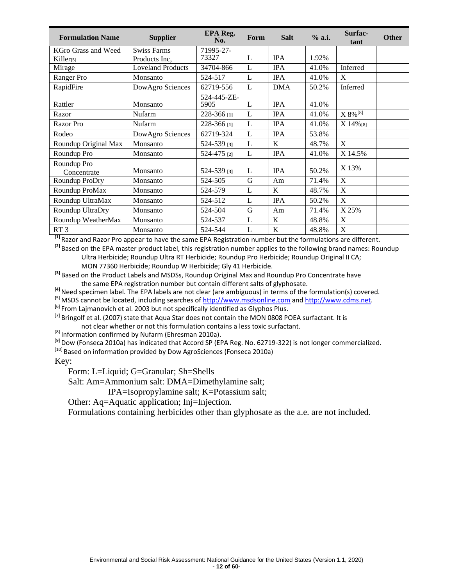| <b>Formulation Name</b>    | <b>Supplier</b>          | EPA Reg.<br>No.     | Form | <b>Salt</b> | % a.i. | Surfac-<br>tant           | <b>Other</b> |
|----------------------------|--------------------------|---------------------|------|-------------|--------|---------------------------|--------------|
| KGro Grass and Weed        | <b>Swiss Farms</b>       | 71995-27-           |      |             |        |                           |              |
| Killer <sub>[5]</sub>      | Products Inc,            | 73327               | L    | <b>IPA</b>  | 1.92%  |                           |              |
| Mirage                     | <b>Loveland Products</b> | 34704-866           | L    | <b>IPA</b>  | 41.0%  | Inferred                  |              |
| Ranger Pro                 | Monsanto                 | 524-517             | L    | <b>IPA</b>  | 41.0%  | X                         |              |
| RapidFire                  | DowAgro Sciences         | 62719-556           | L    | <b>DMA</b>  | 50.2%  | Inferred                  |              |
| Rattler                    | Monsanto                 | 524-445-ZE-<br>5905 | L    | <b>IPA</b>  | 41.0%  |                           |              |
| Razor                      | Nufarm                   | 228-366 [1]         | L    | <b>IPA</b>  | 41.0%  | $X 8\%^{[8]}$             |              |
| <b>Razor</b> Pro           | Nufarm                   | 228-366 [1]         | L    | <b>IPA</b>  | 41.0%  | X 14%[8]                  |              |
| Rodeo                      | DowAgro Sciences         | 62719-324           | L    | <b>IPA</b>  | 53.8%  |                           |              |
| Roundup Original Max       | Monsanto                 | 524-539 [3]         | L    | K           | 48.7%  | X                         |              |
| Roundup Pro                | Monsanto                 | 524-475 [2]         | L    | <b>IPA</b>  | 41.0%  | X 14.5%                   |              |
| Roundup Pro<br>Concentrate | Monsanto                 | 524-539 [3]         | L    | <b>IPA</b>  | 50.2%  | X 13%                     |              |
| Roundup ProDry             | Monsanto                 | 524-505             | G    | Am          | 71.4%  | X                         |              |
| Roundup ProMax             | Monsanto                 | 524-579             | L    | K           | 48.7%  | X                         |              |
| Roundup UltraMax           | Monsanto                 | 524-512             | L    | <b>IPA</b>  | 50.2%  | $\mathbf{X}$              |              |
| Roundup UltraDry           | Monsanto                 | 524-504             | G    | Am          | 71.4%  | X 25%                     |              |
| Roundup WeatherMax         | Monsanto                 | 524-537             | L    | K           | 48.8%  | X                         |              |
| RT <sub>3</sub>            | Monsanto                 | 524-544             | L    | $\bf K$     | 48.8%  | $\boldsymbol{\mathrm{X}}$ |              |

**[1]** Razor and Razor Pro appear to have the same EPA Registration number but the formulations are different.

**[2]** Based on the EPA master product label, this registration number applies to the following brand names: Roundup Ultra Herbicide; Roundup Ultra RT Herbicide; Roundup Pro Herbicide; Roundup Original II CA;

MON 77360 Herbicide; Roundup W Herbicide; Gly 41 Herbicide.

**[3]** Based on the Product Labels and MSDSs, Roundup Original Max and Roundup Pro Concentrate have the same EPA registration number but contain different salts of glyphosate.

**[4]** Need specimen label. The EPA labels are not clear (are ambiguous) in terms of the formulation(s) covered.

**[**5] MSDS cannot be located, including searches o[f http://www.msdsonline.com](http://www.msdsonline.com/) an[d http://www.cdms.net.](http://www.cdms.net/) **[**6] From Lajmanovich et al. 2003 but not specifically identified as Glyphos Plus.

<sup>[7]</sup> Bringolf et al. (2007) state that Aqua Star does not contain the MON 0808 POEA surfactant. It is

not clear whether or not this formulation contains a less toxic surfactant.

[8] Information confirmed by Nufarm (Ehresman 2010a).

<sup>[9]</sup> Dow (Fonseca 2010a) has indicated that Accord SP (EPA Reg. No. 62719-322) is not longer commercialized.

 $[10]$  Based on information provided by Dow AgroSciences (Fonseca 2010a)

Key:

Form: L=Liquid; G=Granular; Sh=Shells

Salt: Am=Ammonium salt: DMA=Dimethylamine salt;

IPA=Isopropylamine salt; K=Potassium salt;

Other: Aq=Aquatic application; Inj=Injection.

Formulations containing herbicides other than glyphosate as the a.e. are not included.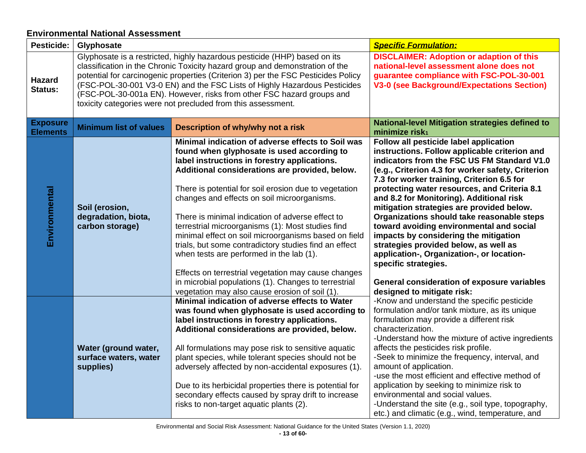### **Environmental National Assessment**

<span id="page-13-0"></span>

| Pesticide:                         | Glyphosate                                                                                                                                                                                                                                                                                                                                                                                                                                                           |                                                                                                                                                                                                                                                                                                                                                                                                                                                                                                                                                                                                                                                                                                                                                  | <b>Specific Formulation:</b>                                                                                                                                                                                                                                                                                                                                                                                                                                                                                                                                                                                                                                                                                     |
|------------------------------------|----------------------------------------------------------------------------------------------------------------------------------------------------------------------------------------------------------------------------------------------------------------------------------------------------------------------------------------------------------------------------------------------------------------------------------------------------------------------|--------------------------------------------------------------------------------------------------------------------------------------------------------------------------------------------------------------------------------------------------------------------------------------------------------------------------------------------------------------------------------------------------------------------------------------------------------------------------------------------------------------------------------------------------------------------------------------------------------------------------------------------------------------------------------------------------------------------------------------------------|------------------------------------------------------------------------------------------------------------------------------------------------------------------------------------------------------------------------------------------------------------------------------------------------------------------------------------------------------------------------------------------------------------------------------------------------------------------------------------------------------------------------------------------------------------------------------------------------------------------------------------------------------------------------------------------------------------------|
| <b>Hazard</b><br>Status:           | Glyphosate is a restricted, highly hazardous pesticide (HHP) based on its<br>classification in the Chronic Toxicity hazard group and demonstration of the<br>potential for carcinogenic properties (Criterion 3) per the FSC Pesticides Policy<br>(FSC-POL-30-001 V3-0 EN) and the FSC Lists of Highly Hazardous Pesticides<br>(FSC-POL-30-001a EN). However, risks from other FSC hazard groups and<br>toxicity categories were not precluded from this assessment. |                                                                                                                                                                                                                                                                                                                                                                                                                                                                                                                                                                                                                                                                                                                                                  | <b>DISCLAIMER: Adoption or adaption of this</b><br>national-level assessment alone does not<br>guarantee compliance with FSC-POL-30-001<br><b>V3-0 (see Background/Expectations Section)</b>                                                                                                                                                                                                                                                                                                                                                                                                                                                                                                                     |
| <b>Exposure</b><br><b>Elements</b> | <b>Minimum list of values</b>                                                                                                                                                                                                                                                                                                                                                                                                                                        | Description of why/why not a risk                                                                                                                                                                                                                                                                                                                                                                                                                                                                                                                                                                                                                                                                                                                | <b>National-level Mitigation strategies defined to</b><br>minimize risk <sub>1</sub>                                                                                                                                                                                                                                                                                                                                                                                                                                                                                                                                                                                                                             |
| Environmental                      | Soil (erosion,<br>degradation, biota,<br>carbon storage)                                                                                                                                                                                                                                                                                                                                                                                                             | Minimal indication of adverse effects to Soil was<br>found when glyphosate is used according to<br>label instructions in forestry applications.<br>Additional considerations are provided, below.<br>There is potential for soil erosion due to vegetation<br>changes and effects on soil microorganisms.<br>There is minimal indication of adverse effect to<br>terrestrial microorganisms (1): Most studies find<br>minimal effect on soil microorganisms based on field<br>trials, but some contradictory studies find an effect<br>when tests are performed in the lab (1).<br>Effects on terrestrial vegetation may cause changes<br>in microbial populations (1). Changes to terrestrial<br>vegetation may also cause erosion of soil (1). | Follow all pesticide label application<br>instructions. Follow applicable criterion and<br>indicators from the FSC US FM Standard V1.0<br>(e.g., Criterion 4.3 for worker safety, Criterion<br>7.3 for worker training, Criterion 6.5 for<br>protecting water resources, and Criteria 8.1<br>and 8.2 for Monitoring). Additional risk<br>mitigation strategies are provided below.<br>Organizations should take reasonable steps<br>toward avoiding environmental and social<br>impacts by considering the mitigation<br>strategies provided below, as well as<br>application-, Organization-, or location-<br>specific strategies.<br>General consideration of exposure variables<br>designed to mitigate risk: |
|                                    | Water (ground water,<br>surface waters, water<br>supplies)                                                                                                                                                                                                                                                                                                                                                                                                           | Minimal indication of adverse effects to Water<br>was found when glyphosate is used according to<br>label instructions in forestry applications.<br>Additional considerations are provided, below.<br>All formulations may pose risk to sensitive aquatic<br>plant species, while tolerant species should not be<br>adversely affected by non-accidental exposures (1).<br>Due to its herbicidal properties there is potential for<br>secondary effects caused by spray drift to increase<br>risks to non-target aquatic plants (2).                                                                                                                                                                                                             | -Know and understand the specific pesticide<br>formulation and/or tank mixture, as its unique<br>formulation may provide a different risk<br>characterization.<br>-Understand how the mixture of active ingredients<br>affects the pesticides risk profile.<br>-Seek to minimize the frequency, interval, and<br>amount of application.<br>-use the most efficient and effective method of<br>application by seeking to minimize risk to<br>environmental and social values.<br>-Understand the site (e.g., soil type, topography,<br>etc.) and climatic (e.g., wind, temperature, and                                                                                                                           |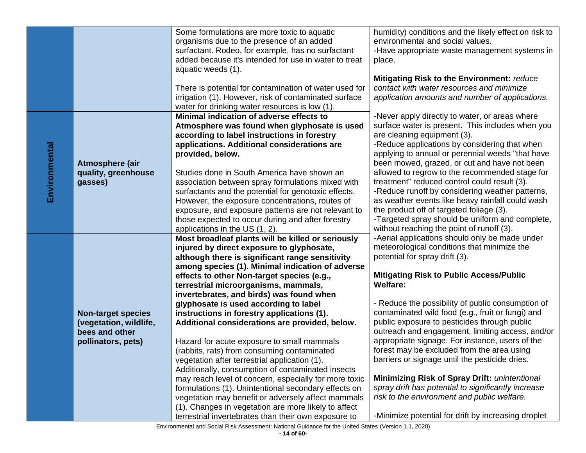|               |                           | Some formulations are more toxic to aquatic            | humidity) conditions and the likely effect on risk to |
|---------------|---------------------------|--------------------------------------------------------|-------------------------------------------------------|
|               |                           | organisms due to the presence of an added              | environmental and social values.                      |
|               |                           | surfactant. Rodeo, for example, has no surfactant      | -Have appropriate waste management systems in         |
|               |                           | added because it's intended for use in water to treat  | place.                                                |
|               |                           | aquatic weeds (1).                                     |                                                       |
|               |                           |                                                        | Mitigating Risk to the Environment: reduce            |
|               |                           | There is potential for contamination of water used for | contact with water resources and minimize             |
|               |                           | irrigation (1). However, risk of contaminated surface  | application amounts and number of applications.       |
|               |                           | water for drinking water resources is low (1).         |                                                       |
|               |                           | Minimal indication of adverse effects to               | -Never apply directly to water, or areas where        |
|               |                           | Atmosphere was found when glyphosate is used           | surface water is present. This includes when you      |
|               |                           |                                                        | are cleaning equipment (3).                           |
|               |                           | according to label instructions in forestry            |                                                       |
|               |                           | applications. Additional considerations are            | -Reduce applications by considering that when         |
|               |                           | provided, below.                                       | applying to annual or perennial weeds "that have      |
| Environmental | Atmosphere (air           |                                                        | been mowed, grazed, or cut and have not been          |
|               | quality, greenhouse       | Studies done in South America have shown an            | allowed to regrow to the recommended stage for        |
|               | gasses)                   | association between spray formulations mixed with      | treatment" reduced control could result (3).          |
|               |                           | surfactants and the potential for genotoxic effects.   | -Reduce runoff by considering weather patterns,       |
|               |                           | However, the exposure concentrations, routes of        | as weather events like heavy rainfall could wash      |
|               |                           | exposure, and exposure patterns are not relevant to    | the product off of targeted foliage (3).              |
|               |                           | those expected to occur during and after forestry      | -Targeted spray should be uniform and complete,       |
|               |                           | applications in the US (1, 2).                         | without reaching the point of runoff (3).             |
|               |                           | Most broadleaf plants will be killed or seriously      | -Aerial applications should only be made under        |
|               |                           | injured by direct exposure to glyphosate,              | meteorological conditions that minimize the           |
|               |                           | although there is significant range sensitivity        | potential for spray drift (3).                        |
|               |                           | among species (1). Minimal indication of adverse       |                                                       |
|               |                           | effects to other Non-target species (e.g.,             | <b>Mitigating Risk to Public Access/Public</b>        |
|               |                           | terrestrial microorganisms, mammals,                   | <b>Welfare:</b>                                       |
|               |                           | invertebrates, and birds) was found when               |                                                       |
|               |                           | glyphosate is used according to label                  | - Reduce the possibility of public consumption of     |
|               | <b>Non-target species</b> | instructions in forestry applications (1).             | contaminated wild food (e.g., fruit or fungi) and     |
|               | (vegetation, wildlife,    | Additional considerations are provided, below.         | public exposure to pesticides through public          |
|               | bees and other            |                                                        | outreach and engagement, limiting access, and/or      |
|               | pollinators, pets)        | Hazard for acute exposure to small mammals             | appropriate signage. For instance, users of the       |
|               |                           | (rabbits, rats) from consuming contaminated            | forest may be excluded from the area using            |
|               |                           | vegetation after terrestrial application (1).          | barriers or signage until the pesticide dries.        |
|               |                           | Additionally, consumption of contaminated insects      |                                                       |
|               |                           | may reach level of concern, especially for more toxic  | <b>Minimizing Risk of Spray Drift: unintentional</b>  |
|               |                           | formulations (1). Unintentional secondary effects on   | spray drift has potential to significantly increase   |
|               |                           | vegetation may benefit or adversely affect mammals     | risk to the environment and public welfare.           |
|               |                           | (1). Changes in vegetation are more likely to affect   |                                                       |
|               |                           | terrestrial invertebrates than their own exposure to   | -Minimize potential for drift by increasing droplet   |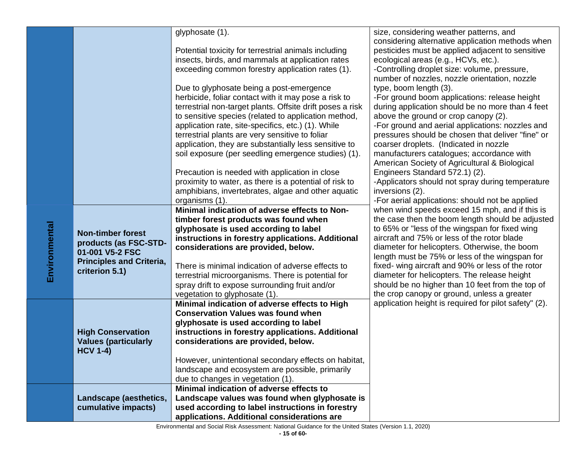|               |                                 | glyphosate (1).                                           | size, considering weather patterns, and               |
|---------------|---------------------------------|-----------------------------------------------------------|-------------------------------------------------------|
|               |                                 |                                                           | considering alternative application methods when      |
|               |                                 | Potential toxicity for terrestrial animals including      | pesticides must be applied adjacent to sensitive      |
|               |                                 | insects, birds, and mammals at application rates          | ecological areas (e.g., HCVs, etc.).                  |
|               |                                 | exceeding common forestry application rates (1).          | -Controlling droplet size: volume, pressure,          |
|               |                                 |                                                           | number of nozzles, nozzle orientation, nozzle         |
|               |                                 | Due to glyphosate being a post-emergence                  | type, boom length (3).                                |
|               |                                 | herbicide, foliar contact with it may pose a risk to      | -For ground boom applications: release height         |
|               |                                 | terrestrial non-target plants. Offsite drift poses a risk | during application should be no more than 4 feet      |
|               |                                 | to sensitive species (related to application method,      | above the ground or crop canopy (2).                  |
|               |                                 | application rate, site-specifics, etc.) (1). While        | -For ground and aerial applications: nozzles and      |
|               |                                 | terrestrial plants are very sensitive to foliar           | pressures should be chosen that deliver "fine" or     |
|               |                                 | application, they are substantially less sensitive to     | coarser droplets. (Indicated in nozzle                |
|               |                                 | soil exposure (per seedling emergence studies) (1).       | manufacturers catalogues; accordance with             |
|               |                                 |                                                           | American Society of Agricultural & Biological         |
|               |                                 | Precaution is needed with application in close            | Engineers Standard 572.1) (2).                        |
|               |                                 | proximity to water, as there is a potential of risk to    | -Applicators should not spray during temperature      |
|               |                                 | amphibians, invertebrates, algae and other aquatic        | inversions (2).                                       |
|               |                                 | organisms (1).                                            | -For aerial applications: should not be applied       |
|               |                                 | Minimal indication of adverse effects to Non-             | when wind speeds exceed 15 mph, and if this is        |
|               |                                 | timber forest products was found when                     | the case then the boom length should be adjusted      |
|               | <b>Non-timber forest</b>        | glyphosate is used according to label                     | to 65% or "less of the wingspan for fixed wing        |
|               |                                 | instructions in forestry applications. Additional         | aircraft and 75% or less of the rotor blade           |
| Environmental | products (as FSC-STD-           | considerations are provided, below.                       | diameter for helicopters. Otherwise, the boom         |
|               | 01-001 V5-2 FSC                 |                                                           | length must be 75% or less of the wingspan for        |
|               | <b>Principles and Criteria,</b> | There is minimal indication of adverse effects to         | fixed- wing aircraft and 90% or less of the rotor     |
|               | criterion 5.1)                  | terrestrial microorganisms. There is potential for        | diameter for helicopters. The release height          |
|               |                                 | spray drift to expose surrounding fruit and/or            | should be no higher than 10 feet from the top of      |
|               |                                 | vegetation to glyphosate (1).                             | the crop canopy or ground, unless a greater           |
|               |                                 | Minimal indication of adverse effects to High             | application height is required for pilot safety" (2). |
|               |                                 | <b>Conservation Values was found when</b>                 |                                                       |
|               |                                 | glyphosate is used according to label                     |                                                       |
|               | <b>High Conservation</b>        | instructions in forestry applications. Additional         |                                                       |
|               | <b>Values (particularly</b>     | considerations are provided, below.                       |                                                       |
|               | <b>HCV 1-4)</b>                 |                                                           |                                                       |
|               |                                 | However, unintentional secondary effects on habitat,      |                                                       |
|               |                                 | landscape and ecosystem are possible, primarily           |                                                       |
|               |                                 | due to changes in vegetation (1).                         |                                                       |
|               |                                 | Minimal indication of adverse effects to                  |                                                       |
|               | Landscape (aesthetics,          | Landscape values was found when glyphosate is             |                                                       |
|               | cumulative impacts)             | used according to label instructions in forestry          |                                                       |
|               |                                 | applications. Additional considerations are               |                                                       |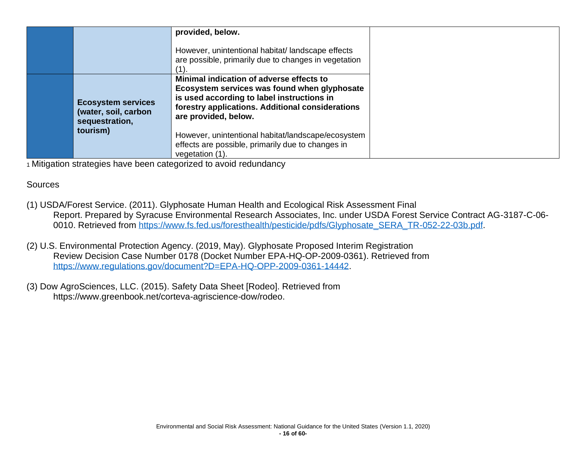|                                                                     | provided, below.<br>However, unintentional habitat/landscape effects<br>are possible, primarily due to changes in vegetation                                                                                       |
|---------------------------------------------------------------------|--------------------------------------------------------------------------------------------------------------------------------------------------------------------------------------------------------------------|
| <b>Ecosystem services</b><br>(water, soil, carbon<br>sequestration, | Minimal indication of adverse effects to<br>Ecosystem services was found when glyphosate<br>is used according to label instructions in<br>forestry applications. Additional considerations<br>are provided, below. |
| tourism)                                                            | However, unintentional habitat/landscape/ecosystem<br>effects are possible, primarily due to changes in<br>vegetation (1).                                                                                         |

### Sources

- (1) USDA/Forest Service. (2011). Glyphosate Human Health and Ecological Risk Assessment Final Report. Prepared by Syracuse Environmental Research Associates, Inc. under USDA Forest Service Contract AG-3187-C-06 0010. Retrieved from [https://www.fs.fed.us/foresthealth/pesticide/pdfs/Glyphosate\\_SERA\\_TR-052-22-03b.pdf.](https://www.fs.fed.us/foresthealth/pesticide/pdfs/Glyphosate_SERA_TR-052-22-03b.pdf)
- (2) U.S. Environmental Protection Agency. (2019, May). Glyphosate Proposed Interim Registration Review Decision Case Number 0178 (Docket Number EPA-HQ-OP-2009-0361). Retrieved from [https://www.regulations.gov/document?D=EPA-HQ-OPP-2009-0361-14442.](https://www.regulations.gov/document?D=EPA-HQ-OPP-2009-0361-14442)
- <span id="page-16-0"></span>(3) Dow AgroSciences, LLC. (2015). Safety Data Sheet [Rodeo]. Retrieved from https://www.greenbook.net/corteva-agriscience-dow/rodeo.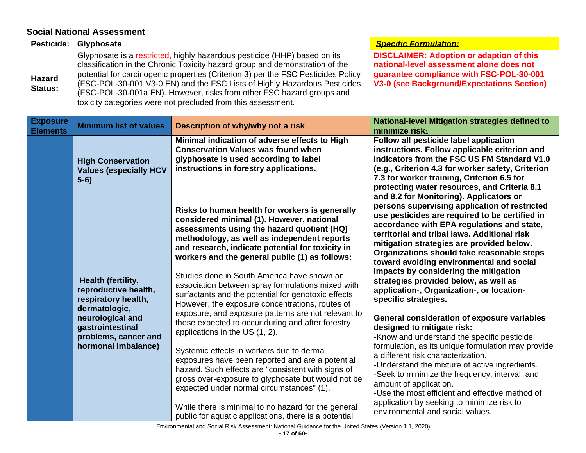#### **Social National Assessment**

<span id="page-17-0"></span>

| Pesticide:                         | Glyphosate                                                                                                                                                                                                                                                                                                                                                                                                                                                           |                                                                                                                                                                                                                                                                                                                                                                                                                                                                                                               | <b>Specific Formulation:</b>                                                                                                                                                                                                                                                                                                                                                                                                                                                                |
|------------------------------------|----------------------------------------------------------------------------------------------------------------------------------------------------------------------------------------------------------------------------------------------------------------------------------------------------------------------------------------------------------------------------------------------------------------------------------------------------------------------|---------------------------------------------------------------------------------------------------------------------------------------------------------------------------------------------------------------------------------------------------------------------------------------------------------------------------------------------------------------------------------------------------------------------------------------------------------------------------------------------------------------|---------------------------------------------------------------------------------------------------------------------------------------------------------------------------------------------------------------------------------------------------------------------------------------------------------------------------------------------------------------------------------------------------------------------------------------------------------------------------------------------|
| <b>Hazard</b><br>Status:           | Glyphosate is a restricted, highly hazardous pesticide (HHP) based on its<br>classification in the Chronic Toxicity hazard group and demonstration of the<br>potential for carcinogenic properties (Criterion 3) per the FSC Pesticides Policy<br>(FSC-POL-30-001 V3-0 EN) and the FSC Lists of Highly Hazardous Pesticides<br>(FSC-POL-30-001a EN). However, risks from other FSC hazard groups and<br>toxicity categories were not precluded from this assessment. |                                                                                                                                                                                                                                                                                                                                                                                                                                                                                                               | <b>DISCLAIMER: Adoption or adaption of this</b><br>national-level assessment alone does not<br>guarantee compliance with FSC-POL-30-001<br><b>V3-0 (see Background/Expectations Section)</b>                                                                                                                                                                                                                                                                                                |
| <b>Exposure</b><br><b>Elements</b> | <b>Minimum list of values</b>                                                                                                                                                                                                                                                                                                                                                                                                                                        | Description of why/why not a risk                                                                                                                                                                                                                                                                                                                                                                                                                                                                             | <b>National-level Mitigation strategies defined to</b><br>minimize risk <sub>1</sub>                                                                                                                                                                                                                                                                                                                                                                                                        |
|                                    | <b>High Conservation</b><br><b>Values (especially HCV</b><br>$5-6)$                                                                                                                                                                                                                                                                                                                                                                                                  | Minimal indication of adverse effects to High<br><b>Conservation Values was found when</b><br>glyphosate is used according to label<br>instructions in forestry applications.                                                                                                                                                                                                                                                                                                                                 | Follow all pesticide label application<br>instructions. Follow applicable criterion and<br>indicators from the FSC US FM Standard V1.0<br>(e.g., Criterion 4.3 for worker safety, Criterion<br>7.3 for worker training, Criterion 6.5 for<br>protecting water resources, and Criteria 8.1<br>and 8.2 for Monitoring). Applicators or                                                                                                                                                        |
|                                    | Health (fertility,<br>reproductive health,<br>respiratory health,<br>dermatologic,                                                                                                                                                                                                                                                                                                                                                                                   | Risks to human health for workers is generally<br>considered minimal (1). However, national<br>assessments using the hazard quotient (HQ)<br>methodology, as well as independent reports<br>and research, indicate potential for toxicity in<br>workers and the general public (1) as follows:<br>Studies done in South America have shown an<br>association between spray formulations mixed with<br>surfactants and the potential for genotoxic effects.<br>However, the exposure concentrations, routes of | persons supervising application of restricted<br>use pesticides are required to be certified in<br>accordance with EPA regulations and state,<br>territorial and tribal laws. Additional risk<br>mitigation strategies are provided below.<br>Organizations should take reasonable steps<br>toward avoiding environmental and social<br>impacts by considering the mitigation<br>strategies provided below, as well as<br>application-, Organization-, or location-<br>specific strategies. |
|                                    | neurological and<br>gastrointestinal<br>problems, cancer and<br>hormonal imbalance)                                                                                                                                                                                                                                                                                                                                                                                  | exposure, and exposure patterns are not relevant to<br>those expected to occur during and after forestry<br>applications in the US (1, 2).<br>Systemic effects in workers due to dermal<br>exposures have been reported and are a potential<br>hazard. Such effects are "consistent with signs of<br>gross over-exposure to glyphosate but would not be<br>expected under normal circumstances" (1).                                                                                                          | General consideration of exposure variables<br>designed to mitigate risk:<br>-Know and understand the specific pesticide<br>formulation, as its unique formulation may provide<br>a different risk characterization.<br>-Understand the mixture of active ingredients.<br>-Seek to minimize the frequency, interval, and<br>amount of application.<br>-Use the most efficient and effective method of<br>application by seeking to minimize risk to                                         |
|                                    | While there is minimal to no hazard for the general<br>public for aquatic applications, there is a potential                                                                                                                                                                                                                                                                                                                                                         | environmental and social values.                                                                                                                                                                                                                                                                                                                                                                                                                                                                              |                                                                                                                                                                                                                                                                                                                                                                                                                                                                                             |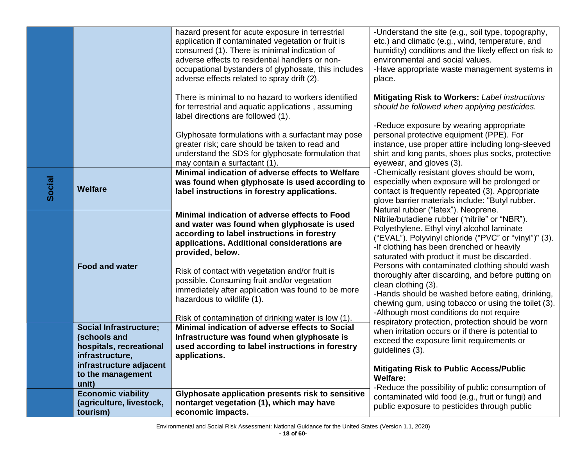|               |                                                                                             | hazard present for acute exposure in terrestrial<br>application if contaminated vegetation or fruit is<br>consumed (1). There is minimal indication of<br>adverse effects to residential handlers or non-<br>occupational bystanders of glyphosate, this includes<br>adverse effects related to spray drift (2). | -Understand the site (e.g., soil type, topography,<br>etc.) and climatic (e.g., wind, temperature, and<br>humidity) conditions and the likely effect on risk to<br>environmental and social values.<br>-Have appropriate waste management systems in<br>place.                     |
|---------------|---------------------------------------------------------------------------------------------|------------------------------------------------------------------------------------------------------------------------------------------------------------------------------------------------------------------------------------------------------------------------------------------------------------------|------------------------------------------------------------------------------------------------------------------------------------------------------------------------------------------------------------------------------------------------------------------------------------|
|               |                                                                                             | There is minimal to no hazard to workers identified<br>for terrestrial and aquatic applications, assuming<br>label directions are followed (1).                                                                                                                                                                  | <b>Mitigating Risk to Workers: Label instructions</b><br>should be followed when applying pesticides.<br>-Reduce exposure by wearing appropriate                                                                                                                                   |
|               |                                                                                             | Glyphosate formulations with a surfactant may pose<br>greater risk; care should be taken to read and<br>understand the SDS for glyphosate formulation that<br>may contain a surfactant (1).                                                                                                                      | personal protective equipment (PPE). For<br>instance, use proper attire including long-sleeved<br>shirt and long pants, shoes plus socks, protective<br>eyewear, and gloves (3).                                                                                                   |
| <b>Social</b> | <b>Welfare</b>                                                                              | Minimal indication of adverse effects to Welfare<br>was found when glyphosate is used according to<br>label instructions in forestry applications.                                                                                                                                                               | -Chemically resistant gloves should be worn,<br>especially when exposure will be prolonged or<br>contact is frequently repeated (3). Appropriate<br>glove barrier materials include: "Butyl rubber.<br>Natural rubber ("latex"). Neoprene.                                         |
|               |                                                                                             | Minimal indication of adverse effects to Food<br>and water was found when glyphosate is used<br>according to label instructions in forestry<br>applications. Additional considerations are<br>provided, below.                                                                                                   | Nitrile/butadiene rubber ("nitrile" or "NBR").<br>Polyethylene. Ethyl vinyl alcohol laminate<br>("EVAL"). Polyvinyl chloride ("PVC" or "vinyl")" (3).<br>-If clothing has been drenched or heavily<br>saturated with product it must be discarded.                                 |
|               | <b>Food and water</b>                                                                       | Risk of contact with vegetation and/or fruit is<br>possible. Consuming fruit and/or vegetation<br>immediately after application was found to be more<br>hazardous to wildlife (1).<br>Risk of contamination of drinking water is low (1).                                                                        | Persons with contaminated clothing should wash<br>thoroughly after discarding, and before putting on<br>clean clothing (3).<br>-Hands should be washed before eating, drinking,<br>chewing gum, using tobacco or using the toilet (3).<br>-Although most conditions do not require |
|               | <b>Social Infrastructure;</b><br>(schools and<br>hospitals, recreational<br>infrastructure, | Minimal indication of adverse effects to Social<br>Infrastructure was found when glyphosate is<br>used according to label instructions in forestry<br>applications.                                                                                                                                              | respiratory protection, protection should be worn<br>when irritation occurs or if there is potential to<br>exceed the exposure limit requirements or<br>guidelines (3).                                                                                                            |
|               | infrastructure adjacent<br>to the management<br>unit)                                       |                                                                                                                                                                                                                                                                                                                  | <b>Mitigating Risk to Public Access/Public</b><br>Welfare:<br>-Reduce the possibility of public consumption of                                                                                                                                                                     |
|               | <b>Economic viability</b><br>(agriculture, livestock,<br>tourism)                           | Glyphosate application presents risk to sensitive<br>nontarget vegetation (1), which may have<br>economic impacts.                                                                                                                                                                                               | contaminated wild food (e.g., fruit or fungi) and<br>public exposure to pesticides through public                                                                                                                                                                                  |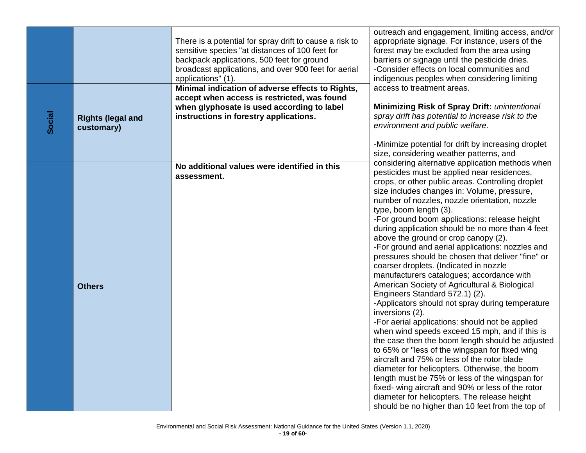|        |                                        | There is a potential for spray drift to cause a risk to<br>sensitive species "at distances of 100 feet for<br>backpack applications, 500 feet for ground<br>broadcast applications, and over 900 feet for aerial<br>applications" (1). | outreach and engagement, limiting access, and/or<br>appropriate signage. For instance, users of the<br>forest may be excluded from the area using<br>barriers or signage until the pesticide dries.<br>-Consider effects on local communities and<br>indigenous peoples when considering limiting                                                                                                                                                                                                                                                                                                                                                                                                                                                                                                                                                                                                                                                                                                                                                                                                                                                                                                                                                                                                           |
|--------|----------------------------------------|----------------------------------------------------------------------------------------------------------------------------------------------------------------------------------------------------------------------------------------|-------------------------------------------------------------------------------------------------------------------------------------------------------------------------------------------------------------------------------------------------------------------------------------------------------------------------------------------------------------------------------------------------------------------------------------------------------------------------------------------------------------------------------------------------------------------------------------------------------------------------------------------------------------------------------------------------------------------------------------------------------------------------------------------------------------------------------------------------------------------------------------------------------------------------------------------------------------------------------------------------------------------------------------------------------------------------------------------------------------------------------------------------------------------------------------------------------------------------------------------------------------------------------------------------------------|
| Social | <b>Rights (legal and</b><br>customary) | Minimal indication of adverse effects to Rights,<br>accept when access is restricted, was found<br>when glyphosate is used according to label<br>instructions in forestry applications.                                                | access to treatment areas.<br><b>Minimizing Risk of Spray Drift: unintentional</b><br>spray drift has potential to increase risk to the<br>environment and public welfare.<br>-Minimize potential for drift by increasing droplet<br>size, considering weather patterns, and                                                                                                                                                                                                                                                                                                                                                                                                                                                                                                                                                                                                                                                                                                                                                                                                                                                                                                                                                                                                                                |
|        | <b>Others</b>                          | No additional values were identified in this<br>assessment.                                                                                                                                                                            | considering alternative application methods when<br>pesticides must be applied near residences,<br>crops, or other public areas. Controlling droplet<br>size includes changes in: Volume, pressure,<br>number of nozzles, nozzle orientation, nozzle<br>type, boom length (3).<br>-For ground boom applications: release height<br>during application should be no more than 4 feet<br>above the ground or crop canopy (2).<br>-For ground and aerial applications: nozzles and<br>pressures should be chosen that deliver "fine" or<br>coarser droplets. (Indicated in nozzle<br>manufacturers catalogues; accordance with<br>American Society of Agricultural & Biological<br>Engineers Standard 572.1) (2).<br>-Applicators should not spray during temperature<br>inversions (2).<br>-For aerial applications: should not be applied<br>when wind speeds exceed 15 mph, and if this is<br>the case then the boom length should be adjusted<br>to 65% or "less of the wingspan for fixed wing<br>aircraft and 75% or less of the rotor blade<br>diameter for helicopters. Otherwise, the boom<br>length must be 75% or less of the wingspan for<br>fixed- wing aircraft and 90% or less of the rotor<br>diameter for helicopters. The release height<br>should be no higher than 10 feet from the top of |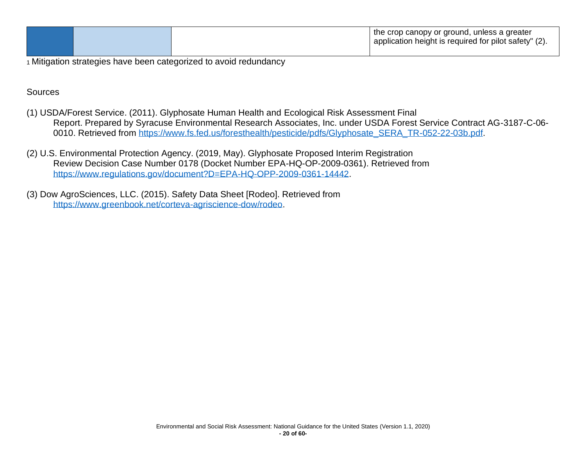|  | the crop canopy or ground, unless a greater<br>$\perp$ application height is required for pilot safety" (2). |
|--|--------------------------------------------------------------------------------------------------------------|
|  |                                                                                                              |

**Sources** 

- (1) USDA/Forest Service. (2011). Glyphosate Human Health and Ecological Risk Assessment Final Report. Prepared by Syracuse Environmental Research Associates, Inc. under USDA Forest Service Contract AG-3187-C-06 0010. Retrieved from [https://www.fs.fed.us/foresthealth/pesticide/pdfs/Glyphosate\\_SERA\\_TR-052-22-03b.pdf.](https://www.fs.fed.us/foresthealth/pesticide/pdfs/Glyphosate_SERA_TR-052-22-03b.pdf)
- (2) U.S. Environmental Protection Agency. (2019, May). Glyphosate Proposed Interim Registration Review Decision Case Number 0178 (Docket Number EPA-HQ-OP-2009-0361). Retrieved from [https://www.regulations.gov/document?D=EPA-HQ-OPP-2009-0361-14442.](https://www.regulations.gov/document?D=EPA-HQ-OPP-2009-0361-14442)
- (3) Dow AgroSciences, LLC. (2015). Safety Data Sheet [Rodeo]. Retrieved from [https://www.greenbook.net/corteva-agriscience-dow/rodeo.](https://www.greenbook.net/corteva-agriscience-dow/rodeo)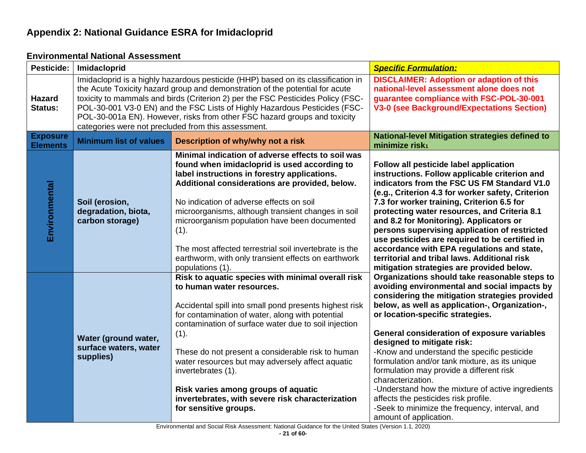## **Appendix 2: National Guidance ESRA for Imidacloprid**

<span id="page-21-1"></span><span id="page-21-0"></span>

| <b>Pesticide:</b>                  | Imidacloprid                                                                                                                                                                                                                                                                                                                                                                                                                                                           |                                                                                                                                                                                                                                                                                                                                                                                                                                                                                                                 | <b>Specific Formulation:</b>                                                                                                                                                                                                                                                                                                                                                                                                                                                                                                                                                                                                                                         |
|------------------------------------|------------------------------------------------------------------------------------------------------------------------------------------------------------------------------------------------------------------------------------------------------------------------------------------------------------------------------------------------------------------------------------------------------------------------------------------------------------------------|-----------------------------------------------------------------------------------------------------------------------------------------------------------------------------------------------------------------------------------------------------------------------------------------------------------------------------------------------------------------------------------------------------------------------------------------------------------------------------------------------------------------|----------------------------------------------------------------------------------------------------------------------------------------------------------------------------------------------------------------------------------------------------------------------------------------------------------------------------------------------------------------------------------------------------------------------------------------------------------------------------------------------------------------------------------------------------------------------------------------------------------------------------------------------------------------------|
| <b>Hazard</b><br><b>Status:</b>    | Imidacloprid is a highly hazardous pesticide (HHP) based on its classification in<br>the Acute Toxicity hazard group and demonstration of the potential for acute<br>toxicity to mammals and birds (Criterion 2) per the FSC Pesticides Policy (FSC-<br>POL-30-001 V3-0 EN) and the FSC Lists of Highly Hazardous Pesticides (FSC-<br>POL-30-001a EN). However, risks from other FSC hazard groups and toxicity<br>categories were not precluded from this assessment. |                                                                                                                                                                                                                                                                                                                                                                                                                                                                                                                 | <b>DISCLAIMER: Adoption or adaption of this</b><br>national-level assessment alone does not<br>guarantee compliance with FSC-POL-30-001<br><b>V3-0 (see Background/Expectations Section)</b>                                                                                                                                                                                                                                                                                                                                                                                                                                                                         |
| <b>Exposure</b><br><b>Elements</b> | <b>Minimum list of values</b>                                                                                                                                                                                                                                                                                                                                                                                                                                          | Description of why/why not a risk                                                                                                                                                                                                                                                                                                                                                                                                                                                                               | National-level Mitigation strategies defined to<br>minimize risk <sub>1</sub>                                                                                                                                                                                                                                                                                                                                                                                                                                                                                                                                                                                        |
| Environmental                      | Soil (erosion,<br>degradation, biota,<br>carbon storage)                                                                                                                                                                                                                                                                                                                                                                                                               | Minimal indication of adverse effects to soil was<br>found when imidacloprid is used according to<br>label instructions in forestry applications.<br>Additional considerations are provided, below.<br>No indication of adverse effects on soil<br>microorganisms, although transient changes in soil<br>microorganism population have been documented<br>(1).<br>The most affected terrestrial soil invertebrate is the<br>earthworm, with only transient effects on earthwork<br>populations (1).             | Follow all pesticide label application<br>instructions. Follow applicable criterion and<br>indicators from the FSC US FM Standard V1.0<br>(e.g., Criterion 4.3 for worker safety, Criterion<br>7.3 for worker training, Criterion 6.5 for<br>protecting water resources, and Criteria 8.1<br>and 8.2 for Monitoring). Applicators or<br>persons supervising application of restricted<br>use pesticides are required to be certified in<br>accordance with EPA regulations and state,<br>territorial and tribal laws. Additional risk<br>mitigation strategies are provided below.                                                                                   |
|                                    | Water (ground water,<br>surface waters, water<br>supplies)                                                                                                                                                                                                                                                                                                                                                                                                             | Risk to aquatic species with minimal overall risk<br>to human water resources.<br>Accidental spill into small pond presents highest risk<br>for contamination of water, along with potential<br>contamination of surface water due to soil injection<br>(1).<br>These do not present a considerable risk to human<br>water resources but may adversely affect aquatic<br>invertebrates (1).<br>Risk varies among groups of aquatic<br>invertebrates, with severe risk characterization<br>for sensitive groups. | Organizations should take reasonable steps to<br>avoiding environmental and social impacts by<br>considering the mitigation strategies provided<br>below, as well as application-, Organization-,<br>or location-specific strategies.<br><b>General consideration of exposure variables</b><br>designed to mitigate risk:<br>-Know and understand the specific pesticide<br>formulation and/or tank mixture, as its unique<br>formulation may provide a different risk<br>characterization.<br>-Understand how the mixture of active ingredients<br>affects the pesticides risk profile.<br>-Seek to minimize the frequency, interval, and<br>amount of application. |

#### **Environmental National Assessment**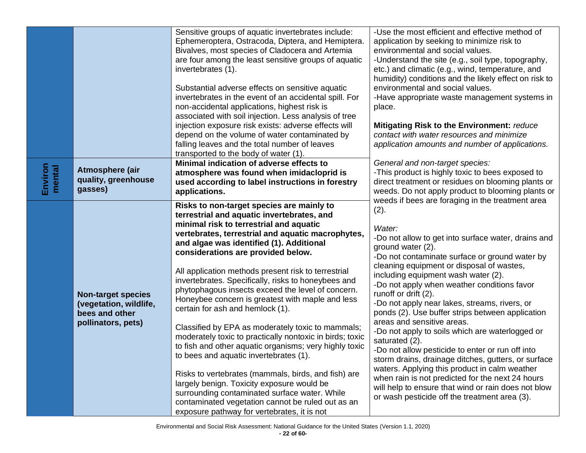|                   |                                                                                             | Sensitive groups of aquatic invertebrates include:<br>Ephemeroptera, Ostracoda, Diptera, and Hemiptera.<br>Bivalves, most species of Cladocera and Artemia<br>are four among the least sensitive groups of aquatic<br>invertebrates (1).                                                                                                                                                                                                                                                                                                                                                                                                                                                                                                                                                                                                                                                                                                                                                                            | -Use the most efficient and effective method of<br>application by seeking to minimize risk to<br>environmental and social values.<br>-Understand the site (e.g., soil type, topography,<br>etc.) and climatic (e.g., wind, temperature, and<br>humidity) conditions and the likely effect on risk to                                                                                                                                                                                                                                                                                                                                                                                                                                                                                                                                                                                        |
|-------------------|---------------------------------------------------------------------------------------------|---------------------------------------------------------------------------------------------------------------------------------------------------------------------------------------------------------------------------------------------------------------------------------------------------------------------------------------------------------------------------------------------------------------------------------------------------------------------------------------------------------------------------------------------------------------------------------------------------------------------------------------------------------------------------------------------------------------------------------------------------------------------------------------------------------------------------------------------------------------------------------------------------------------------------------------------------------------------------------------------------------------------|---------------------------------------------------------------------------------------------------------------------------------------------------------------------------------------------------------------------------------------------------------------------------------------------------------------------------------------------------------------------------------------------------------------------------------------------------------------------------------------------------------------------------------------------------------------------------------------------------------------------------------------------------------------------------------------------------------------------------------------------------------------------------------------------------------------------------------------------------------------------------------------------|
|                   |                                                                                             | Substantial adverse effects on sensitive aquatic<br>invertebrates in the event of an accidental spill. For<br>non-accidental applications, highest risk is<br>associated with soil injection. Less analysis of tree<br>injection exposure risk exists: adverse effects will<br>depend on the volume of water contaminated by                                                                                                                                                                                                                                                                                                                                                                                                                                                                                                                                                                                                                                                                                        | environmental and social values.<br>-Have appropriate waste management systems in<br>place.<br>Mitigating Risk to the Environment: reduce<br>contact with water resources and minimize                                                                                                                                                                                                                                                                                                                                                                                                                                                                                                                                                                                                                                                                                                      |
|                   |                                                                                             | falling leaves and the total number of leaves<br>transported to the body of water (1).                                                                                                                                                                                                                                                                                                                                                                                                                                                                                                                                                                                                                                                                                                                                                                                                                                                                                                                              | application amounts and number of applications.                                                                                                                                                                                                                                                                                                                                                                                                                                                                                                                                                                                                                                                                                                                                                                                                                                             |
| Environ<br>mental | Atmosphere (air<br>quality, greenhouse<br>gasses)                                           | Minimal indication of adverse effects to<br>atmosphere was found when imidacloprid is<br>used according to label instructions in forestry<br>applications.                                                                                                                                                                                                                                                                                                                                                                                                                                                                                                                                                                                                                                                                                                                                                                                                                                                          | General and non-target species:<br>-This product is highly toxic to bees exposed to<br>direct treatment or residues on blooming plants or<br>weeds. Do not apply product to blooming plants or                                                                                                                                                                                                                                                                                                                                                                                                                                                                                                                                                                                                                                                                                              |
|                   | <b>Non-target species</b><br>(vegetation, wildlife,<br>bees and other<br>pollinators, pets) | Risks to non-target species are mainly to<br>terrestrial and aquatic invertebrates, and<br>minimal risk to terrestrial and aquatic<br>vertebrates, terrestrial and aquatic macrophytes,<br>and algae was identified (1). Additional<br>considerations are provided below.<br>All application methods present risk to terrestrial<br>invertebrates. Specifically, risks to honeybees and<br>phytophagous insects exceed the level of concern.<br>Honeybee concern is greatest with maple and less<br>certain for ash and hemlock (1).<br>Classified by EPA as moderately toxic to mammals;<br>moderately toxic to practically nontoxic in birds; toxic<br>to fish and other aquatic organisms; very highly toxic<br>to bees and aquatic invertebrates (1).<br>Risks to vertebrates (mammals, birds, and fish) are<br>largely benign. Toxicity exposure would be<br>surrounding contaminated surface water. While<br>contaminated vegetation cannot be ruled out as an<br>exposure pathway for vertebrates, it is not | weeds if bees are foraging in the treatment area<br>(2).<br>Water:<br>-Do not allow to get into surface water, drains and<br>ground water (2).<br>-Do not contaminate surface or ground water by<br>cleaning equipment or disposal of wastes,<br>including equipment wash water (2).<br>-Do not apply when weather conditions favor<br>runoff or drift (2).<br>-Do not apply near lakes, streams, rivers, or<br>ponds (2). Use buffer strips between application<br>areas and sensitive areas.<br>-Do not apply to soils which are waterlogged or<br>saturated (2).<br>-Do not allow pesticide to enter or run off into<br>storm drains, drainage ditches, gutters, or surface<br>waters. Applying this product in calm weather<br>when rain is not predicted for the next 24 hours<br>will help to ensure that wind or rain does not blow<br>or wash pesticide off the treatment area (3). |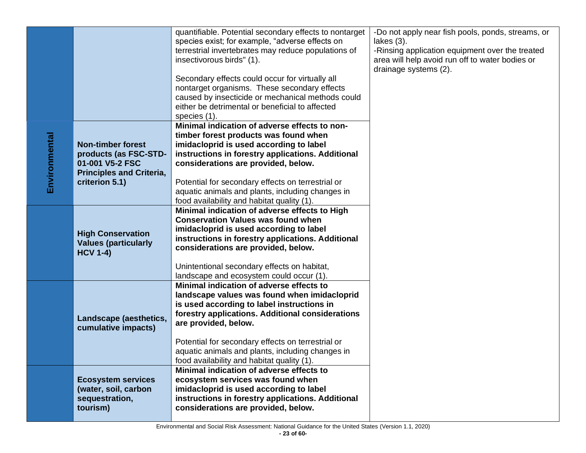|               |                                 | quantifiable. Potential secondary effects to nontarget | -Do not apply near fish pools, ponds, streams, or |
|---------------|---------------------------------|--------------------------------------------------------|---------------------------------------------------|
|               |                                 | species exist; for example, "adverse effects on        | lakes $(3)$ .                                     |
|               |                                 | terrestrial invertebrates may reduce populations of    | -Rinsing application equipment over the treated   |
|               |                                 | insectivorous birds" (1).                              | area will help avoid run off to water bodies or   |
|               |                                 |                                                        | drainage systems (2).                             |
|               |                                 | Secondary effects could occur for virtually all        |                                                   |
|               |                                 | nontarget organisms. These secondary effects           |                                                   |
|               |                                 | caused by insecticide or mechanical methods could      |                                                   |
|               |                                 | either be detrimental or beneficial to affected        |                                                   |
|               |                                 | species (1).                                           |                                                   |
|               |                                 | Minimal indication of adverse effects to non-          |                                                   |
|               |                                 | timber forest products was found when                  |                                                   |
|               | <b>Non-timber forest</b>        | imidacloprid is used according to label                |                                                   |
|               | products (as FSC-STD-           | instructions in forestry applications. Additional      |                                                   |
|               | 01-001 V5-2 FSC                 | considerations are provided, below.                    |                                                   |
| Environmental | <b>Principles and Criteria,</b> |                                                        |                                                   |
|               | criterion 5.1)                  | Potential for secondary effects on terrestrial or      |                                                   |
|               |                                 | aquatic animals and plants, including changes in       |                                                   |
|               |                                 | food availability and habitat quality (1).             |                                                   |
|               |                                 | Minimal indication of adverse effects to High          |                                                   |
|               |                                 | <b>Conservation Values was found when</b>              |                                                   |
|               | <b>High Conservation</b>        | imidacloprid is used according to label                |                                                   |
|               | <b>Values (particularly</b>     | instructions in forestry applications. Additional      |                                                   |
|               | <b>HCV 1-4)</b>                 | considerations are provided, below.                    |                                                   |
|               |                                 | Unintentional secondary effects on habitat,            |                                                   |
|               |                                 | landscape and ecosystem could occur (1).               |                                                   |
|               |                                 | Minimal indication of adverse effects to               |                                                   |
|               |                                 | landscape values was found when imidacloprid           |                                                   |
|               |                                 | is used according to label instructions in             |                                                   |
|               |                                 | forestry applications. Additional considerations       |                                                   |
|               | Landscape (aesthetics,          | are provided, below.                                   |                                                   |
|               | cumulative impacts)             |                                                        |                                                   |
|               |                                 | Potential for secondary effects on terrestrial or      |                                                   |
|               |                                 | aquatic animals and plants, including changes in       |                                                   |
|               |                                 | food availability and habitat quality (1).             |                                                   |
|               |                                 | Minimal indication of adverse effects to               |                                                   |
|               | <b>Ecosystem services</b>       | ecosystem services was found when                      |                                                   |
|               | (water, soil, carbon            | imidacloprid is used according to label                |                                                   |
|               | sequestration,                  | instructions in forestry applications. Additional      |                                                   |
|               | tourism)                        | considerations are provided, below.                    |                                                   |
|               |                                 |                                                        |                                                   |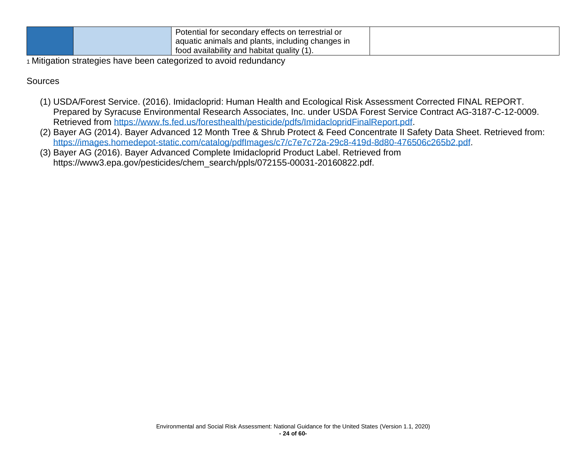| Potential for secondary effects on terrestrial or |  |
|---------------------------------------------------|--|
| aquatic animals and plants, including changes in  |  |
| $\mu$ food availability and habitat quality (1)   |  |

**Sources** 

- (1) USDA/Forest Service. (2016). Imidacloprid: Human Health and Ecological Risk Assessment Corrected FINAL REPORT. Prepared by Syracuse Environmental Research Associates, Inc. under USDA Forest Service Contract AG-3187-C-12-0009. Retrieved from [https://www.fs.fed.us/foresthealth/pesticide/pdfs/ImidaclopridFinalReport.pdf.](https://www.fs.fed.us/foresthealth/pesticide/pdfs/ImidaclopridFinalReport.pdf)
- (2) Bayer AG (2014). Bayer Advanced 12 Month Tree & Shrub Protect & Feed Concentrate II Safety Data Sheet. Retrieved from: [https://images.homedepot-static.com/catalog/pdfImages/c7/c7e7c72a-29c8-419d-8d80-476506c265b2.pdf.](https://images.homedepot-static.com/catalog/pdfImages/c7/c7e7c72a-29c8-419d-8d80-476506c265b2.pdf)
- (3) Bayer AG (2016). Bayer Advanced Complete Imidacloprid Product Label. Retrieved from https://www3.epa.gov/pesticides/chem\_search/ppls/072155-00031-20160822.pdf.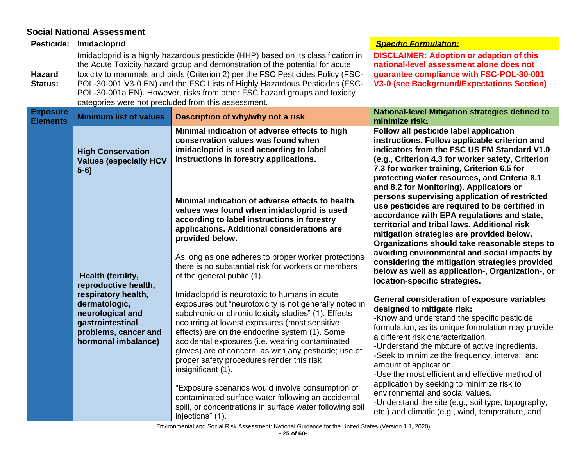## **Social National Assessment**

<span id="page-25-0"></span>

| <b>Pesticide:</b>                  | Imidacloprid                                                                                                                                                                                                                                                                                                                                                                                                                                                           |                                                                                                                                                                                                                                                                                                                                                                                                                                                                                                                                                                                                                                             | <b>Specific Formulation:</b>                                                                                                                                                                                                                                                                                                                                                                                                                                                                                                                                                                             |
|------------------------------------|------------------------------------------------------------------------------------------------------------------------------------------------------------------------------------------------------------------------------------------------------------------------------------------------------------------------------------------------------------------------------------------------------------------------------------------------------------------------|---------------------------------------------------------------------------------------------------------------------------------------------------------------------------------------------------------------------------------------------------------------------------------------------------------------------------------------------------------------------------------------------------------------------------------------------------------------------------------------------------------------------------------------------------------------------------------------------------------------------------------------------|----------------------------------------------------------------------------------------------------------------------------------------------------------------------------------------------------------------------------------------------------------------------------------------------------------------------------------------------------------------------------------------------------------------------------------------------------------------------------------------------------------------------------------------------------------------------------------------------------------|
| <b>Hazard</b><br>Status:           | Imidacloprid is a highly hazardous pesticide (HHP) based on its classification in<br>the Acute Toxicity hazard group and demonstration of the potential for acute<br>toxicity to mammals and birds (Criterion 2) per the FSC Pesticides Policy (FSC-<br>POL-30-001 V3-0 EN) and the FSC Lists of Highly Hazardous Pesticides (FSC-<br>POL-30-001a EN). However, risks from other FSC hazard groups and toxicity<br>categories were not precluded from this assessment. |                                                                                                                                                                                                                                                                                                                                                                                                                                                                                                                                                                                                                                             | <b>DISCLAIMER: Adoption or adaption of this</b><br>national-level assessment alone does not<br>guarantee compliance with FSC-POL-30-001<br><b>V3-0 (see Background/Expectations Section)</b>                                                                                                                                                                                                                                                                                                                                                                                                             |
| <b>Exposure</b><br><b>Elements</b> | <b>Minimum list of values</b>                                                                                                                                                                                                                                                                                                                                                                                                                                          | Description of why/why not a risk                                                                                                                                                                                                                                                                                                                                                                                                                                                                                                                                                                                                           | <b>National-level Mitigation strategies defined to</b><br>minimize risk <sub>1</sub>                                                                                                                                                                                                                                                                                                                                                                                                                                                                                                                     |
|                                    | <b>High Conservation</b><br><b>Values (especially HCV</b><br>$5-6)$                                                                                                                                                                                                                                                                                                                                                                                                    | Minimal indication of adverse effects to high<br>conservation values was found when<br>imidacloprid is used according to label<br>instructions in forestry applications.                                                                                                                                                                                                                                                                                                                                                                                                                                                                    | Follow all pesticide label application<br>instructions. Follow applicable criterion and<br>indicators from the FSC US FM Standard V1.0<br>(e.g., Criterion 4.3 for worker safety, Criterion<br>7.3 for worker training, Criterion 6.5 for<br>protecting water resources, and Criteria 8.1<br>and 8.2 for Monitoring). Applicators or                                                                                                                                                                                                                                                                     |
|                                    | <b>Health (fertility,</b><br>reproductive health,<br>respiratory health,<br>dermatologic,<br>neurological and<br>gastrointestinal<br>problems, cancer and<br>hormonal imbalance)                                                                                                                                                                                                                                                                                       | Minimal indication of adverse effects to health<br>values was found when imidacloprid is used<br>according to label instructions in forestry<br>applications. Additional considerations are<br>provided below.<br>As long as one adheres to proper worker protections<br>there is no substantial risk for workers or members<br>of the general public (1).                                                                                                                                                                                                                                                                                  | persons supervising application of restricted<br>use pesticides are required to be certified in<br>accordance with EPA regulations and state,<br>territorial and tribal laws. Additional risk<br>mitigation strategies are provided below.<br>Organizations should take reasonable steps to<br>avoiding environmental and social impacts by<br>considering the mitigation strategies provided<br>below as well as application-, Organization-, or<br>location-specific strategies.                                                                                                                       |
|                                    |                                                                                                                                                                                                                                                                                                                                                                                                                                                                        | Imidacloprid is neurotoxic to humans in acute<br>exposures but "neurotoxicity is not generally noted in<br>subchronic or chronic toxicity studies" (1). Effects<br>occurring at lowest exposures (most sensitive<br>effects) are on the endocrine system (1). Some<br>accidental exposures (i.e. wearing contaminated<br>gloves) are of concern: as with any pesticide; use of<br>proper safety procedures render this risk<br>insignificant (1).<br>"Exposure scenarios would involve consumption of<br>contaminated surface water following an accidental<br>spill, or concentrations in surface water following soil<br>injections" (1). | <b>General consideration of exposure variables</b><br>designed to mitigate risk:<br>-Know and understand the specific pesticide<br>formulation, as its unique formulation may provide<br>a different risk characterization.<br>-Understand the mixture of active ingredients.<br>-Seek to minimize the frequency, interval, and<br>amount of application.<br>-Use the most efficient and effective method of<br>application by seeking to minimize risk to<br>environmental and social values.<br>-Understand the site (e.g., soil type, topography,<br>etc.) and climatic (e.g., wind, temperature, and |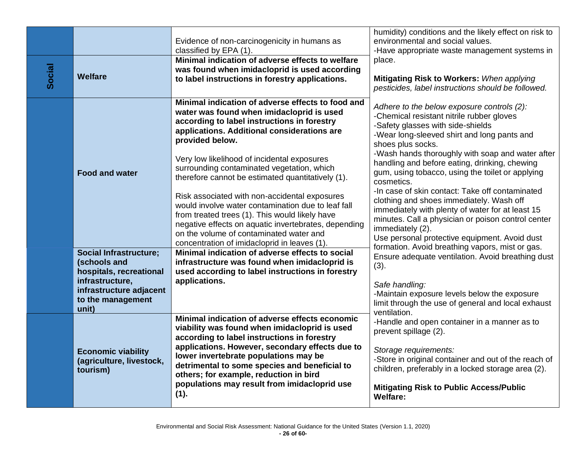|        |                                                                          | Evidence of non-carcinogenicity in humans as<br>classified by EPA (1).                                                                                                                                                                                                                                                                                                                        | humidity) conditions and the likely effect on risk to<br>environmental and social values.<br>-Have appropriate waste management systems in                                                                                                                                        |
|--------|--------------------------------------------------------------------------|-----------------------------------------------------------------------------------------------------------------------------------------------------------------------------------------------------------------------------------------------------------------------------------------------------------------------------------------------------------------------------------------------|-----------------------------------------------------------------------------------------------------------------------------------------------------------------------------------------------------------------------------------------------------------------------------------|
| Social | <b>Welfare</b>                                                           | Minimal indication of adverse effects to welfare<br>was found when imidacloprid is used according<br>to label instructions in forestry applications.                                                                                                                                                                                                                                          | place.<br>Mitigating Risk to Workers: When applying<br>pesticides, label instructions should be followed.                                                                                                                                                                         |
|        |                                                                          | Minimal indication of adverse effects to food and<br>water was found when imidacloprid is used<br>according to label instructions in forestry<br>applications. Additional considerations are<br>provided below.                                                                                                                                                                               | Adhere to the below exposure controls (2):<br>-Chemical resistant nitrile rubber gloves<br>-Safety glasses with side-shields<br>-Wear long-sleeved shirt and long pants and<br>shoes plus socks.                                                                                  |
|        | <b>Food and water</b>                                                    | Very low likelihood of incidental exposures<br>surrounding contaminated vegetation, which<br>therefore cannot be estimated quantitatively (1).                                                                                                                                                                                                                                                | -Wash hands thoroughly with soap and water after<br>handling and before eating, drinking, chewing<br>gum, using tobacco, using the toilet or applying<br>cosmetics.                                                                                                               |
|        |                                                                          | Risk associated with non-accidental exposures<br>would involve water contamination due to leaf fall<br>from treated trees (1). This would likely have<br>negative effects on aquatic invertebrates, depending<br>on the volume of contaminated water and<br>concentration of imidacloprid in leaves (1).                                                                                      | -In case of skin contact: Take off contaminated<br>clothing and shoes immediately. Wash off<br>immediately with plenty of water for at least 15<br>minutes. Call a physician or poison control center<br>immediately (2).<br>Use personal protective equipment. Avoid dust        |
|        | <b>Social Infrastructure;</b><br>(schools and<br>hospitals, recreational | Minimal indication of adverse effects to social<br>infrastructure was found when imidacloprid is<br>used according to label instructions in forestry                                                                                                                                                                                                                                          | formation. Avoid breathing vapors, mist or gas.<br>Ensure adequate ventilation. Avoid breathing dust<br>(3).                                                                                                                                                                      |
|        | infrastructure,<br>infrastructure adjacent<br>to the management<br>unit) | applications.                                                                                                                                                                                                                                                                                                                                                                                 | Safe handling:<br>-Maintain exposure levels below the exposure<br>limit through the use of general and local exhaust<br>ventilation.                                                                                                                                              |
|        | <b>Economic viability</b><br>(agriculture, livestock,<br>tourism)        | Minimal indication of adverse effects economic<br>viability was found when imidacloprid is used<br>according to label instructions in forestry<br>applications. However, secondary effects due to<br>lower invertebrate populations may be<br>detrimental to some species and beneficial to<br>others; for example, reduction in bird<br>populations may result from imidacloprid use<br>(1). | -Handle and open container in a manner as to<br>prevent spillage (2).<br>Storage requirements:<br>-Store in original container and out of the reach of<br>children, preferably in a locked storage area (2).<br><b>Mitigating Risk to Public Access/Public</b><br><b>Welfare:</b> |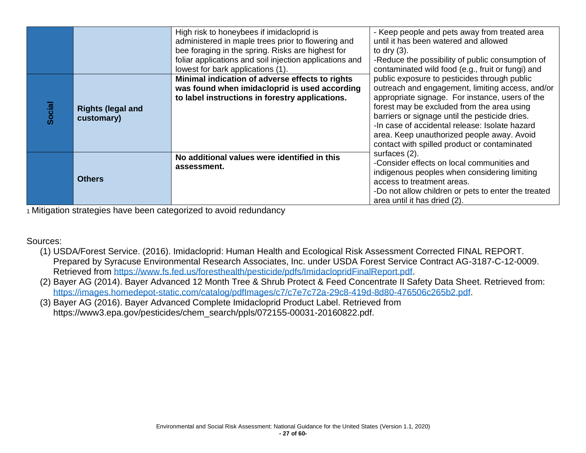|        |                                        | High risk to honeybees if imidacloprid is<br>administered in maple trees prior to flowering and<br>bee foraging in the spring. Risks are highest for<br>foliar applications and soil injection applications and<br>lowest for bark applications (1). | - Keep people and pets away from treated area<br>until it has been watered and allowed<br>to dry $(3)$ .<br>-Reduce the possibility of public consumption of<br>contaminated wild food (e.g., fruit or fungi) and                                                                                                                                                                                   |
|--------|----------------------------------------|------------------------------------------------------------------------------------------------------------------------------------------------------------------------------------------------------------------------------------------------------|-----------------------------------------------------------------------------------------------------------------------------------------------------------------------------------------------------------------------------------------------------------------------------------------------------------------------------------------------------------------------------------------------------|
| Social | <b>Rights (legal and</b><br>customary) | Minimal indication of adverse effects to rights<br>was found when imidacloprid is used according<br>to label instructions in forestry applications.                                                                                                  | public exposure to pesticides through public<br>outreach and engagement, limiting access, and/or<br>appropriate signage. For instance, users of the<br>forest may be excluded from the area using<br>barriers or signage until the pesticide dries.<br>-In case of accidental release: Isolate hazard<br>area. Keep unauthorized people away. Avoid<br>contact with spilled product or contaminated |
|        | <b>Others</b>                          | No additional values were identified in this<br>assessment.                                                                                                                                                                                          | surfaces (2).<br>-Consider effects on local communities and<br>indigenous peoples when considering limiting<br>access to treatment areas.<br>-Do not allow children or pets to enter the treated<br>area until it has dried (2).                                                                                                                                                                    |

#### Sources:

- (1) USDA/Forest Service. (2016). Imidacloprid: Human Health and Ecological Risk Assessment Corrected FINAL REPORT. Prepared by Syracuse Environmental Research Associates, Inc. under USDA Forest Service Contract AG-3187-C-12-0009. Retrieved from [https://www.fs.fed.us/foresthealth/pesticide/pdfs/ImidaclopridFinalReport.pdf.](https://www.fs.fed.us/foresthealth/pesticide/pdfs/ImidaclopridFinalReport.pdf)
- (2) Bayer AG (2014). Bayer Advanced 12 Month Tree & Shrub Protect & Feed Concentrate II Safety Data Sheet. Retrieved from: [https://images.homedepot-static.com/catalog/pdfImages/c7/c7e7c72a-29c8-419d-8d80-476506c265b2.pdf.](https://images.homedepot-static.com/catalog/pdfImages/c7/c7e7c72a-29c8-419d-8d80-476506c265b2.pdf)
- (3) Bayer AG (2016). Bayer Advanced Complete Imidacloprid Product Label. Retrieved from https://www3.epa.gov/pesticides/chem\_search/ppls/072155-00031-20160822.pdf.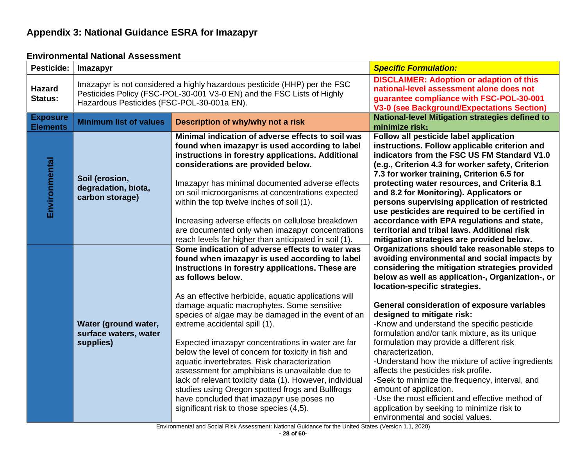## **Appendix 3: National Guidance ESRA for Imazapyr**

<span id="page-28-1"></span><span id="page-28-0"></span>

| <b>Pesticide:</b>                  | <b>Imazapyr</b>                                                                                                                                                                                   |                                                                                                                                                                                                                                                                                                                                                                                                                                                                                                                                                                                                                                                                                                                                                                                                | <b>Specific Formulation:</b>                                                                                                                                                                                                                                                                                                                                                                                                                                                                                                                                                                                                                                                                                                                                                                      |
|------------------------------------|---------------------------------------------------------------------------------------------------------------------------------------------------------------------------------------------------|------------------------------------------------------------------------------------------------------------------------------------------------------------------------------------------------------------------------------------------------------------------------------------------------------------------------------------------------------------------------------------------------------------------------------------------------------------------------------------------------------------------------------------------------------------------------------------------------------------------------------------------------------------------------------------------------------------------------------------------------------------------------------------------------|---------------------------------------------------------------------------------------------------------------------------------------------------------------------------------------------------------------------------------------------------------------------------------------------------------------------------------------------------------------------------------------------------------------------------------------------------------------------------------------------------------------------------------------------------------------------------------------------------------------------------------------------------------------------------------------------------------------------------------------------------------------------------------------------------|
| <b>Hazard</b><br>Status:           | Imazapyr is not considered a highly hazardous pesticide (HHP) per the FSC<br>Pesticides Policy (FSC-POL-30-001 V3-0 EN) and the FSC Lists of Highly<br>Hazardous Pesticides (FSC-POL-30-001a EN). |                                                                                                                                                                                                                                                                                                                                                                                                                                                                                                                                                                                                                                                                                                                                                                                                | <b>DISCLAIMER: Adoption or adaption of this</b><br>national-level assessment alone does not<br>guarantee compliance with FSC-POL-30-001<br><b>V3-0 (see Background/Expectations Section)</b>                                                                                                                                                                                                                                                                                                                                                                                                                                                                                                                                                                                                      |
| <b>Exposure</b><br><b>Elements</b> | <b>Minimum list of values</b>                                                                                                                                                                     | Description of why/why not a risk                                                                                                                                                                                                                                                                                                                                                                                                                                                                                                                                                                                                                                                                                                                                                              | <b>National-level Mitigation strategies defined to</b><br>minimize risk <sub>1</sub>                                                                                                                                                                                                                                                                                                                                                                                                                                                                                                                                                                                                                                                                                                              |
| Environmental                      | Soil (erosion,<br>degradation, biota,<br>carbon storage)                                                                                                                                          | Minimal indication of adverse effects to soil was<br>found when imazapyr is used according to label<br>instructions in forestry applications. Additional<br>considerations are provided below.<br>Imazapyr has minimal documented adverse effects<br>on soil microorganisms at concentrations expected<br>within the top twelve inches of soil (1).<br>Increasing adverse effects on cellulose breakdown<br>are documented only when imazapyr concentrations<br>reach levels far higher than anticipated in soil (1).                                                                                                                                                                                                                                                                          | Follow all pesticide label application<br>instructions. Follow applicable criterion and<br>indicators from the FSC US FM Standard V1.0<br>(e.g., Criterion 4.3 for worker safety, Criterion<br>7.3 for worker training, Criterion 6.5 for<br>protecting water resources, and Criteria 8.1<br>and 8.2 for Monitoring). Applicators or<br>persons supervising application of restricted<br>use pesticides are required to be certified in<br>accordance with EPA regulations and state,<br>territorial and tribal laws. Additional risk<br>mitigation strategies are provided below.                                                                                                                                                                                                                |
|                                    | Water (ground water,<br>surface waters, water<br>supplies)                                                                                                                                        | Some indication of adverse effects to water was<br>found when imazapyr is used according to label<br>instructions in forestry applications. These are<br>as follows below.<br>As an effective herbicide, aquatic applications will<br>damage aquatic macrophytes. Some sensitive<br>species of algae may be damaged in the event of an<br>extreme accidental spill (1).<br>Expected imazapyr concentrations in water are far<br>below the level of concern for toxicity in fish and<br>aquatic invertebrates. Risk characterization<br>assessment for amphibians is unavailable due to<br>lack of relevant toxicity data (1). However, individual<br>studies using Oregon spotted frogs and Bullfrogs<br>have concluded that imazapyr use poses no<br>significant risk to those species (4,5). | Organizations should take reasonable steps to<br>avoiding environmental and social impacts by<br>considering the mitigation strategies provided<br>below as well as application-, Organization-, or<br>location-specific strategies.<br>General consideration of exposure variables<br>designed to mitigate risk:<br>-Know and understand the specific pesticide<br>formulation and/or tank mixture, as its unique<br>formulation may provide a different risk<br>characterization.<br>-Understand how the mixture of active ingredients<br>affects the pesticides risk profile.<br>-Seek to minimize the frequency, interval, and<br>amount of application.<br>-Use the most efficient and effective method of<br>application by seeking to minimize risk to<br>environmental and social values. |

### **Environmental National Assessment**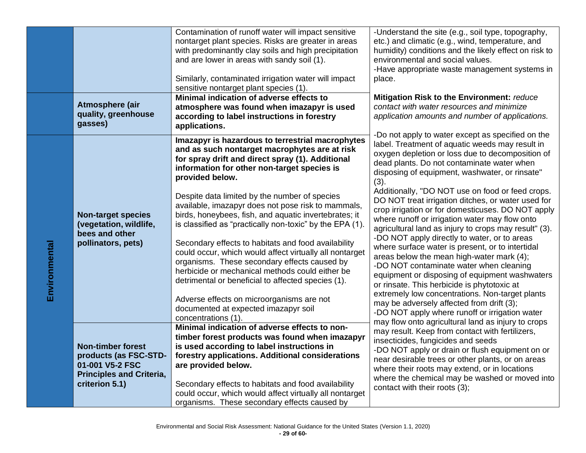|               |                                                                                                                           | Contamination of runoff water will impact sensitive<br>nontarget plant species. Risks are greater in areas<br>with predominantly clay soils and high precipitation<br>and are lower in areas with sandy soil (1).<br>Similarly, contaminated irrigation water will impact<br>sensitive nontarget plant species (1).                                                                                                                                                                                                                                                                                                                                                                                                                                                                                                                        | -Understand the site (e.g., soil type, topography,<br>etc.) and climatic (e.g., wind, temperature, and<br>humidity) conditions and the likely effect on risk to<br>environmental and social values.<br>-Have appropriate waste management systems in<br>place.                                                                                                                                                                                                                                                                                                                                                                                                                                                                                                                                                                                                                                                                                                                                                                                  |
|---------------|---------------------------------------------------------------------------------------------------------------------------|--------------------------------------------------------------------------------------------------------------------------------------------------------------------------------------------------------------------------------------------------------------------------------------------------------------------------------------------------------------------------------------------------------------------------------------------------------------------------------------------------------------------------------------------------------------------------------------------------------------------------------------------------------------------------------------------------------------------------------------------------------------------------------------------------------------------------------------------|-------------------------------------------------------------------------------------------------------------------------------------------------------------------------------------------------------------------------------------------------------------------------------------------------------------------------------------------------------------------------------------------------------------------------------------------------------------------------------------------------------------------------------------------------------------------------------------------------------------------------------------------------------------------------------------------------------------------------------------------------------------------------------------------------------------------------------------------------------------------------------------------------------------------------------------------------------------------------------------------------------------------------------------------------|
|               | Atmosphere (air<br>quality, greenhouse<br>gasses)                                                                         | Minimal indication of adverse effects to<br>atmosphere was found when imazapyr is used<br>according to label instructions in forestry<br>applications.                                                                                                                                                                                                                                                                                                                                                                                                                                                                                                                                                                                                                                                                                     | Mitigation Risk to the Environment: reduce<br>contact with water resources and minimize<br>application amounts and number of applications.                                                                                                                                                                                                                                                                                                                                                                                                                                                                                                                                                                                                                                                                                                                                                                                                                                                                                                      |
| Environmental | <b>Non-target species</b><br>(vegetation, wildlife,<br>bees and other<br>pollinators, pets)                               | Imazapyr is hazardous to terrestrial macrophytes<br>and as such nontarget macrophytes are at risk<br>for spray drift and direct spray (1). Additional<br>information for other non-target species is<br>provided below.<br>Despite data limited by the number of species<br>available, imazapyr does not pose risk to mammals,<br>birds, honeybees, fish, and aquatic invertebrates; it<br>is classified as "practically non-toxic" by the EPA (1).<br>Secondary effects to habitats and food availability<br>could occur, which would affect virtually all nontarget<br>organisms. These secondary effects caused by<br>herbicide or mechanical methods could either be<br>detrimental or beneficial to affected species (1).<br>Adverse effects on microorganisms are not<br>documented at expected imazapyr soil<br>concentrations (1). | -Do not apply to water except as specified on the<br>label. Treatment of aquatic weeds may result in<br>oxygen depletion or loss due to decomposition of<br>dead plants. Do not contaminate water when<br>disposing of equipment, washwater, or rinsate"<br>(3).<br>Additionally, "DO NOT use on food or feed crops.<br>DO NOT treat irrigation ditches, or water used for<br>crop irrigation or for domesticuses. DO NOT apply<br>where runoff or irrigation water may flow onto<br>agricultural land as injury to crops may result" (3).<br>-DO NOT apply directly to water, or to areas<br>where surface water is present, or to intertidal<br>areas below the mean high-water mark (4);<br>-DO NOT contaminate water when cleaning<br>equipment or disposing of equipment washwaters<br>or rinsate. This herbicide is phytotoxic at<br>extremely low concentrations. Non-target plants<br>may be adversely affected from drift (3);<br>-DO NOT apply where runoff or irrigation water<br>may flow onto agricultural land as injury to crops |
|               | <b>Non-timber forest</b><br>products (as FSC-STD-<br>01-001 V5-2 FSC<br><b>Principles and Criteria,</b><br>criterion 5.1) | Minimal indication of adverse effects to non-<br>timber forest products was found when imazapyr<br>is used according to label instructions in<br>forestry applications. Additional considerations<br>are provided below.<br>Secondary effects to habitats and food availability<br>could occur, which would affect virtually all nontarget<br>organisms. These secondary effects caused by                                                                                                                                                                                                                                                                                                                                                                                                                                                 | may result. Keep from contact with fertilizers,<br>insecticides, fungicides and seeds<br>-DO NOT apply or drain or flush equipment on or<br>near desirable trees or other plants, or on areas<br>where their roots may extend, or in locations<br>where the chemical may be washed or moved into<br>contact with their roots (3);                                                                                                                                                                                                                                                                                                                                                                                                                                                                                                                                                                                                                                                                                                               |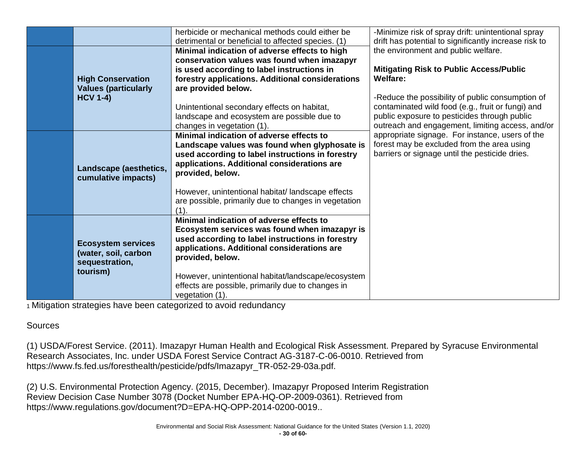|                             | herbicide or mechanical methods could either be      | -Minimize risk of spray drift: unintentional spray    |
|-----------------------------|------------------------------------------------------|-------------------------------------------------------|
|                             | detrimental or beneficial to affected species. (1)   | drift has potential to significantly increase risk to |
|                             | Minimal indication of adverse effects to high        | the environment and public welfare.                   |
|                             | conservation values was found when imazapyr          |                                                       |
|                             | is used according to label instructions in           | <b>Mitigating Risk to Public Access/Public</b>        |
| <b>High Conservation</b>    | forestry applications. Additional considerations     | <b>Welfare:</b>                                       |
| <b>Values (particularly</b> | are provided below.                                  |                                                       |
| <b>HCV 1-4)</b>             |                                                      | -Reduce the possibility of public consumption of      |
|                             | Unintentional secondary effects on habitat,          | contaminated wild food (e.g., fruit or fungi) and     |
|                             | landscape and ecosystem are possible due to          | public exposure to pesticides through public          |
|                             | changes in vegetation (1).                           | outreach and engagement, limiting access, and/or      |
|                             | Minimal indication of adverse effects to             | appropriate signage. For instance, users of the       |
|                             | Landscape values was found when glyphosate is        | forest may be excluded from the area using            |
|                             | used according to label instructions in forestry     | barriers or signage until the pesticide dries.        |
|                             | applications. Additional considerations are          |                                                       |
| Landscape (aesthetics,      | provided, below.                                     |                                                       |
| cumulative impacts)         |                                                      |                                                       |
|                             | However, unintentional habitat/landscape effects     |                                                       |
|                             | are possible, primarily due to changes in vegetation |                                                       |
|                             | (1)                                                  |                                                       |
|                             | Minimal indication of adverse effects to             |                                                       |
|                             | Ecosystem services was found when imazapyr is        |                                                       |
|                             | used according to label instructions in forestry     |                                                       |
| <b>Ecosystem services</b>   | applications. Additional considerations are          |                                                       |
| (water, soil, carbon        | provided, below.                                     |                                                       |
| sequestration,              |                                                      |                                                       |
| tourism)                    | However, unintentional habitat/landscape/ecosystem   |                                                       |
|                             | effects are possible, primarily due to changes in    |                                                       |
|                             | vegetation (1).                                      |                                                       |
|                             |                                                      |                                                       |

#### **Sources**

(1) USDA/Forest Service. (2011). Imazapyr Human Health and Ecological Risk Assessment. Prepared by Syracuse Environmental Research Associates, Inc. under USDA Forest Service Contract AG-3187-C-06-0010. Retrieved from https://www.fs.fed.us/foresthealth/pesticide/pdfs/Imazapyr\_TR-052-29-03a.pdf.

(2) U.S. Environmental Protection Agency. (2015, December). Imazapyr Proposed Interim Registration Review Decision Case Number 3078 (Docket Number EPA-HQ-OP-2009-0361). Retrieved from https://www.regulations.gov/document?D=EPA-HQ-OPP-2014-0200-0019..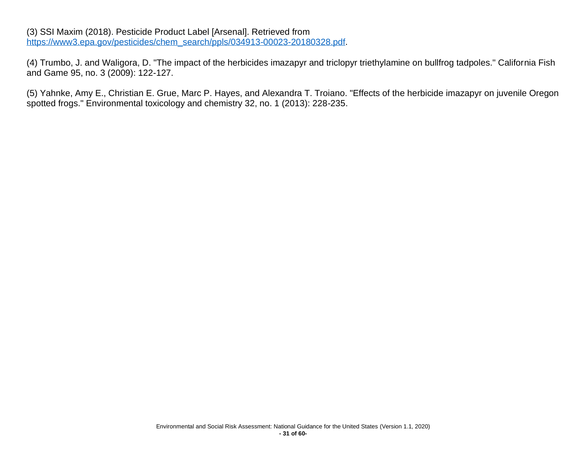#### (3) SSI Maxim (2018). Pesticide Product Label [Arsenal]. Retrieved from [https://www3.epa.gov/pesticides/chem\\_search/ppls/034913-00023-20180328.pdf.](https://www3.epa.gov/pesticides/chem_search/ppls/034913-00023-20180328.pdf)

(4) Trumbo, J. and Waligora, D. "The impact of the herbicides imazapyr and triclopyr triethylamine on bullfrog tadpoles." California Fish and Game 95, no. 3 (2009): 122-127.

(5) Yahnke, Amy E., Christian E. Grue, Marc P. Hayes, and Alexandra T. Troiano. "Effects of the herbicide imazapyr on juvenile Oregon spotted frogs." Environmental toxicology and chemistry 32, no. 1 (2013): 228-235.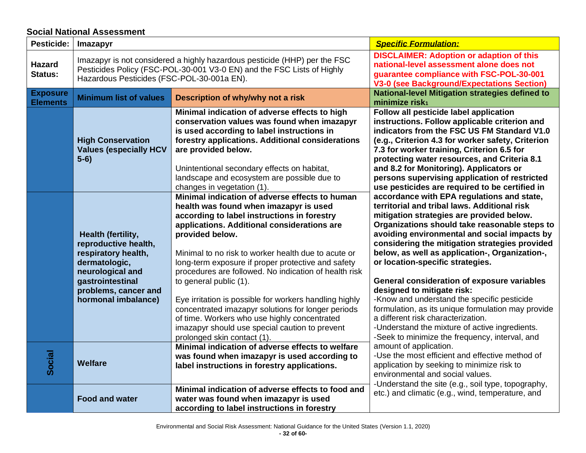## **Social National Assessment**

<span id="page-32-0"></span>

| <b>Pesticide:</b>                  | <b>Imazapyr</b>                                                                                                                                                                                   |                                                                                                                                                                                                                                                                                                                                                                                                           | <b>Specific Formulation:</b>                                                                                                                                                                                                                                                                                                                                                                                                                                         |
|------------------------------------|---------------------------------------------------------------------------------------------------------------------------------------------------------------------------------------------------|-----------------------------------------------------------------------------------------------------------------------------------------------------------------------------------------------------------------------------------------------------------------------------------------------------------------------------------------------------------------------------------------------------------|----------------------------------------------------------------------------------------------------------------------------------------------------------------------------------------------------------------------------------------------------------------------------------------------------------------------------------------------------------------------------------------------------------------------------------------------------------------------|
| <b>Hazard</b><br>Status:           | Imazapyr is not considered a highly hazardous pesticide (HHP) per the FSC<br>Pesticides Policy (FSC-POL-30-001 V3-0 EN) and the FSC Lists of Highly<br>Hazardous Pesticides (FSC-POL-30-001a EN). |                                                                                                                                                                                                                                                                                                                                                                                                           | <b>DISCLAIMER: Adoption or adaption of this</b><br>national-level assessment alone does not<br>guarantee compliance with FSC-POL-30-001<br><b>V3-0 (see Background/Expectations Section)</b>                                                                                                                                                                                                                                                                         |
| <b>Exposure</b><br><b>Elements</b> | <b>Minimum list of values</b>                                                                                                                                                                     | Description of why/why not a risk                                                                                                                                                                                                                                                                                                                                                                         | <b>National-level Mitigation strategies defined to</b><br>minimize risk <sub>1</sub>                                                                                                                                                                                                                                                                                                                                                                                 |
|                                    | <b>High Conservation</b><br><b>Values (especially HCV</b><br>$5-6)$                                                                                                                               | Minimal indication of adverse effects to high<br>conservation values was found when imazapyr<br>is used according to label instructions in<br>forestry applications. Additional considerations<br>are provided below.<br>Unintentional secondary effects on habitat,<br>landscape and ecosystem are possible due to<br>changes in vegetation (1).                                                         | Follow all pesticide label application<br>instructions. Follow applicable criterion and<br>indicators from the FSC US FM Standard V1.0<br>(e.g., Criterion 4.3 for worker safety, Criterion<br>7.3 for worker training, Criterion 6.5 for<br>protecting water resources, and Criteria 8.1<br>and 8.2 for Monitoring). Applicators or<br>persons supervising application of restricted<br>use pesticides are required to be certified in                              |
|                                    | Health (fertility,<br>reproductive health,<br>respiratory health,<br>dermatologic,<br>neurological and<br>gastrointestinal<br>problems, cancer and                                                | Minimal indication of adverse effects to human<br>health was found when imazapyr is used<br>according to label instructions in forestry<br>applications. Additional considerations are<br>provided below.<br>Minimal to no risk to worker health due to acute or<br>long-term exposure if proper protective and safety<br>procedures are followed. No indication of health risk<br>to general public (1). | accordance with EPA regulations and state,<br>territorial and tribal laws. Additional risk<br>mitigation strategies are provided below.<br>Organizations should take reasonable steps to<br>avoiding environmental and social impacts by<br>considering the mitigation strategies provided<br>below, as well as application-, Organization-,<br>or location-specific strategies.<br><b>General consideration of exposure variables</b><br>designed to mitigate risk: |
|                                    | hormonal imbalance)                                                                                                                                                                               | Eye irritation is possible for workers handling highly<br>concentrated imazapyr solutions for longer periods<br>of time. Workers who use highly concentrated<br>imazapyr should use special caution to prevent<br>prolonged skin contact (1).                                                                                                                                                             | -Know and understand the specific pesticide<br>formulation, as its unique formulation may provide<br>a different risk characterization.<br>-Understand the mixture of active ingredients.<br>-Seek to minimize the frequency, interval, and                                                                                                                                                                                                                          |
| Social                             | <b>Welfare</b>                                                                                                                                                                                    | Minimal indication of adverse effects to welfare<br>was found when imazapyr is used according to<br>label instructions in forestry applications.                                                                                                                                                                                                                                                          | amount of application.<br>-Use the most efficient and effective method of<br>application by seeking to minimize risk to<br>environmental and social values.<br>-Understand the site (e.g., soil type, topography,                                                                                                                                                                                                                                                    |
|                                    | <b>Food and water</b>                                                                                                                                                                             | Minimal indication of adverse effects to food and<br>water was found when imazapyr is used<br>according to label instructions in forestry                                                                                                                                                                                                                                                                 | etc.) and climatic (e.g., wind, temperature, and                                                                                                                                                                                                                                                                                                                                                                                                                     |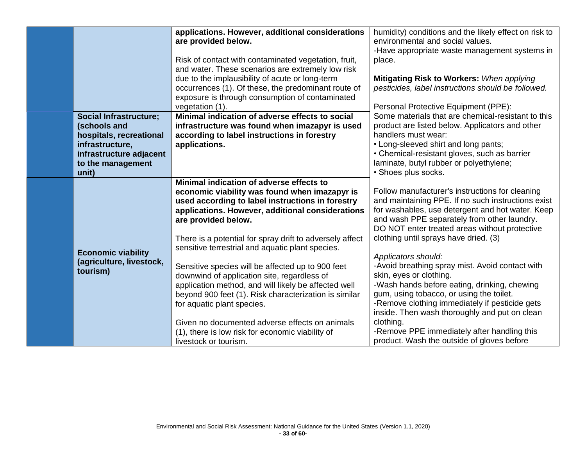|  |                                                                                                                                             | applications. However, additional considerations<br>are provided below.                                                                                                                                                                         | humidity) conditions and the likely effect on risk to<br>environmental and social values.<br>-Have appropriate waste management systems in                                                                                                                                                       |
|--|---------------------------------------------------------------------------------------------------------------------------------------------|-------------------------------------------------------------------------------------------------------------------------------------------------------------------------------------------------------------------------------------------------|--------------------------------------------------------------------------------------------------------------------------------------------------------------------------------------------------------------------------------------------------------------------------------------------------|
|  |                                                                                                                                             | Risk of contact with contaminated vegetation, fruit,<br>and water. These scenarios are extremely low risk                                                                                                                                       | place.                                                                                                                                                                                                                                                                                           |
|  |                                                                                                                                             | due to the implausibility of acute or long-term<br>occurrences (1). Of these, the predominant route of<br>exposure is through consumption of contaminated                                                                                       | Mitigating Risk to Workers: When applying<br>pesticides, label instructions should be followed.                                                                                                                                                                                                  |
|  |                                                                                                                                             | vegetation (1).                                                                                                                                                                                                                                 | Personal Protective Equipment (PPE):                                                                                                                                                                                                                                                             |
|  | <b>Social Infrastructure;</b><br>(schools and<br>hospitals, recreational<br>infrastructure,<br>infrastructure adjacent<br>to the management | Minimal indication of adverse effects to social<br>infrastructure was found when imazapyr is used<br>according to label instructions in forestry<br>applications.                                                                               | Some materials that are chemical-resistant to this<br>product are listed below. Applicators and other<br>handlers must wear:<br>• Long-sleeved shirt and long pants;<br>• Chemical-resistant gloves, such as barrier<br>laminate, butyl rubber or polyethylene;                                  |
|  | unit)                                                                                                                                       |                                                                                                                                                                                                                                                 | · Shoes plus socks.                                                                                                                                                                                                                                                                              |
|  |                                                                                                                                             | Minimal indication of adverse effects to<br>economic viability was found when imazapyr is<br>used according to label instructions in forestry<br>applications. However, additional considerations<br>are provided below.                        | Follow manufacturer's instructions for cleaning<br>and maintaining PPE. If no such instructions exist<br>for washables, use detergent and hot water. Keep<br>and wash PPE separately from other laundry.<br>DO NOT enter treated areas without protective                                        |
|  | <b>Economic viability</b>                                                                                                                   | There is a potential for spray drift to adversely affect<br>sensitive terrestrial and aquatic plant species.                                                                                                                                    | clothing until sprays have dried. (3)                                                                                                                                                                                                                                                            |
|  | (agriculture, livestock,<br>tourism)                                                                                                        | Sensitive species will be affected up to 900 feet<br>downwind of application site, regardless of<br>application method, and will likely be affected well<br>beyond 900 feet (1). Risk characterization is similar<br>for aquatic plant species. | Applicators should:<br>-Avoid breathing spray mist. Avoid contact with<br>skin, eyes or clothing.<br>-Wash hands before eating, drinking, chewing<br>gum, using tobacco, or using the toilet.<br>-Remove clothing immediately if pesticide gets<br>inside. Then wash thoroughly and put on clean |
|  |                                                                                                                                             | Given no documented adverse effects on animals<br>(1), there is low risk for economic viability of                                                                                                                                              | clothing.<br>-Remove PPE immediately after handling this                                                                                                                                                                                                                                         |
|  |                                                                                                                                             | livestock or tourism.                                                                                                                                                                                                                           | product. Wash the outside of gloves before                                                                                                                                                                                                                                                       |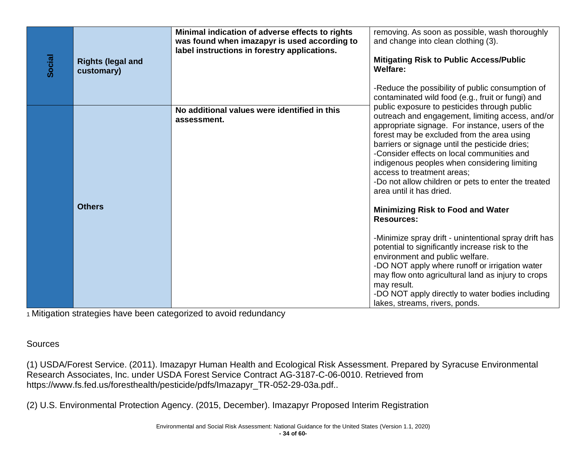| Social | <b>Rights (legal and</b><br>customary) | Minimal indication of adverse effects to rights<br>was found when imazapyr is used according to<br>label instructions in forestry applications. | removing. As soon as possible, wash thoroughly<br>and change into clean clothing (3).<br><b>Mitigating Risk to Public Access/Public</b><br><b>Welfare:</b><br>-Reduce the possibility of public consumption of<br>contaminated wild food (e.g., fruit or fungi) and                                                                                                                                                                                                                                                                                                                                                                                                                                                                                                                                                                                                                             |
|--------|----------------------------------------|-------------------------------------------------------------------------------------------------------------------------------------------------|-------------------------------------------------------------------------------------------------------------------------------------------------------------------------------------------------------------------------------------------------------------------------------------------------------------------------------------------------------------------------------------------------------------------------------------------------------------------------------------------------------------------------------------------------------------------------------------------------------------------------------------------------------------------------------------------------------------------------------------------------------------------------------------------------------------------------------------------------------------------------------------------------|
|        | <b>Others</b>                          | No additional values were identified in this<br>assessment.                                                                                     | public exposure to pesticides through public<br>outreach and engagement, limiting access, and/or<br>appropriate signage. For instance, users of the<br>forest may be excluded from the area using<br>barriers or signage until the pesticide dries;<br>-Consider effects on local communities and<br>indigenous peoples when considering limiting<br>access to treatment areas;<br>-Do not allow children or pets to enter the treated<br>area until it has dried.<br><b>Minimizing Risk to Food and Water</b><br><b>Resources:</b><br>-Minimize spray drift - unintentional spray drift has<br>potential to significantly increase risk to the<br>environment and public welfare.<br>-DO NOT apply where runoff or irrigation water<br>may flow onto agricultural land as injury to crops<br>may result.<br>-DO NOT apply directly to water bodies including<br>lakes, streams, rivers, ponds. |

Sources

(1) USDA/Forest Service. (2011). Imazapyr Human Health and Ecological Risk Assessment. Prepared by Syracuse Environmental Research Associates, Inc. under USDA Forest Service Contract AG-3187-C-06-0010. Retrieved from https://www.fs.fed.us/foresthealth/pesticide/pdfs/Imazapyr\_TR-052-29-03a.pdf..

(2) U.S. Environmental Protection Agency. (2015, December). Imazapyr Proposed Interim Registration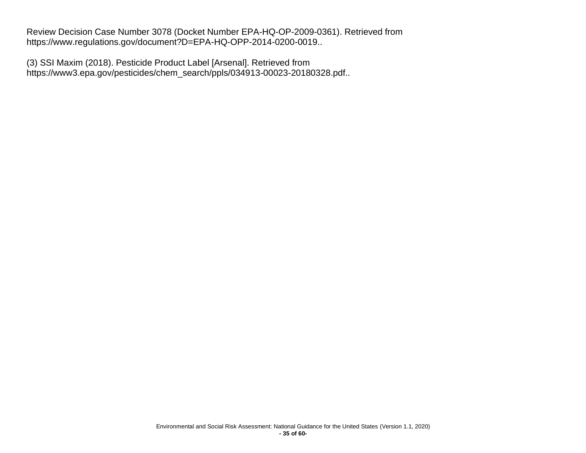Review Decision Case Number 3078 (Docket Number EPA-HQ-OP-2009-0361). Retrieved from https://www.regulations.gov/document?D=EPA-HQ-OPP-2014-0200-0019..

(3) SSI Maxim (2018). Pesticide Product Label [Arsenal]. Retrieved from https://www3.epa.gov/pesticides/chem\_search/ppls/034913-00023-20180328.pdf..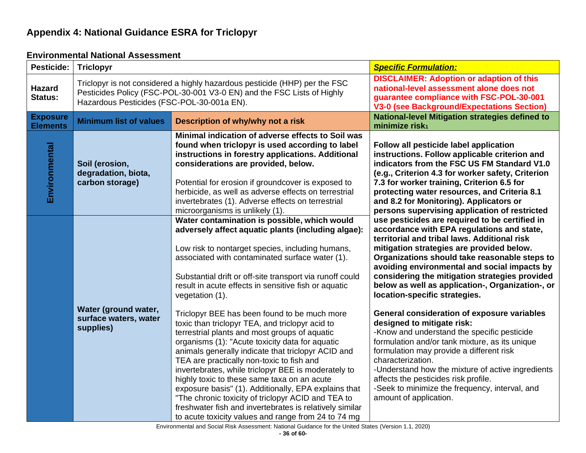# **Appendix 4: National Guidance ESRA for Triclopyr**

#### **Environmental National Assessment**

<span id="page-36-1"></span><span id="page-36-0"></span>

| Pesticide:                         | <b>Triclopyr</b>                                                                                                                                                                                   |                                                                                                                                                                                                                                                                                                                                                                                                                                                                                                                                                                                                                                              | <b>Specific Formulation:</b>                                                                                                                                                                                                                                                                                                                                                                                                      |
|------------------------------------|----------------------------------------------------------------------------------------------------------------------------------------------------------------------------------------------------|----------------------------------------------------------------------------------------------------------------------------------------------------------------------------------------------------------------------------------------------------------------------------------------------------------------------------------------------------------------------------------------------------------------------------------------------------------------------------------------------------------------------------------------------------------------------------------------------------------------------------------------------|-----------------------------------------------------------------------------------------------------------------------------------------------------------------------------------------------------------------------------------------------------------------------------------------------------------------------------------------------------------------------------------------------------------------------------------|
| <b>Hazard</b><br>Status:           | Triclopyr is not considered a highly hazardous pesticide (HHP) per the FSC<br>Pesticides Policy (FSC-POL-30-001 V3-0 EN) and the FSC Lists of Highly<br>Hazardous Pesticides (FSC-POL-30-001a EN). |                                                                                                                                                                                                                                                                                                                                                                                                                                                                                                                                                                                                                                              | <b>DISCLAIMER: Adoption or adaption of this</b><br>national-level assessment alone does not<br>guarantee compliance with FSC-POL-30-001<br><b>V3-0 (see Background/Expectations Section)</b>                                                                                                                                                                                                                                      |
| <b>Exposure</b><br><b>Elements</b> | <b>Minimum list of values</b>                                                                                                                                                                      | Description of why/why not a risk                                                                                                                                                                                                                                                                                                                                                                                                                                                                                                                                                                                                            | <b>National-level Mitigation strategies defined to</b><br>minimize risk <sub>1</sub>                                                                                                                                                                                                                                                                                                                                              |
| Environmental                      | Soil (erosion,<br>degradation, biota,<br>carbon storage)                                                                                                                                           | Minimal indication of adverse effects to Soil was<br>found when triclopyr is used according to label<br>instructions in forestry applications. Additional<br>considerations are provided, below.<br>Potential for erosion if groundcover is exposed to<br>herbicide, as well as adverse effects on terrestrial<br>invertebrates (1). Adverse effects on terrestrial<br>microorganisms is unlikely (1).                                                                                                                                                                                                                                       | Follow all pesticide label application<br>instructions. Follow applicable criterion and<br>indicators from the FSC US FM Standard V1.0<br>(e.g., Criterion 4.3 for worker safety, Criterion<br>7.3 for worker training, Criterion 6.5 for<br>protecting water resources, and Criteria 8.1<br>and 8.2 for Monitoring). Applicators or<br>persons supervising application of restricted                                             |
|                                    |                                                                                                                                                                                                    | Water contamination is possible, which would<br>adversely affect aquatic plants (including algae):<br>Low risk to nontarget species, including humans,<br>associated with contaminated surface water (1).<br>Substantial drift or off-site transport via runoff could<br>result in acute effects in sensitive fish or aquatic<br>vegetation (1).                                                                                                                                                                                                                                                                                             | use pesticides are required to be certified in<br>accordance with EPA regulations and state,<br>territorial and tribal laws. Additional risk<br>mitigation strategies are provided below.<br>Organizations should take reasonable steps to<br>avoiding environmental and social impacts by<br>considering the mitigation strategies provided<br>below as well as application-, Organization-, or<br>location-specific strategies. |
|                                    | Water (ground water,<br>surface waters, water<br>supplies)                                                                                                                                         | Triclopyr BEE has been found to be much more<br>toxic than triclopyr TEA, and triclopyr acid to<br>terrestrial plants and most groups of aquatic<br>organisms (1): "Acute toxicity data for aquatic<br>animals generally indicate that triclopyr ACID and<br>TEA are practically non-toxic to fish and<br>invertebrates, while triclopyr BEE is moderately to<br>highly toxic to these same taxa on an acute<br>exposure basis" (1). Additionally, EPA explains that<br>"The chronic toxicity of triclopyr ACID and TEA to<br>freshwater fish and invertebrates is relatively similar<br>to acute toxicity values and range from 24 to 74 mg | General consideration of exposure variables<br>designed to mitigate risk:<br>-Know and understand the specific pesticide<br>formulation and/or tank mixture, as its unique<br>formulation may provide a different risk<br>characterization.<br>-Understand how the mixture of active ingredients<br>affects the pesticides risk profile.<br>-Seek to minimize the frequency, interval, and<br>amount of application.              |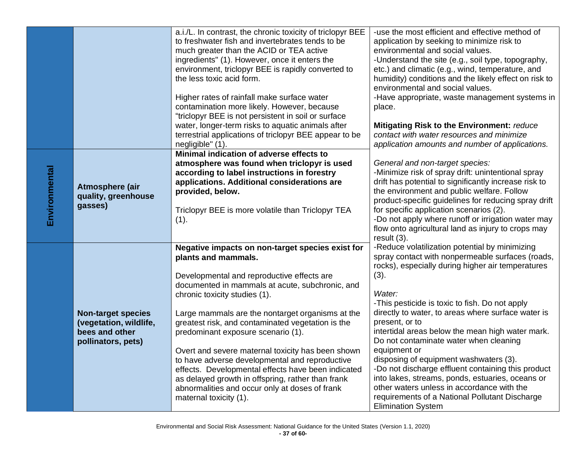|               |                           | a.i./L. In contrast, the chronic toxicity of triclopyr BEE | -use the most efficient and effective method of                                                                                                             |
|---------------|---------------------------|------------------------------------------------------------|-------------------------------------------------------------------------------------------------------------------------------------------------------------|
|               |                           | to freshwater fish and invertebrates tends to be           | application by seeking to minimize risk to                                                                                                                  |
|               |                           | much greater than the ACID or TEA active                   | environmental and social values.                                                                                                                            |
|               |                           | ingredients" (1). However, once it enters the              | -Understand the site (e.g., soil type, topography,                                                                                                          |
|               |                           | environment, triclopyr BEE is rapidly converted to         | etc.) and climatic (e.g., wind, temperature, and                                                                                                            |
|               |                           | the less toxic acid form.                                  | humidity) conditions and the likely effect on risk to                                                                                                       |
|               |                           |                                                            | environmental and social values.                                                                                                                            |
|               |                           |                                                            |                                                                                                                                                             |
|               |                           | Higher rates of rainfall make surface water                | -Have appropriate, waste management systems in                                                                                                              |
|               |                           | contamination more likely. However, because                | place.                                                                                                                                                      |
|               |                           | "triclopyr BEE is not persistent in soil or surface        |                                                                                                                                                             |
|               |                           | water, longer-term risks to aquatic animals after          | Mitigating Risk to the Environment: reduce                                                                                                                  |
|               |                           | terrestrial applications of triclopyr BEE appear to be     | contact with water resources and minimize                                                                                                                   |
|               |                           | negligible" (1).                                           | application amounts and number of applications.                                                                                                             |
|               |                           | Minimal indication of adverse effects to                   |                                                                                                                                                             |
|               |                           | atmosphere was found when triclopyr is used                | General and non-target species:                                                                                                                             |
|               |                           | according to label instructions in forestry                | -Minimize risk of spray drift: unintentional spray                                                                                                          |
|               |                           | applications. Additional considerations are                | drift has potential to significantly increase risk to<br>the environment and public welfare. Follow<br>product-specific guidelines for reducing spray drift |
|               | Atmosphere (air           | provided, below.                                           |                                                                                                                                                             |
| Environmental | quality, greenhouse       |                                                            |                                                                                                                                                             |
|               | gasses)                   | Triclopyr BEE is more volatile than Triclopyr TEA          | for specific application scenarios (2).                                                                                                                     |
|               |                           | (1).                                                       | -Do not apply where runoff or irrigation water may                                                                                                          |
|               |                           |                                                            | flow onto agricultural land as injury to crops may                                                                                                          |
|               |                           |                                                            | result $(3)$ .                                                                                                                                              |
|               |                           | Negative impacts on non-target species exist for           | -Reduce volatilization potential by minimizing                                                                                                              |
|               |                           | plants and mammals.                                        | spray contact with nonpermeable surfaces (roads,                                                                                                            |
|               |                           |                                                            | rocks), especially during higher air temperatures                                                                                                           |
|               |                           |                                                            | (3).                                                                                                                                                        |
|               |                           | Developmental and reproductive effects are                 |                                                                                                                                                             |
|               |                           | documented in mammals at acute, subchronic, and            |                                                                                                                                                             |
|               |                           | chronic toxicity studies (1).                              | Water:                                                                                                                                                      |
|               |                           |                                                            | -This pesticide is toxic to fish. Do not apply                                                                                                              |
|               | <b>Non-target species</b> | Large mammals are the nontarget organisms at the           | directly to water, to areas where surface water is                                                                                                          |
|               | (vegetation, wildlife,    | greatest risk, and contaminated vegetation is the          | present, or to                                                                                                                                              |
|               | bees and other            | predominant exposure scenario (1).                         | intertidal areas below the mean high water mark.                                                                                                            |
|               | pollinators, pets)        |                                                            | Do not contaminate water when cleaning                                                                                                                      |
|               |                           | Overt and severe maternal toxicity has been shown          | equipment or                                                                                                                                                |
|               |                           | to have adverse developmental and reproductive             | disposing of equipment washwaters (3).                                                                                                                      |
|               |                           | effects. Developmental effects have been indicated         | -Do not discharge effluent containing this product                                                                                                          |
|               |                           | as delayed growth in offspring, rather than frank          | into lakes, streams, ponds, estuaries, oceans or                                                                                                            |
|               |                           | abnormalities and occur only at doses of frank             | other waters unless in accordance with the                                                                                                                  |
|               |                           | maternal toxicity (1).                                     | requirements of a National Pollutant Discharge                                                                                                              |
|               |                           |                                                            | <b>Elimination System</b>                                                                                                                                   |
|               |                           |                                                            |                                                                                                                                                             |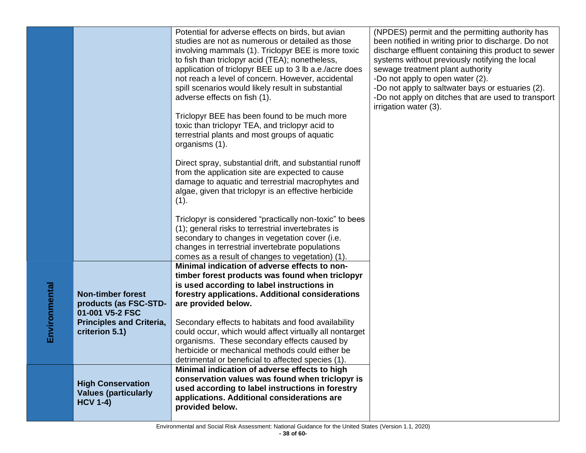|               |                                                                                                                           | Potential for adverse effects on birds, but avian<br>studies are not as numerous or detailed as those<br>involving mammals (1). Triclopyr BEE is more toxic<br>to fish than triclopyr acid (TEA); nonetheless,<br>application of triclopyr BEE up to 3 lb a.e./acre does<br>not reach a level of concern. However, accidental<br>spill scenarios would likely result in substantial<br>adverse effects on fish (1).<br>Triclopyr BEE has been found to be much more<br>toxic than triclopyr TEA, and triclopyr acid to<br>terrestrial plants and most groups of aquatic<br>organisms (1).<br>Direct spray, substantial drift, and substantial runoff<br>from the application site are expected to cause<br>damage to aquatic and terrestrial macrophytes and<br>algae, given that triclopyr is an effective herbicide<br>(1). | (NPDES) permit and the permitting authority has<br>been notified in writing prior to discharge. Do not<br>discharge effluent containing this product to sewer<br>systems without previously notifying the local<br>sewage treatment plant authority<br>-Do not apply to open water (2).<br>-Do not apply to saltwater bays or estuaries (2).<br>-Do not apply on ditches that are used to transport<br>irrigation water (3). |
|---------------|---------------------------------------------------------------------------------------------------------------------------|-------------------------------------------------------------------------------------------------------------------------------------------------------------------------------------------------------------------------------------------------------------------------------------------------------------------------------------------------------------------------------------------------------------------------------------------------------------------------------------------------------------------------------------------------------------------------------------------------------------------------------------------------------------------------------------------------------------------------------------------------------------------------------------------------------------------------------|------------------------------------------------------------------------------------------------------------------------------------------------------------------------------------------------------------------------------------------------------------------------------------------------------------------------------------------------------------------------------------------------------------------------------|
|               |                                                                                                                           | Triclopyr is considered "practically non-toxic" to bees<br>(1); general risks to terrestrial invertebrates is<br>secondary to changes in vegetation cover (i.e.<br>changes in terrestrial invertebrate populations<br>comes as a result of changes to vegetation) (1).                                                                                                                                                                                                                                                                                                                                                                                                                                                                                                                                                        |                                                                                                                                                                                                                                                                                                                                                                                                                              |
| Environmental | <b>Non-timber forest</b><br>products (as FSC-STD-<br>01-001 V5-2 FSC<br><b>Principles and Criteria,</b><br>criterion 5.1) | Minimal indication of adverse effects to non-<br>timber forest products was found when triclopyr<br>is used according to label instructions in<br>forestry applications. Additional considerations<br>are provided below.<br>Secondary effects to habitats and food availability<br>could occur, which would affect virtually all nontarget<br>organisms. These secondary effects caused by<br>herbicide or mechanical methods could either be<br>detrimental or beneficial to affected species (1).                                                                                                                                                                                                                                                                                                                          |                                                                                                                                                                                                                                                                                                                                                                                                                              |
|               | <b>High Conservation</b><br><b>Values (particularly</b><br><b>HCV 1-4)</b>                                                | Minimal indication of adverse effects to high<br>conservation values was found when triclopyr is<br>used according to label instructions in forestry<br>applications. Additional considerations are<br>provided below.                                                                                                                                                                                                                                                                                                                                                                                                                                                                                                                                                                                                        |                                                                                                                                                                                                                                                                                                                                                                                                                              |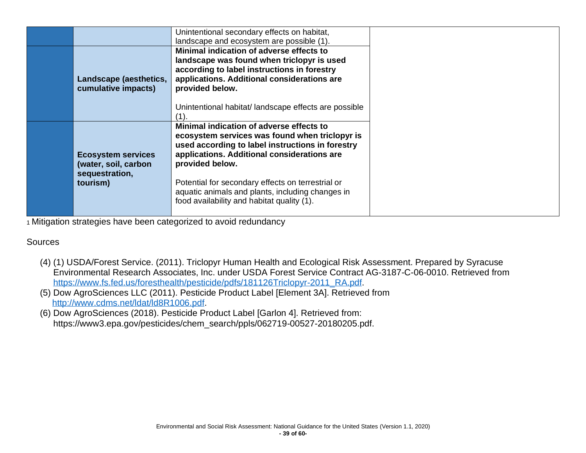|                                                                     | Unintentional secondary effects on habitat,<br>landscape and ecosystem are possible (1).                                                                                                                         |
|---------------------------------------------------------------------|------------------------------------------------------------------------------------------------------------------------------------------------------------------------------------------------------------------|
| Landscape (aesthetics,<br>cumulative impacts)                       | Minimal indication of adverse effects to<br>landscape was found when triclopyr is used<br>according to label instructions in forestry<br>applications. Additional considerations are<br>provided below.          |
|                                                                     | Unintentional habitat/landscape effects are possible                                                                                                                                                             |
| <b>Ecosystem services</b><br>(water, soil, carbon<br>sequestration, | Minimal indication of adverse effects to<br>ecosystem services was found when triclopyr is<br>used according to label instructions in forestry<br>applications. Additional considerations are<br>provided below. |
| tourism)                                                            | Potential for secondary effects on terrestrial or<br>aquatic animals and plants, including changes in<br>food availability and habitat quality (1).                                                              |

#### **Sources**

- (4) (1) USDA/Forest Service. (2011). Triclopyr Human Health and Ecological Risk Assessment. Prepared by Syracuse Environmental Research Associates, Inc. under USDA Forest Service Contract AG-3187-C-06-0010. Retrieved from [https://www.fs.fed.us/foresthealth/pesticide/pdfs/181126Triclopyr-2011\\_RA.pdf.](https://www.fs.fed.us/foresthealth/pesticide/pdfs/181126Triclopyr-2011_RA.pdf)
- (5) Dow AgroSciences LLC (2011). Pesticide Product Label [Element 3A]. Retrieved from [http://www.cdms.net/ldat/ld8R1006.pdf.](http://www.cdms.net/ldat/ld8R1006.pdf)
- (6) Dow AgroSciences (2018). Pesticide Product Label [Garlon 4]. Retrieved from: https://www3.epa.gov/pesticides/chem\_search/ppls/062719-00527-20180205.pdf.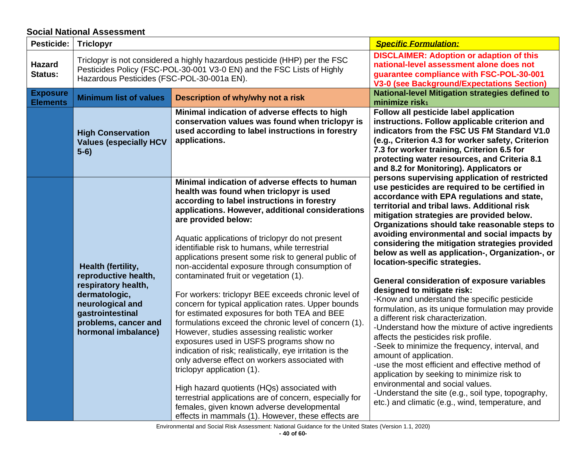## **Social National Assessment**

<span id="page-40-0"></span>

| <b>Pesticide:</b>                  | <b>Triclopyr</b>                                                                                                                                                                                   |                                                                                                                                                                                                                                                                                                                                                                                                                                                                                                                                                                                                                                                                                                                                                                                              | <b>Specific Formulation:</b>                                                                                                                                                                                                                                                                                                                                                                                                                                                                                                                                                                                                                                                                                                                                                                                                                              |
|------------------------------------|----------------------------------------------------------------------------------------------------------------------------------------------------------------------------------------------------|----------------------------------------------------------------------------------------------------------------------------------------------------------------------------------------------------------------------------------------------------------------------------------------------------------------------------------------------------------------------------------------------------------------------------------------------------------------------------------------------------------------------------------------------------------------------------------------------------------------------------------------------------------------------------------------------------------------------------------------------------------------------------------------------|-----------------------------------------------------------------------------------------------------------------------------------------------------------------------------------------------------------------------------------------------------------------------------------------------------------------------------------------------------------------------------------------------------------------------------------------------------------------------------------------------------------------------------------------------------------------------------------------------------------------------------------------------------------------------------------------------------------------------------------------------------------------------------------------------------------------------------------------------------------|
| <b>Hazard</b><br>Status:           | Triclopyr is not considered a highly hazardous pesticide (HHP) per the FSC<br>Pesticides Policy (FSC-POL-30-001 V3-0 EN) and the FSC Lists of Highly<br>Hazardous Pesticides (FSC-POL-30-001a EN). |                                                                                                                                                                                                                                                                                                                                                                                                                                                                                                                                                                                                                                                                                                                                                                                              | <b>DISCLAIMER: Adoption or adaption of this</b><br>national-level assessment alone does not<br>guarantee compliance with FSC-POL-30-001<br><b>V3-0 (see Background/Expectations Section)</b>                                                                                                                                                                                                                                                                                                                                                                                                                                                                                                                                                                                                                                                              |
| <b>Exposure</b><br><b>Elements</b> | <b>Minimum list of values</b>                                                                                                                                                                      | Description of why/why not a risk                                                                                                                                                                                                                                                                                                                                                                                                                                                                                                                                                                                                                                                                                                                                                            | <b>National-level Mitigation strategies defined to</b><br>minimize risk <sub>1</sub>                                                                                                                                                                                                                                                                                                                                                                                                                                                                                                                                                                                                                                                                                                                                                                      |
|                                    | <b>High Conservation</b><br><b>Values (especially HCV</b><br>$5-6)$                                                                                                                                | Minimal indication of adverse effects to high<br>conservation values was found when triclopyr is<br>used according to label instructions in forestry<br>applications.                                                                                                                                                                                                                                                                                                                                                                                                                                                                                                                                                                                                                        | Follow all pesticide label application<br>instructions. Follow applicable criterion and<br>indicators from the FSC US FM Standard V1.0<br>(e.g., Criterion 4.3 for worker safety, Criterion<br>7.3 for worker training, Criterion 6.5 for<br>protecting water resources, and Criteria 8.1<br>and 8.2 for Monitoring). Applicators or                                                                                                                                                                                                                                                                                                                                                                                                                                                                                                                      |
|                                    | Health (fertility,<br>reproductive health,<br>respiratory health,<br>dermatologic,<br>neurological and<br>gastrointestinal<br>problems, cancer and<br>hormonal imbalance)                          | Minimal indication of adverse effects to human<br>health was found when triclopyr is used<br>according to label instructions in forestry<br>applications. However, additional considerations<br>are provided below:<br>Aquatic applications of triclopyr do not present<br>identifiable risk to humans, while terrestrial<br>applications present some risk to general public of<br>non-accidental exposure through consumption of<br>contaminated fruit or vegetation (1).<br>For workers: triclopyr BEE exceeds chronic level of<br>concern for typical application rates. Upper bounds<br>for estimated exposures for both TEA and BEE<br>formulations exceed the chronic level of concern (1).<br>However, studies assessing realistic worker<br>exposures used in USFS programs show no | persons supervising application of restricted<br>use pesticides are required to be certified in<br>accordance with EPA regulations and state,<br>territorial and tribal laws. Additional risk<br>mitigation strategies are provided below.<br>Organizations should take reasonable steps to<br>avoiding environmental and social impacts by<br>considering the mitigation strategies provided<br>below as well as application-, Organization-, or<br>location-specific strategies.<br>General consideration of exposure variables<br>designed to mitigate risk:<br>-Know and understand the specific pesticide<br>formulation, as its unique formulation may provide<br>a different risk characterization.<br>-Understand how the mixture of active ingredients<br>affects the pesticides risk profile.<br>-Seek to minimize the frequency, interval, and |
|                                    |                                                                                                                                                                                                    | indication of risk; realistically, eye irritation is the<br>only adverse effect on workers associated with<br>triclopyr application (1).<br>High hazard quotients (HQs) associated with<br>terrestrial applications are of concern, especially for<br>females, given known adverse developmental<br>effects in mammals (1). However, these effects are                                                                                                                                                                                                                                                                                                                                                                                                                                       | amount of application.<br>-use the most efficient and effective method of<br>application by seeking to minimize risk to<br>environmental and social values.<br>-Understand the site (e.g., soil type, topography,<br>etc.) and climatic (e.g., wind, temperature, and                                                                                                                                                                                                                                                                                                                                                                                                                                                                                                                                                                                     |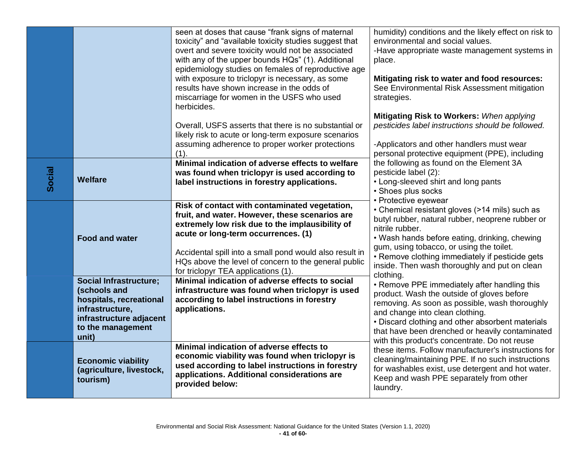|        |                                                                                                                                                      | seen at doses that cause "frank signs of maternal<br>toxicity" and "available toxicity studies suggest that<br>overt and severe toxicity would not be associated<br>with any of the upper bounds HQs" (1). Additional<br>epidemiology studies on females of reproductive age<br>with exposure to triclopyr is necessary, as some<br>results have shown increase in the odds of<br>miscarriage for women in the USFS who used<br>herbicides. | humidity) conditions and the likely effect on risk to<br>environmental and social values.<br>-Have appropriate waste management systems in<br>place.<br>Mitigating risk to water and food resources:<br>See Environmental Risk Assessment mitigation<br>strategies.<br>Mitigating Risk to Workers: When applying                    |
|--------|------------------------------------------------------------------------------------------------------------------------------------------------------|---------------------------------------------------------------------------------------------------------------------------------------------------------------------------------------------------------------------------------------------------------------------------------------------------------------------------------------------------------------------------------------------------------------------------------------------|-------------------------------------------------------------------------------------------------------------------------------------------------------------------------------------------------------------------------------------------------------------------------------------------------------------------------------------|
|        |                                                                                                                                                      | Overall, USFS asserts that there is no substantial or<br>likely risk to acute or long-term exposure scenarios<br>assuming adherence to proper worker protections<br>(1).                                                                                                                                                                                                                                                                    | pesticides label instructions should be followed.<br>-Applicators and other handlers must wear<br>personal protective equipment (PPE), including                                                                                                                                                                                    |
| Social | Welfare                                                                                                                                              | Minimal indication of adverse effects to welfare<br>was found when triclopyr is used according to<br>label instructions in forestry applications.                                                                                                                                                                                                                                                                                           | the following as found on the Element 3A<br>pesticide label (2):<br>• Long-sleeved shirt and long pants<br>• Shoes plus socks<br>• Protective eyewear                                                                                                                                                                               |
|        | <b>Food and water</b>                                                                                                                                | Risk of contact with contaminated vegetation,<br>fruit, and water. However, these scenarios are<br>extremely low risk due to the implausibility of<br>acute or long-term occurrences. (1)<br>Accidental spill into a small pond would also result in<br>HQs above the level of concern to the general public<br>for triclopyr TEA applications (1).                                                                                         | • Chemical resistant gloves (>14 mils) such as<br>butyl rubber, natural rubber, neoprene rubber or<br>nitrile rubber.<br>• Wash hands before eating, drinking, chewing<br>gum, using tobacco, or using the toilet.<br>• Remove clothing immediately if pesticide gets<br>inside. Then wash thoroughly and put on clean<br>clothing. |
|        | <b>Social Infrastructure;</b><br>(schools and<br>hospitals, recreational<br>infrastructure,<br>infrastructure adjacent<br>to the management<br>unit) | Minimal indication of adverse effects to social<br>infrastructure was found when triclopyr is used<br>according to label instructions in forestry<br>applications.                                                                                                                                                                                                                                                                          | • Remove PPE immediately after handling this<br>product. Wash the outside of gloves before<br>removing. As soon as possible, wash thoroughly<br>and change into clean clothing.<br>• Discard clothing and other absorbent materials<br>that have been drenched or heavily contaminated                                              |
|        | <b>Economic viability</b><br>(agriculture, livestock,<br>tourism)                                                                                    | Minimal indication of adverse effects to<br>economic viability was found when triclopyr is<br>used according to label instructions in forestry<br>applications. Additional considerations are<br>provided below:                                                                                                                                                                                                                            | with this product's concentrate. Do not reuse<br>these items. Follow manufacturer's instructions for<br>cleaning/maintaining PPE. If no such instructions<br>for washables exist, use detergent and hot water.<br>Keep and wash PPE separately from other<br>laundry.                                                               |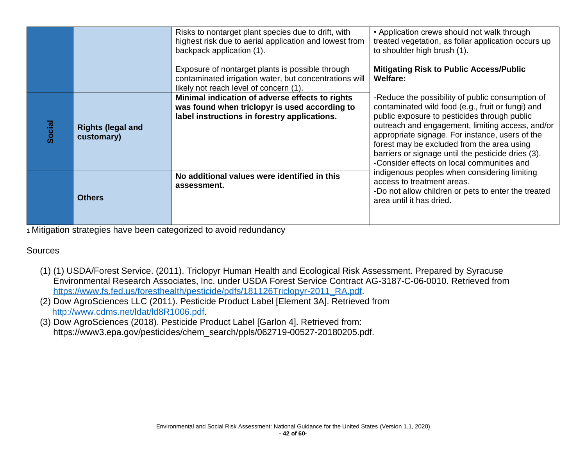|        |                                        | Risks to nontarget plant species due to drift, with<br>highest risk due to aerial application and lowest from<br>backpack application (1).<br>Exposure of nontarget plants is possible through<br>contaminated irrigation water, but concentrations will<br>likely not reach level of concern (1). | • Application crews should not walk through<br>treated vegetation, as foliar application occurs up<br>to shoulder high brush (1).<br><b>Mitigating Risk to Public Access/Public</b><br><b>Welfare:</b>                                                                                                                                                                                                         |
|--------|----------------------------------------|----------------------------------------------------------------------------------------------------------------------------------------------------------------------------------------------------------------------------------------------------------------------------------------------------|----------------------------------------------------------------------------------------------------------------------------------------------------------------------------------------------------------------------------------------------------------------------------------------------------------------------------------------------------------------------------------------------------------------|
| Social | <b>Rights (legal and</b><br>customary) | Minimal indication of adverse effects to rights<br>was found when triclopyr is used according to<br>label instructions in forestry applications.                                                                                                                                                   | -Reduce the possibility of public consumption of<br>contaminated wild food (e.g., fruit or fungi) and<br>public exposure to pesticides through public<br>outreach and engagement, limiting access, and/or<br>appropriate signage. For instance, users of the<br>forest may be excluded from the area using<br>barriers or signage until the pesticide dries (3).<br>-Consider effects on local communities and |
|        | <b>Others</b>                          | No additional values were identified in this<br>assessment.                                                                                                                                                                                                                                        | indigenous peoples when considering limiting<br>access to treatment areas.<br>-Do not allow children or pets to enter the treated<br>area until it has dried.                                                                                                                                                                                                                                                  |

### **Sources**

- (1) (1) USDA/Forest Service. (2011). Triclopyr Human Health and Ecological Risk Assessment. Prepared by Syracuse Environmental Research Associates, Inc. under USDA Forest Service Contract AG-3187-C-06-0010. Retrieved from [https://www.fs.fed.us/foresthealth/pesticide/pdfs/181126Triclopyr-2011\\_RA.pdf.](https://www.fs.fed.us/foresthealth/pesticide/pdfs/181126Triclopyr-2011_RA.pdf)
- (2) Dow AgroSciences LLC (2011). Pesticide Product Label [Element 3A]. Retrieved from [http://www.cdms.net/ldat/ld8R1006.pdf.](http://www.cdms.net/ldat/ld8R1006.pdf)
- (3) Dow AgroSciences (2018). Pesticide Product Label [Garlon 4]. Retrieved from: https://www3.epa.gov/pesticides/chem\_search/ppls/062719-00527-20180205.pdf.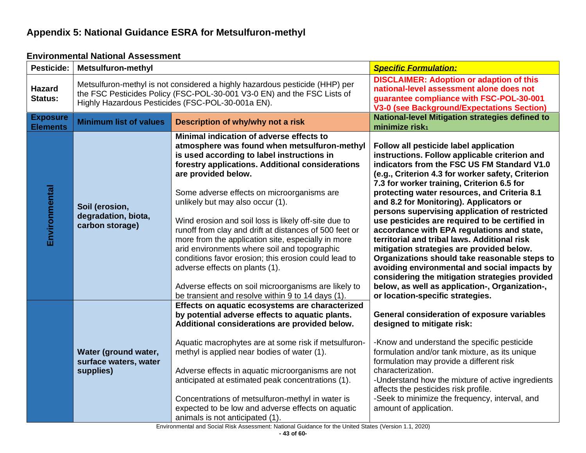## **Appendix 5: National Guidance ESRA for Metsulfuron-methyl**

### **Environmental National Assessment**

<span id="page-43-1"></span><span id="page-43-0"></span>

| Pesticide:                         | <b>Metsulfuron-methyl</b>                                                                                                                                                                                   |                                                                                                                                                                                                                                                                                                                                                                                                                                                                                                                                                                                                                                                                                                                                    | <b>Specific Formulation:</b>                                                                                                                                                                                                                                                                                                                                                                                                                                                                                                                                                                                                                                                                                                                                                                                                |
|------------------------------------|-------------------------------------------------------------------------------------------------------------------------------------------------------------------------------------------------------------|------------------------------------------------------------------------------------------------------------------------------------------------------------------------------------------------------------------------------------------------------------------------------------------------------------------------------------------------------------------------------------------------------------------------------------------------------------------------------------------------------------------------------------------------------------------------------------------------------------------------------------------------------------------------------------------------------------------------------------|-----------------------------------------------------------------------------------------------------------------------------------------------------------------------------------------------------------------------------------------------------------------------------------------------------------------------------------------------------------------------------------------------------------------------------------------------------------------------------------------------------------------------------------------------------------------------------------------------------------------------------------------------------------------------------------------------------------------------------------------------------------------------------------------------------------------------------|
| <b>Hazard</b><br>Status:           | Metsulfuron-methyl is not considered a highly hazardous pesticide (HHP) per<br>the FSC Pesticides Policy (FSC-POL-30-001 V3-0 EN) and the FSC Lists of<br>Highly Hazardous Pesticides (FSC-POL-30-001a EN). |                                                                                                                                                                                                                                                                                                                                                                                                                                                                                                                                                                                                                                                                                                                                    | <b>DISCLAIMER: Adoption or adaption of this</b><br>national-level assessment alone does not<br>guarantee compliance with FSC-POL-30-001<br><b>V3-0 (see Background/Expectations Section)</b>                                                                                                                                                                                                                                                                                                                                                                                                                                                                                                                                                                                                                                |
| <b>Exposure</b><br><b>Elements</b> | <b>Minimum list of values</b>                                                                                                                                                                               | Description of why/why not a risk                                                                                                                                                                                                                                                                                                                                                                                                                                                                                                                                                                                                                                                                                                  | <b>National-level Mitigation strategies defined to</b><br>minimize risk <sub>1</sub>                                                                                                                                                                                                                                                                                                                                                                                                                                                                                                                                                                                                                                                                                                                                        |
| Environmental                      | Soil (erosion,<br>degradation, biota,<br>carbon storage)                                                                                                                                                    | Minimal indication of adverse effects to<br>atmosphere was found when metsulfuron-methyl<br>is used according to label instructions in<br>forestry applications. Additional considerations<br>are provided below.<br>Some adverse effects on microorganisms are<br>unlikely but may also occur (1).<br>Wind erosion and soil loss is likely off-site due to<br>runoff from clay and drift at distances of 500 feet or<br>more from the application site, especially in more<br>arid environments where soil and topographic<br>conditions favor erosion; this erosion could lead to<br>adverse effects on plants (1).<br>Adverse effects on soil microorganisms are likely to<br>be transient and resolve within 9 to 14 days (1). | Follow all pesticide label application<br>instructions. Follow applicable criterion and<br>indicators from the FSC US FM Standard V1.0<br>(e.g., Criterion 4.3 for worker safety, Criterion<br>7.3 for worker training, Criterion 6.5 for<br>protecting water resources, and Criteria 8.1<br>and 8.2 for Monitoring). Applicators or<br>persons supervising application of restricted<br>use pesticides are required to be certified in<br>accordance with EPA regulations and state,<br>territorial and tribal laws. Additional risk<br>mitigation strategies are provided below.<br>Organizations should take reasonable steps to<br>avoiding environmental and social impacts by<br>considering the mitigation strategies provided<br>below, as well as application-, Organization-,<br>or location-specific strategies. |
|                                    | Water (ground water,<br>surface waters, water<br>supplies)                                                                                                                                                  | Effects on aquatic ecosystems are characterized<br>by potential adverse effects to aquatic plants.<br>Additional considerations are provided below.<br>Aquatic macrophytes are at some risk if metsulfuron-<br>methyl is applied near bodies of water (1).<br>Adverse effects in aquatic microorganisms are not<br>anticipated at estimated peak concentrations (1).<br>Concentrations of metsulfuron-methyl in water is<br>expected to be low and adverse effects on aquatic<br>animals is not anticipated (1).                                                                                                                                                                                                                   | <b>General consideration of exposure variables</b><br>designed to mitigate risk:<br>-Know and understand the specific pesticide<br>formulation and/or tank mixture, as its unique<br>formulation may provide a different risk<br>characterization.<br>-Understand how the mixture of active ingredients<br>affects the pesticides risk profile.<br>-Seek to minimize the frequency, interval, and<br>amount of application.                                                                                                                                                                                                                                                                                                                                                                                                 |

Environmental and Social Risk Assessment: National Guidance for the United States (Version 1.1, 2020)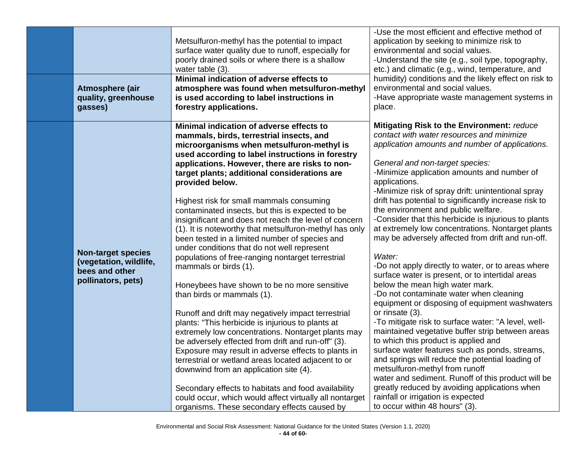| Atmosphere (air<br>quality, greenhouse<br>gasses)                                           | Metsulfuron-methyl has the potential to impact<br>surface water quality due to runoff, especially for<br>poorly drained soils or where there is a shallow<br>water table (3).<br>Minimal indication of adverse effects to<br>atmosphere was found when metsulfuron-methyl<br>is used according to label instructions in<br>forestry applications.                                                                                                                                                                                                                                                                                                                                                                                                                                                                                                                                                                                                                                                                                                                                                                                                                                                                                                                                                                                           | -Use the most efficient and effective method of<br>application by seeking to minimize risk to<br>environmental and social values.<br>-Understand the site (e.g., soil type, topography,<br>etc.) and climatic (e.g., wind, temperature, and<br>humidity) conditions and the likely effect on risk to<br>environmental and social values.<br>-Have appropriate waste management systems in<br>place.                                                                                                                                                                                                                                                                                                                                                                                                                                                                                                                                                                                                                                                                                                                                                                                                                                                                                                                    |
|---------------------------------------------------------------------------------------------|---------------------------------------------------------------------------------------------------------------------------------------------------------------------------------------------------------------------------------------------------------------------------------------------------------------------------------------------------------------------------------------------------------------------------------------------------------------------------------------------------------------------------------------------------------------------------------------------------------------------------------------------------------------------------------------------------------------------------------------------------------------------------------------------------------------------------------------------------------------------------------------------------------------------------------------------------------------------------------------------------------------------------------------------------------------------------------------------------------------------------------------------------------------------------------------------------------------------------------------------------------------------------------------------------------------------------------------------|------------------------------------------------------------------------------------------------------------------------------------------------------------------------------------------------------------------------------------------------------------------------------------------------------------------------------------------------------------------------------------------------------------------------------------------------------------------------------------------------------------------------------------------------------------------------------------------------------------------------------------------------------------------------------------------------------------------------------------------------------------------------------------------------------------------------------------------------------------------------------------------------------------------------------------------------------------------------------------------------------------------------------------------------------------------------------------------------------------------------------------------------------------------------------------------------------------------------------------------------------------------------------------------------------------------------|
| <b>Non-target species</b><br>(vegetation, wildlife,<br>bees and other<br>pollinators, pets) | Minimal indication of adverse effects to<br>mammals, birds, terrestrial insects, and<br>microorganisms when metsulfuron-methyl is<br>used according to label instructions in forestry<br>applications. However, there are risks to non-<br>target plants; additional considerations are<br>provided below.<br>Highest risk for small mammals consuming<br>contaminated insects, but this is expected to be<br>insignificant and does not reach the level of concern<br>(1). It is noteworthy that metsulfuron-methyl has only<br>been tested in a limited number of species and<br>under conditions that do not well represent<br>populations of free-ranging nontarget terrestrial<br>mammals or birds (1).<br>Honeybees have shown to be no more sensitive<br>than birds or mammals (1).<br>Runoff and drift may negatively impact terrestrial<br>plants: "This herbicide is injurious to plants at<br>extremely low concentrations. Nontarget plants may<br>be adversely effected from drift and run-off" (3).<br>Exposure may result in adverse effects to plants in<br>terrestrial or wetland areas located adjacent to or<br>downwind from an application site (4).<br>Secondary effects to habitats and food availability<br>could occur, which would affect virtually all nontarget<br>organisms. These secondary effects caused by | Mitigating Risk to the Environment: reduce<br>contact with water resources and minimize<br>application amounts and number of applications.<br>General and non-target species:<br>-Minimize application amounts and number of<br>applications.<br>-Minimize risk of spray drift: unintentional spray<br>drift has potential to significantly increase risk to<br>the environment and public welfare.<br>-Consider that this herbicide is injurious to plants<br>at extremely low concentrations. Nontarget plants<br>may be adversely affected from drift and run-off.<br>Water:<br>-Do not apply directly to water, or to areas where<br>surface water is present, or to intertidal areas<br>below the mean high water mark.<br>-Do not contaminate water when cleaning<br>equipment or disposing of equipment washwaters<br>or rinsate (3).<br>-To mitigate risk to surface water: "A level, well-<br>maintained vegetative buffer strip between areas<br>to which this product is applied and<br>surface water features such as ponds, streams,<br>and springs will reduce the potential loading of<br>metsulfuron-methyl from runoff<br>water and sediment. Runoff of this product will be<br>greatly reduced by avoiding applications when<br>rainfall or irrigation is expected<br>to occur within 48 hours" (3). |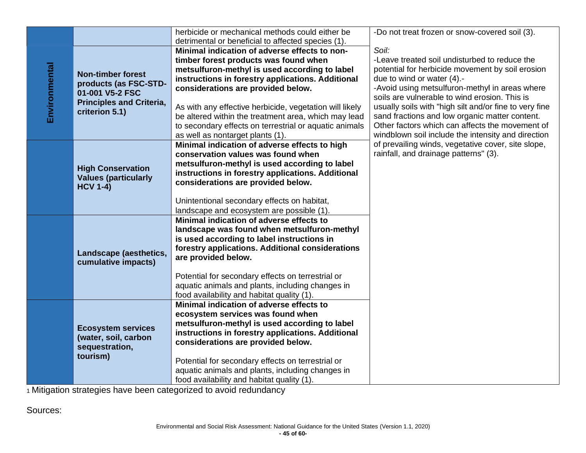|               |                                 | herbicide or mechanical methods could either be                                     | -Do not treat frozen or snow-covered soil (3).                                              |
|---------------|---------------------------------|-------------------------------------------------------------------------------------|---------------------------------------------------------------------------------------------|
|               |                                 | detrimental or beneficial to affected species (1).                                  |                                                                                             |
|               |                                 | Minimal indication of adverse effects to non-                                       | Soil:                                                                                       |
|               |                                 | timber forest products was found when                                               | -Leave treated soil undisturbed to reduce the                                               |
|               | <b>Non-timber forest</b>        | metsulfuron-methyl is used according to label                                       | potential for herbicide movement by soil erosion                                            |
|               | products (as FSC-STD-           | instructions in forestry applications. Additional                                   | due to wind or water (4).-                                                                  |
|               | 01-001 V5-2 FSC                 | considerations are provided below.                                                  | -Avoid using metsulfuron-methyl in areas where                                              |
| Environmental | <b>Principles and Criteria,</b> |                                                                                     | soils are vulnerable to wind erosion. This is                                               |
|               | criterion 5.1)                  | As with any effective herbicide, vegetation will likely                             | usually soils with "high silt and/or fine to very fine                                      |
|               |                                 | be altered within the treatment area, which may lead                                | sand fractions and low organic matter content.                                              |
|               |                                 | to secondary effects on terrestrial or aquatic animals                              | Other factors which can affects the movement of                                             |
|               |                                 | as well as nontarget plants (1).                                                    | windblown soil include the intensity and direction                                          |
|               |                                 | Minimal indication of adverse effects to high<br>conservation values was found when | of prevailing winds, vegetative cover, site slope,<br>rainfall, and drainage patterns" (3). |
|               |                                 | metsulfuron-methyl is used according to label                                       |                                                                                             |
|               | <b>High Conservation</b>        | instructions in forestry applications. Additional                                   |                                                                                             |
|               | <b>Values (particularly</b>     | considerations are provided below.                                                  |                                                                                             |
|               | <b>HCV 1-4)</b>                 |                                                                                     |                                                                                             |
|               |                                 | Unintentional secondary effects on habitat,                                         |                                                                                             |
|               |                                 | landscape and ecosystem are possible (1).                                           |                                                                                             |
|               |                                 | Minimal indication of adverse effects to                                            |                                                                                             |
|               |                                 | landscape was found when metsulfuron-methyl                                         |                                                                                             |
|               |                                 | is used according to label instructions in                                          |                                                                                             |
|               |                                 | forestry applications. Additional considerations                                    |                                                                                             |
|               | Landscape (aesthetics,          | are provided below.                                                                 |                                                                                             |
|               | cumulative impacts)             |                                                                                     |                                                                                             |
|               |                                 | Potential for secondary effects on terrestrial or                                   |                                                                                             |
|               |                                 | aquatic animals and plants, including changes in                                    |                                                                                             |
|               |                                 | food availability and habitat quality (1).                                          |                                                                                             |
|               |                                 | Minimal indication of adverse effects to                                            |                                                                                             |
|               |                                 | ecosystem services was found when                                                   |                                                                                             |
|               | <b>Ecosystem services</b>       | metsulfuron-methyl is used according to label                                       |                                                                                             |
|               | (water, soil, carbon            | instructions in forestry applications. Additional                                   |                                                                                             |
|               | sequestration,                  | considerations are provided below.                                                  |                                                                                             |
|               | tourism)                        |                                                                                     |                                                                                             |
|               |                                 | Potential for secondary effects on terrestrial or                                   |                                                                                             |
|               |                                 | aquatic animals and plants, including changes in                                    |                                                                                             |
|               |                                 | food availability and habitat quality (1).                                          |                                                                                             |

Sources: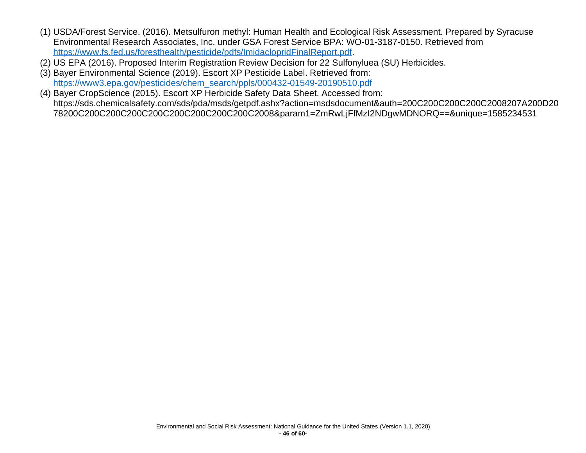- (1) USDA/Forest Service. (2016). Metsulfuron methyl: Human Health and Ecological Risk Assessment. Prepared by Syracuse Environmental Research Associates, Inc. under GSA Forest Service BPA: WO-01-3187-0150. Retrieved from [https://www.fs.fed.us/foresthealth/pesticide/pdfs/ImidaclopridFinalReport.pdf.](https://www.fs.fed.us/foresthealth/pesticide/pdfs/ImidaclopridFinalReport.pdf)
- (2) US EPA (2016). Proposed Interim Registration Review Decision for 22 Sulfonyluea (SU) Herbicides.
- (3) Bayer Environmental Science (2019). Escort XP Pesticide Label. Retrieved from: [https://www3.epa.gov/pesticides/chem\\_search/ppls/000432-01549-20190510.pdf](https://www3.epa.gov/pesticides/chem_search/ppls/000432-01549-20190510.pdf)
- (4) Bayer CropScience (2015). Escort XP Herbicide Safety Data Sheet. Accessed from: https://sds.chemicalsafety.com/sds/pda/msds/getpdf.ashx?action=msdsdocument&auth=200C200C200C200C2008207A200D20 78200C200C200C200C200C200C200C200C200C2008&param1=ZmRwLjFfMzI2NDgwMDNORQ==&unique=1585234531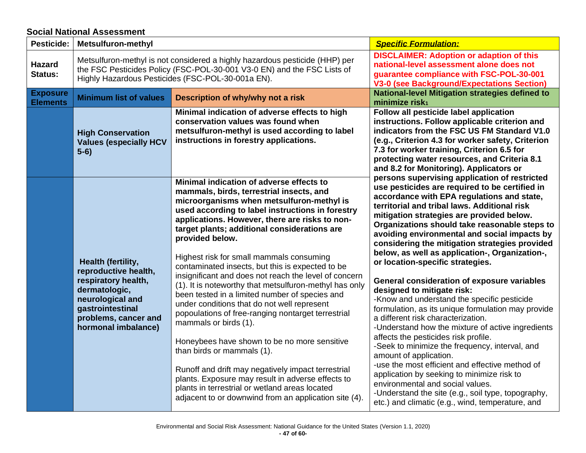#### **Social National Assessment**

<span id="page-47-0"></span>

| <b>Pesticide:</b>                  | <b>Metsulfuron-methyl</b>                                                                                                                                                                                                                                                                                                                                                                                                                                                                                                                                                                                                                                                                                                                                                                                                                             |                                                                                                                                                                                                                                                                                                                                                                                                                                                                                     | <b>Specific Formulation:</b>                                                                                                                                                                                                                                                                                                         |
|------------------------------------|-------------------------------------------------------------------------------------------------------------------------------------------------------------------------------------------------------------------------------------------------------------------------------------------------------------------------------------------------------------------------------------------------------------------------------------------------------------------------------------------------------------------------------------------------------------------------------------------------------------------------------------------------------------------------------------------------------------------------------------------------------------------------------------------------------------------------------------------------------|-------------------------------------------------------------------------------------------------------------------------------------------------------------------------------------------------------------------------------------------------------------------------------------------------------------------------------------------------------------------------------------------------------------------------------------------------------------------------------------|--------------------------------------------------------------------------------------------------------------------------------------------------------------------------------------------------------------------------------------------------------------------------------------------------------------------------------------|
| <b>Hazard</b><br>Status:           | Metsulfuron-methyl is not considered a highly hazardous pesticide (HHP) per<br>the FSC Pesticides Policy (FSC-POL-30-001 V3-0 EN) and the FSC Lists of<br>Highly Hazardous Pesticides (FSC-POL-30-001a EN).                                                                                                                                                                                                                                                                                                                                                                                                                                                                                                                                                                                                                                           |                                                                                                                                                                                                                                                                                                                                                                                                                                                                                     | <b>DISCLAIMER: Adoption or adaption of this</b><br>national-level assessment alone does not<br>guarantee compliance with FSC-POL-30-001<br><b>V3-0 (see Background/Expectations Section)</b>                                                                                                                                         |
| <b>Exposure</b><br><b>Elements</b> | <b>Minimum list of values</b>                                                                                                                                                                                                                                                                                                                                                                                                                                                                                                                                                                                                                                                                                                                                                                                                                         | Description of why/why not a risk                                                                                                                                                                                                                                                                                                                                                                                                                                                   | <b>National-level Mitigation strategies defined to</b><br>minimize risk <sub>1</sub>                                                                                                                                                                                                                                                 |
|                                    | <b>High Conservation</b><br><b>Values (especially HCV</b><br>$5-6)$                                                                                                                                                                                                                                                                                                                                                                                                                                                                                                                                                                                                                                                                                                                                                                                   | Minimal indication of adverse effects to high<br>conservation values was found when<br>metsulfuron-methyl is used according to label<br>instructions in forestry applications.                                                                                                                                                                                                                                                                                                      | Follow all pesticide label application<br>instructions. Follow applicable criterion and<br>indicators from the FSC US FM Standard V1.0<br>(e.g., Criterion 4.3 for worker safety, Criterion<br>7.3 for worker training, Criterion 6.5 for<br>protecting water resources, and Criteria 8.1<br>and 8.2 for Monitoring). Applicators or |
|                                    | Minimal indication of adverse effects to<br>mammals, birds, terrestrial insects, and<br>microorganisms when metsulfuron-methyl is<br>used according to label instructions in forestry<br>applications. However, there are risks to non-<br>target plants; additional considerations are<br>provided below.<br>Highest risk for small mammals consuming<br>Health (fertility,<br>contaminated insects, but this is expected to be<br>reproductive health,<br>respiratory health,<br>dermatologic,<br>been tested in a limited number of species and<br>neurological and<br>under conditions that do not well represent<br>gastrointestinal<br>popoulations of free-ranging nontarget terrestrial<br>problems, cancer and<br>mammals or birds (1).<br>hormonal imbalance)<br>Honeybees have shown to be no more sensitive<br>than birds or mammals (1). | persons supervising application of restricted<br>use pesticides are required to be certified in<br>accordance with EPA regulations and state,<br>territorial and tribal laws. Additional risk<br>mitigation strategies are provided below.<br>Organizations should take reasonable steps to<br>avoiding environmental and social impacts by<br>considering the mitigation strategies provided<br>below, as well as application-, Organization-,<br>or location-specific strategies. |                                                                                                                                                                                                                                                                                                                                      |
|                                    |                                                                                                                                                                                                                                                                                                                                                                                                                                                                                                                                                                                                                                                                                                                                                                                                                                                       | insignificant and does not reach the level of concern<br>(1). It is noteworthy that metsulfuron-methyl has only                                                                                                                                                                                                                                                                                                                                                                     | General consideration of exposure variables<br>designed to mitigate risk:<br>-Know and understand the specific pesticide<br>formulation, as its unique formulation may provide<br>a different risk characterization.<br>-Understand how the mixture of active ingredients                                                            |
|                                    |                                                                                                                                                                                                                                                                                                                                                                                                                                                                                                                                                                                                                                                                                                                                                                                                                                                       |                                                                                                                                                                                                                                                                                                                                                                                                                                                                                     | affects the pesticides risk profile.<br>-Seek to minimize the frequency, interval, and<br>amount of application.                                                                                                                                                                                                                     |
|                                    |                                                                                                                                                                                                                                                                                                                                                                                                                                                                                                                                                                                                                                                                                                                                                                                                                                                       | Runoff and drift may negatively impact terrestrial<br>plants. Exposure may result in adverse effects to<br>plants in terrestrial or wetland areas located<br>adjacent to or downwind from an application site (4).                                                                                                                                                                                                                                                                  | -use the most efficient and effective method of<br>application by seeking to minimize risk to<br>environmental and social values.<br>-Understand the site (e.g., soil type, topography,<br>etc.) and climatic (e.g., wind, temperature, and                                                                                          |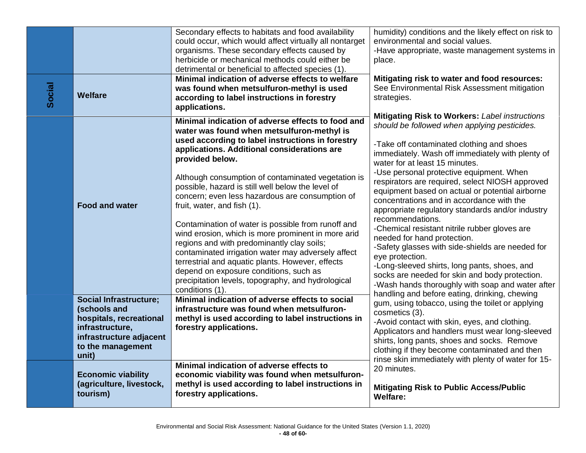|        |                                                                                                                                             | Secondary effects to habitats and food availability<br>could occur, which would affect virtually all nontarget                                                                                                                                                                                                                                                   | humidity) conditions and the likely effect on risk to<br>environmental and social values.                                                                                                                                                                                                                                     |
|--------|---------------------------------------------------------------------------------------------------------------------------------------------|------------------------------------------------------------------------------------------------------------------------------------------------------------------------------------------------------------------------------------------------------------------------------------------------------------------------------------------------------------------|-------------------------------------------------------------------------------------------------------------------------------------------------------------------------------------------------------------------------------------------------------------------------------------------------------------------------------|
|        |                                                                                                                                             | organisms. These secondary effects caused by<br>herbicide or mechanical methods could either be<br>detrimental or beneficial to affected species (1).                                                                                                                                                                                                            | -Have appropriate, waste management systems in<br>place.                                                                                                                                                                                                                                                                      |
| Social | <b>Welfare</b>                                                                                                                              | Minimal indication of adverse effects to welfare<br>was found when metsulfuron-methyl is used<br>according to label instructions in forestry<br>applications.                                                                                                                                                                                                    | Mitigating risk to water and food resources:<br>See Environmental Risk Assessment mitigation<br>strategies.                                                                                                                                                                                                                   |
|        |                                                                                                                                             | Minimal indication of adverse effects to food and<br>water was found when metsulfuron-methyl is<br>used according to label instructions in forestry<br>applications. Additional considerations are                                                                                                                                                               | <b>Mitigating Risk to Workers: Label instructions</b><br>should be followed when applying pesticides.<br>-Take off contaminated clothing and shoes<br>immediately. Wash off immediately with plenty of                                                                                                                        |
|        | <b>Food and water</b>                                                                                                                       | provided below.<br>Although consumption of contaminated vegetation is<br>possible, hazard is still well below the level of<br>concern; even less hazardous are consumption of<br>fruit, water, and fish (1).                                                                                                                                                     | water for at least 15 minutes.<br>-Use personal protective equipment. When<br>respirators are required, select NIOSH approved<br>equipment based on actual or potential airborne<br>concentrations and in accordance with the<br>appropriate regulatory standards and/or industry                                             |
|        |                                                                                                                                             | Contamination of water is possible from runoff and<br>wind erosion, which is more prominent in more arid<br>regions and with predominantly clay soils;<br>contaminated irrigation water may adversely affect<br>terrestrial and aquatic plants. However, effects<br>depend on exposure conditions, such as<br>precipitation levels, topography, and hydrological | recommendations.<br>-Chemical resistant nitrile rubber gloves are<br>needed for hand protection.<br>-Safety glasses with side-shields are needed for<br>eye protection.<br>-Long-sleeved shirts, long pants, shoes, and<br>socks are needed for skin and body protection.<br>-Wash hands thoroughly with soap and water after |
|        | <b>Social Infrastructure;</b><br>(schools and<br>hospitals, recreational<br>infrastructure,<br>infrastructure adjacent<br>to the management | conditions (1).<br>Minimal indication of adverse effects to social<br>infrastructure was found when metsulfuron-<br>methyl is used according to label instructions in<br>forestry applications.                                                                                                                                                                  | handling and before eating, drinking, chewing<br>gum, using tobacco, using the toilet or applying<br>cosmetics (3).<br>-Avoid contact with skin, eyes, and clothing.<br>Applicators and handlers must wear long-sleeved<br>shirts, long pants, shoes and socks. Remove<br>clothing if they become contaminated and then       |
|        | unit)<br><b>Economic viability</b><br>(agriculture, livestock,<br>tourism)                                                                  | Minimal indication of adverse effects to<br>economic viability was found when metsulfuron-<br>methyl is used according to label instructions in<br>forestry applications.                                                                                                                                                                                        | rinse skin immediately with plenty of water for 15-<br>20 minutes.<br><b>Mitigating Risk to Public Access/Public</b><br><b>Welfare:</b>                                                                                                                                                                                       |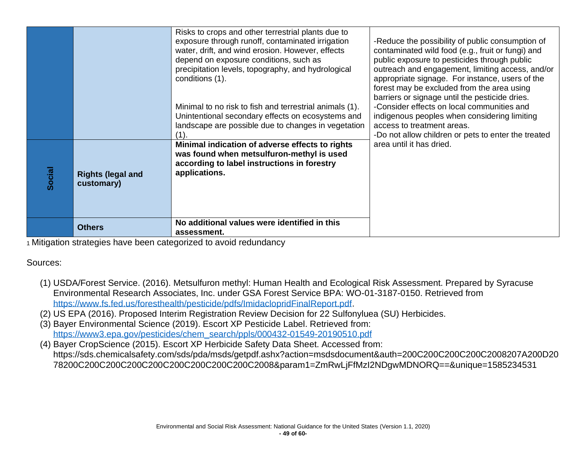|        |                                        | Risks to crops and other terrestrial plants due to<br>exposure through runoff, contaminated irrigation<br>water, drift, and wind erosion. However, effects<br>depend on exposure conditions, such as<br>precipitation levels, topography, and hydrological<br>conditions (1). | -Reduce the possibility of public consumption of<br>contaminated wild food (e.g., fruit or fungi) and<br>public exposure to pesticides through public<br>outreach and engagement, limiting access, and/or<br>appropriate signage. For instance, users of the<br>forest may be excluded from the area using<br>barriers or signage until the pesticide dries. |
|--------|----------------------------------------|-------------------------------------------------------------------------------------------------------------------------------------------------------------------------------------------------------------------------------------------------------------------------------|--------------------------------------------------------------------------------------------------------------------------------------------------------------------------------------------------------------------------------------------------------------------------------------------------------------------------------------------------------------|
|        |                                        | Minimal to no risk to fish and terrestrial animals (1).<br>Unintentional secondary effects on ecosystems and<br>landscape are possible due to changes in vegetation<br>(1).                                                                                                   | -Consider effects on local communities and<br>indigenous peoples when considering limiting<br>access to treatment areas.<br>-Do not allow children or pets to enter the treated                                                                                                                                                                              |
| Social | <b>Rights (legal and</b><br>customary) | Minimal indication of adverse effects to rights<br>was found when metsulfuron-methyl is used<br>according to label instructions in forestry<br>applications.                                                                                                                  | area until it has dried.                                                                                                                                                                                                                                                                                                                                     |
|        | <b>Others</b>                          | No additional values were identified in this<br>assessment.                                                                                                                                                                                                                   |                                                                                                                                                                                                                                                                                                                                                              |

Sources:

- (1) USDA/Forest Service. (2016). Metsulfuron methyl: Human Health and Ecological Risk Assessment. Prepared by Syracuse Environmental Research Associates, Inc. under GSA Forest Service BPA: WO-01-3187-0150. Retrieved from [https://www.fs.fed.us/foresthealth/pesticide/pdfs/ImidaclopridFinalReport.pdf.](https://www.fs.fed.us/foresthealth/pesticide/pdfs/ImidaclopridFinalReport.pdf)
- (2) US EPA (2016). Proposed Interim Registration Review Decision for 22 Sulfonyluea (SU) Herbicides.
- (3) Bayer Environmental Science (2019). Escort XP Pesticide Label. Retrieved from: [https://www3.epa.gov/pesticides/chem\\_search/ppls/000432-01549-20190510.pdf](https://www3.epa.gov/pesticides/chem_search/ppls/000432-01549-20190510.pdf)
- (4) Bayer CropScience (2015). Escort XP Herbicide Safety Data Sheet. Accessed from: https://sds.chemicalsafety.com/sds/pda/msds/getpdf.ashx?action=msdsdocument&auth=200C200C200C200C2008207A200D20 78200C200C200C200C200C200C200C200C200C2008&param1=ZmRwLjFfMzI2NDgwMDNORQ==&unique=1585234531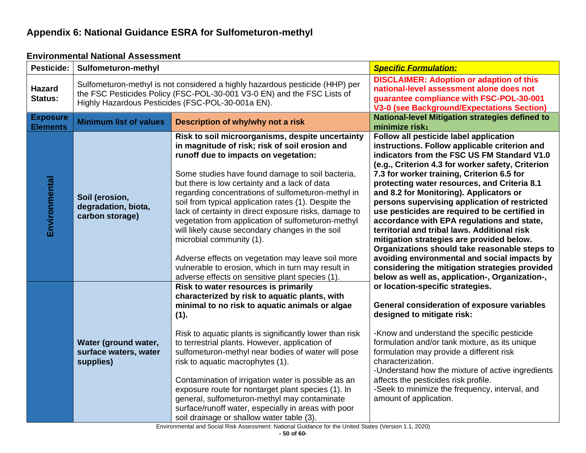## **Appendix 6: National Guidance ESRA for Sulfometuron-methyl**

<span id="page-50-1"></span><span id="page-50-0"></span>

| Pesticide:                         | Sulfometuron-methyl                                                                                                                                                                                          |                                                                                                                                                                                                                                                                                                                                                                                                                                                                                                                                                                                                                                                                                                                           | <b>Specific Formulation:</b>                                                                                                                                                                                                                                                                                                                                                                                                                                                                                                                                                                                                                                                                                                                                                            |
|------------------------------------|--------------------------------------------------------------------------------------------------------------------------------------------------------------------------------------------------------------|---------------------------------------------------------------------------------------------------------------------------------------------------------------------------------------------------------------------------------------------------------------------------------------------------------------------------------------------------------------------------------------------------------------------------------------------------------------------------------------------------------------------------------------------------------------------------------------------------------------------------------------------------------------------------------------------------------------------------|-----------------------------------------------------------------------------------------------------------------------------------------------------------------------------------------------------------------------------------------------------------------------------------------------------------------------------------------------------------------------------------------------------------------------------------------------------------------------------------------------------------------------------------------------------------------------------------------------------------------------------------------------------------------------------------------------------------------------------------------------------------------------------------------|
| <b>Hazard</b><br>Status:           | Sulfometuron-methyl is not considered a highly hazardous pesticide (HHP) per<br>the FSC Pesticides Policy (FSC-POL-30-001 V3-0 EN) and the FSC Lists of<br>Highly Hazardous Pesticides (FSC-POL-30-001a EN). |                                                                                                                                                                                                                                                                                                                                                                                                                                                                                                                                                                                                                                                                                                                           | <b>DISCLAIMER: Adoption or adaption of this</b><br>national-level assessment alone does not<br>guarantee compliance with FSC-POL-30-001<br>V3-0 (see Background/Expectations Section)                                                                                                                                                                                                                                                                                                                                                                                                                                                                                                                                                                                                   |
| <b>Exposure</b><br><b>Elements</b> | <b>Minimum list of values</b>                                                                                                                                                                                | Description of why/why not a risk                                                                                                                                                                                                                                                                                                                                                                                                                                                                                                                                                                                                                                                                                         | <b>National-level Mitigation strategies defined to</b><br>minimize risk <sub>1</sub>                                                                                                                                                                                                                                                                                                                                                                                                                                                                                                                                                                                                                                                                                                    |
| Environmental                      | Soil (erosion,<br>degradation, biota,<br>carbon storage)                                                                                                                                                     | Risk to soil microorganisms, despite uncertainty<br>in magnitude of risk; risk of soil erosion and<br>runoff due to impacts on vegetation:<br>Some studies have found damage to soil bacteria,<br>but there is low certainty and a lack of data<br>regarding concentrations of sulfometuron-methyl in<br>soil from typical application rates (1). Despite the<br>lack of certainty in direct exposure risks, damage to<br>vegetation from application of sulfometuron-methyl<br>will likely cause secondary changes in the soil<br>microbial community (1).<br>Adverse effects on vegetation may leave soil more<br>vulnerable to erosion, which in turn may result in<br>adverse effects on sensitive plant species (1). | Follow all pesticide label application<br>instructions. Follow applicable criterion and<br>indicators from the FSC US FM Standard V1.0<br>(e.g., Criterion 4.3 for worker safety, Criterion<br>7.3 for worker training, Criterion 6.5 for<br>protecting water resources, and Criteria 8.1<br>and 8.2 for Monitoring). Applicators or<br>persons supervising application of restricted<br>use pesticides are required to be certified in<br>accordance with EPA regulations and state,<br>territorial and tribal laws. Additional risk<br>mitigation strategies are provided below.<br>Organizations should take reasonable steps to<br>avoiding environmental and social impacts by<br>considering the mitigation strategies provided<br>below as well as, application-, Organization-, |
|                                    | Water (ground water,<br>surface waters, water<br>supplies)                                                                                                                                                   | Risk to water resources is primarily<br>characterized by risk to aquatic plants, with<br>minimal to no risk to aquatic animals or algae<br>(1).<br>Risk to aquatic plants is significantly lower than risk<br>to terrestrial plants. However, application of<br>sulfometuron-methyl near bodies of water will pose<br>risk to aquatic macrophytes (1).<br>Contamination of irrigation water is possible as an<br>exposure route for nontarget plant species (1). In<br>general, sulfometuron-methyl may contaminate<br>surface/runoff water, especially in areas with poor<br>soil drainage or shallow water table (3).                                                                                                   | or location-specific strategies.<br>General consideration of exposure variables<br>designed to mitigate risk:<br>-Know and understand the specific pesticide<br>formulation and/or tank mixture, as its unique<br>formulation may provide a different risk<br>characterization.<br>-Understand how the mixture of active ingredients<br>affects the pesticides risk profile.<br>-Seek to minimize the frequency, interval, and<br>amount of application.                                                                                                                                                                                                                                                                                                                                |

### **Environmental National Assessment**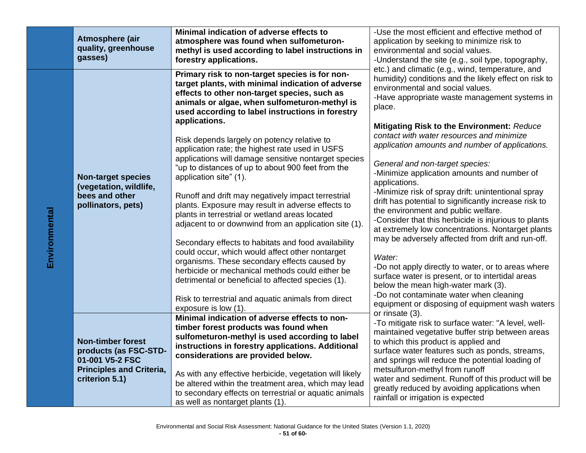|               | Atmosphere (air<br>quality, greenhouse<br>gasses)                                           | Minimal indication of adverse effects to<br>atmosphere was found when sulfometuron-<br>methyl is used according to label instructions in<br>forestry applications.                                                                                                        | -Use the most efficient and effective method of<br>application by seeking to minimize risk to<br>environmental and social values.<br>-Understand the site (e.g., soil type, topography,                                                                                                                              |
|---------------|---------------------------------------------------------------------------------------------|---------------------------------------------------------------------------------------------------------------------------------------------------------------------------------------------------------------------------------------------------------------------------|----------------------------------------------------------------------------------------------------------------------------------------------------------------------------------------------------------------------------------------------------------------------------------------------------------------------|
| Environmental | <b>Non-target species</b><br>(vegetation, wildlife,<br>bees and other<br>pollinators, pets) | Primary risk to non-target species is for non-<br>target plants, with minimal indication of adverse<br>effects to other non-target species, such as<br>animals or algae, when sulfometuron-methyl is<br>used according to label instructions in forestry                  | etc.) and climatic (e.g., wind, temperature, and<br>humidity) conditions and the likely effect on risk to<br>environmental and social values.<br>-Have appropriate waste management systems in<br>place.                                                                                                             |
|               |                                                                                             | applications.<br>Risk depends largely on potency relative to<br>application rate; the highest rate used in USFS<br>applications will damage sensitive nontarget species<br>"up to distances of up to about 900 feet from the<br>application site" (1).                    | Mitigating Risk to the Environment: Reduce<br>contact with water resources and minimize<br>application amounts and number of applications.<br>General and non-target species:<br>-Minimize application amounts and number of<br>applications.                                                                        |
|               |                                                                                             | Runoff and drift may negatively impact terrestrial<br>plants. Exposure may result in adverse effects to<br>plants in terrestrial or wetland areas located<br>adjacent to or downwind from an application site (1).<br>Secondary effects to habitats and food availability | -Minimize risk of spray drift: unintentional spray<br>drift has potential to significantly increase risk to<br>the environment and public welfare.<br>-Consider that this herbicide is injurious to plants<br>at extremely low concentrations. Nontarget plants<br>may be adversely affected from drift and run-off. |
|               |                                                                                             | could occur, which would affect other nontarget<br>organisms. These secondary effects caused by<br>herbicide or mechanical methods could either be<br>detrimental or beneficial to affected species (1).<br>Risk to terrestrial and aquatic animals from direct           | Water:<br>-Do not apply directly to water, or to areas where<br>surface water is present, or to intertidal areas<br>below the mean high-water mark (3).<br>-Do not contaminate water when cleaning                                                                                                                   |
|               |                                                                                             | exposure is low (1).<br>Minimal indication of adverse effects to non-                                                                                                                                                                                                     | equipment or disposing of equipment wash waters<br>or rinsate (3).                                                                                                                                                                                                                                                   |
|               | <b>Non-timber forest</b><br>products (as FSC-STD-<br>01-001 V5-2 FSC                        | timber forest products was found when<br>sulfometuron-methyl is used according to label<br>instructions in forestry applications. Additional<br>considerations are provided below.                                                                                        | -To mitigate risk to surface water: "A level, well-<br>maintained vegetative buffer strip between areas<br>to which this product is applied and<br>surface water features such as ponds, streams,<br>and springs will reduce the potential loading of                                                                |
|               | <b>Principles and Criteria,</b><br>criterion 5.1)                                           | As with any effective herbicide, vegetation will likely<br>be altered within the treatment area, which may lead<br>to secondary effects on terrestrial or aquatic animals<br>as well as nontarget plants (1).                                                             | metsulfuron-methyl from runoff<br>water and sediment. Runoff of this product will be<br>greatly reduced by avoiding applications when<br>rainfall or irrigation is expected                                                                                                                                          |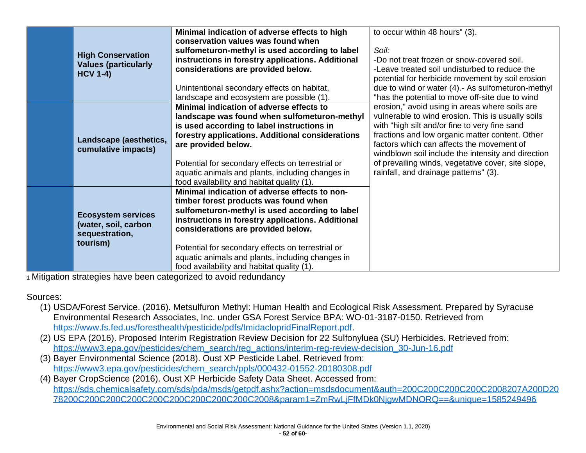|  |                                                                                 | Minimal indication of adverse effects to high     | to occur within 48 hours" (3).                     |
|--|---------------------------------------------------------------------------------|---------------------------------------------------|----------------------------------------------------|
|  |                                                                                 | conservation values was found when                |                                                    |
|  | <b>High Conservation</b>                                                        | sulfometuron-methyl is used according to label    | Soil:                                              |
|  | <b>Values (particularly</b>                                                     | instructions in forestry applications. Additional | -Do not treat frozen or snow-covered soil.         |
|  | <b>HCV 1-4)</b>                                                                 | considerations are provided below.                | -Leave treated soil undisturbed to reduce the      |
|  |                                                                                 |                                                   | potential for herbicide movement by soil erosion   |
|  |                                                                                 | Unintentional secondary effects on habitat,       | due to wind or water (4).- As sulfometuron-methyl  |
|  |                                                                                 | landscape and ecosystem are possible (1).         | "has the potential to move off-site due to wind    |
|  |                                                                                 | Minimal indication of adverse effects to          | erosion," avoid using in areas where soils are     |
|  |                                                                                 | landscape was found when sulfometuron-methyl      | vulnerable to wind erosion. This is usually soils  |
|  |                                                                                 | is used according to label instructions in        | with "high silt and/or fine to very fine sand      |
|  | Landscape (aesthetics,                                                          | forestry applications. Additional considerations  | fractions and low organic matter content. Other    |
|  | cumulative impacts)                                                             | are provided below.                               | factors which can affects the movement of          |
|  |                                                                                 |                                                   | windblown soil include the intensity and direction |
|  |                                                                                 | Potential for secondary effects on terrestrial or | of prevailing winds, vegetative cover, site slope, |
|  |                                                                                 | aquatic animals and plants, including changes in  | rainfall, and drainage patterns" (3).              |
|  |                                                                                 | food availability and habitat quality (1).        |                                                    |
|  |                                                                                 | Minimal indication of adverse effects to non-     |                                                    |
|  |                                                                                 | timber forest products was found when             |                                                    |
|  |                                                                                 | sulfometuron-methyl is used according to label    |                                                    |
|  | <b>Ecosystem services</b><br>(water, soil, carbon<br>sequestration,<br>tourism) | instructions in forestry applications. Additional |                                                    |
|  |                                                                                 | considerations are provided below.                |                                                    |
|  |                                                                                 |                                                   |                                                    |
|  |                                                                                 | Potential for secondary effects on terrestrial or |                                                    |
|  |                                                                                 | aquatic animals and plants, including changes in  |                                                    |
|  |                                                                                 | food availability and habitat quality (1).        |                                                    |

## Sources:

- (1) USDA/Forest Service. (2016). Metsulfuron Methyl: Human Health and Ecological Risk Assessment. Prepared by Syracuse Environmental Research Associates, Inc. under GSA Forest Service BPA: WO-01-3187-0150. Retrieved from [https://www.fs.fed.us/foresthealth/pesticide/pdfs/ImidaclopridFinalReport.pdf.](https://www.fs.fed.us/foresthealth/pesticide/pdfs/ImidaclopridFinalReport.pdf)
- (2) US EPA (2016). Proposed Interim Registration Review Decision for 22 Sulfonyluea (SU) Herbicides. Retrieved from: [https://www3.epa.gov/pesticides/chem\\_search/reg\\_actions/interim-reg-review-decision\\_30-Jun-16.pdf](https://www3.epa.gov/pesticides/chem_search/reg_actions/interim-reg-review-decision_30-Jun-16.pdf)
- (3) Bayer Environmental Science (2018). Oust XP Pesticide Label. Retrieved from: [https://www3.epa.gov/pesticides/chem\\_search/ppls/000432-01552-20180308.pdf](https://www3.epa.gov/pesticides/chem_search/ppls/000432-01552-20180308.pdf)
- (4) Bayer CropScience (2016). Oust XP Herbicide Safety Data Sheet. Accessed from: [https://sds.chemicalsafety.com/sds/pda/msds/getpdf.ashx?action=msdsdocument&auth=200C200C200C200C2008207A200D20](https://sds.chemicalsafety.com/sds/pda/msds/getpdf.ashx?action=msdsdocument&auth=200C200C200C200C2008207A200D2078200C200C200C200C200C200C200C200C200C2008¶m1=ZmRwLjFfMDk0NjgwMDNORQ==&unique=1585249496) [78200C200C200C200C200C200C200C200C200C2008&param1=ZmRwLjFfMDk0NjgwMDNORQ==&unique=1585249496](https://sds.chemicalsafety.com/sds/pda/msds/getpdf.ashx?action=msdsdocument&auth=200C200C200C200C2008207A200D2078200C200C200C200C200C200C200C200C200C2008¶m1=ZmRwLjFfMDk0NjgwMDNORQ==&unique=1585249496)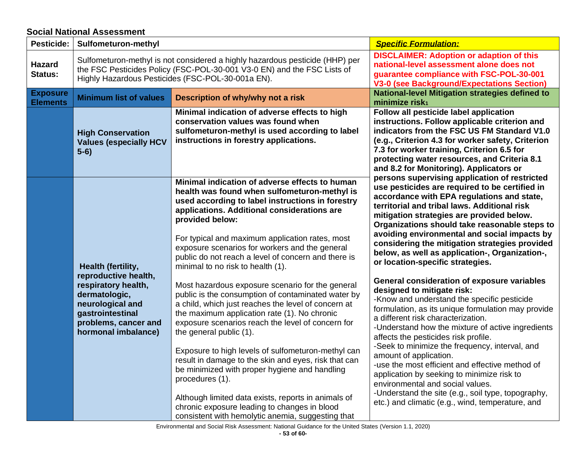### **Social National Assessment**

<span id="page-53-0"></span>

| Pesticide:                         | Sulfometuron-methyl                                                                                                                                                                                          |                                                                                                                                                                                                                                                                                                                                                                                                                                                                                 | <b>Specific Formulation:</b>                                                                                                                                                                                                                                                                                                                                                                                                                                                                                                                                                             |
|------------------------------------|--------------------------------------------------------------------------------------------------------------------------------------------------------------------------------------------------------------|---------------------------------------------------------------------------------------------------------------------------------------------------------------------------------------------------------------------------------------------------------------------------------------------------------------------------------------------------------------------------------------------------------------------------------------------------------------------------------|------------------------------------------------------------------------------------------------------------------------------------------------------------------------------------------------------------------------------------------------------------------------------------------------------------------------------------------------------------------------------------------------------------------------------------------------------------------------------------------------------------------------------------------------------------------------------------------|
| <b>Hazard</b><br>Status:           | Sulfometuron-methyl is not considered a highly hazardous pesticide (HHP) per<br>the FSC Pesticides Policy (FSC-POL-30-001 V3-0 EN) and the FSC Lists of<br>Highly Hazardous Pesticides (FSC-POL-30-001a EN). |                                                                                                                                                                                                                                                                                                                                                                                                                                                                                 | <b>DISCLAIMER: Adoption or adaption of this</b><br>national-level assessment alone does not<br>guarantee compliance with FSC-POL-30-001<br><b>V3-0 (see Background/Expectations Section)</b>                                                                                                                                                                                                                                                                                                                                                                                             |
| <b>Exposure</b><br><b>Elements</b> | <b>Minimum list of values</b>                                                                                                                                                                                | Description of why/why not a risk                                                                                                                                                                                                                                                                                                                                                                                                                                               | <b>National-level Mitigation strategies defined to</b><br>minimize risk <sub>1</sub>                                                                                                                                                                                                                                                                                                                                                                                                                                                                                                     |
|                                    | <b>High Conservation</b><br><b>Values (especially HCV</b><br>$5-6)$                                                                                                                                          | Minimal indication of adverse effects to high<br>conservation values was found when<br>sulfometuron-methyl is used according to label<br>instructions in forestry applications.                                                                                                                                                                                                                                                                                                 | Follow all pesticide label application<br>instructions. Follow applicable criterion and<br>indicators from the FSC US FM Standard V1.0<br>(e.g., Criterion 4.3 for worker safety, Criterion<br>7.3 for worker training, Criterion 6.5 for<br>protecting water resources, and Criteria 8.1<br>and 8.2 for Monitoring). Applicators or                                                                                                                                                                                                                                                     |
|                                    | Health (fertility,                                                                                                                                                                                           | Minimal indication of adverse effects to human<br>health was found when sulfometuron-methyl is<br>used according to label instructions in forestry<br>applications. Additional considerations are<br>provided below:<br>For typical and maximum application rates, most<br>exposure scenarios for workers and the general<br>public do not reach a level of concern and there is<br>minimal to no risk to health (1).                                                           | persons supervising application of restricted<br>use pesticides are required to be certified in<br>accordance with EPA regulations and state,<br>territorial and tribal laws. Additional risk<br>mitigation strategies are provided below.<br>Organizations should take reasonable steps to<br>avoiding environmental and social impacts by<br>considering the mitigation strategies provided<br>below, as well as application-, Organization-,<br>or location-specific strategies.                                                                                                      |
|                                    | reproductive health,<br>respiratory health,<br>dermatologic,<br>neurological and<br>gastrointestinal<br>problems, cancer and<br>hormonal imbalance)                                                          | Most hazardous exposure scenario for the general<br>public is the consumption of contaminated water by<br>a child, which just reaches the level of concern at<br>the maximum application rate (1). No chronic<br>exposure scenarios reach the level of concern for<br>the general public (1).<br>Exposure to high levels of sulfometuron-methyl can<br>result in damage to the skin and eyes, risk that can<br>be minimized with proper hygiene and handling<br>procedures (1). | General consideration of exposure variables<br>designed to mitigate risk:<br>-Know and understand the specific pesticide<br>formulation, as its unique formulation may provide<br>a different risk characterization.<br>-Understand how the mixture of active ingredients<br>affects the pesticides risk profile.<br>-Seek to minimize the frequency, interval, and<br>amount of application.<br>-use the most efficient and effective method of<br>application by seeking to minimize risk to<br>environmental and social values.<br>-Understand the site (e.g., soil type, topography, |
|                                    |                                                                                                                                                                                                              | Although limited data exists, reports in animals of<br>chronic exposure leading to changes in blood<br>consistent with hemolytic anemia, suggesting that                                                                                                                                                                                                                                                                                                                        | etc.) and climatic (e.g., wind, temperature, and                                                                                                                                                                                                                                                                                                                                                                                                                                                                                                                                         |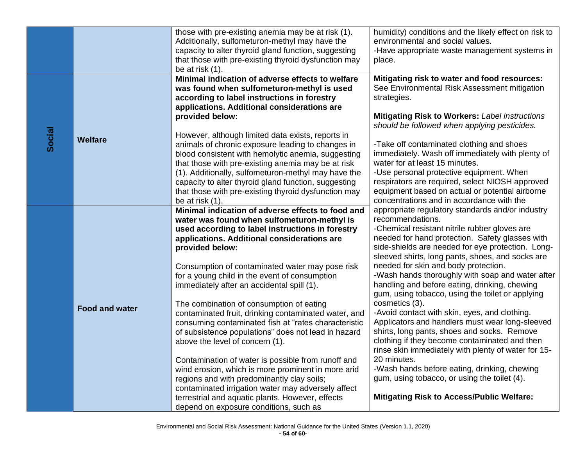|        |                       | those with pre-existing anemia may be at risk (1).<br>Additionally, sulfometuron-methyl may have the<br>capacity to alter thyroid gland function, suggesting<br>that those with pre-existing thyroid dysfunction may<br>be at risk (1).                                                                                                                                                                                                                                                                                                                          | humidity) conditions and the likely effect on risk to<br>environmental and social values.<br>-Have appropriate waste management systems in<br>place.                                                                                                                                                                                                                                                                                                                               |
|--------|-----------------------|------------------------------------------------------------------------------------------------------------------------------------------------------------------------------------------------------------------------------------------------------------------------------------------------------------------------------------------------------------------------------------------------------------------------------------------------------------------------------------------------------------------------------------------------------------------|------------------------------------------------------------------------------------------------------------------------------------------------------------------------------------------------------------------------------------------------------------------------------------------------------------------------------------------------------------------------------------------------------------------------------------------------------------------------------------|
|        |                       | Minimal indication of adverse effects to welfare<br>was found when sulfometuron-methyl is used<br>according to label instructions in forestry<br>applications. Additional considerations are<br>provided below:                                                                                                                                                                                                                                                                                                                                                  | Mitigating risk to water and food resources:<br>See Environmental Risk Assessment mitigation<br>strategies.<br><b>Mitigating Risk to Workers: Label instructions</b><br>should be followed when applying pesticides.                                                                                                                                                                                                                                                               |
| Social | Welfare               | However, although limited data exists, reports in<br>animals of chronic exposure leading to changes in<br>blood consistent with hemolytic anemia, suggesting<br>that those with pre-existing anemia may be at risk<br>(1). Additionally, sulfometuron-methyl may have the<br>capacity to alter thyroid gland function, suggesting<br>that those with pre-existing thyroid dysfunction may<br>be at risk (1).                                                                                                                                                     | -Take off contaminated clothing and shoes<br>immediately. Wash off immediately with plenty of<br>water for at least 15 minutes.<br>-Use personal protective equipment. When<br>respirators are required, select NIOSH approved<br>equipment based on actual or potential airborne<br>concentrations and in accordance with the                                                                                                                                                     |
|        |                       | Minimal indication of adverse effects to food and<br>water was found when sulfometuron-methyl is<br>used according to label instructions in forestry<br>applications. Additional considerations are<br>provided below:<br>Consumption of contaminated water may pose risk<br>for a young child in the event of consumption<br>immediately after an accidental spill (1).                                                                                                                                                                                         | appropriate regulatory standards and/or industry<br>recommendations.<br>-Chemical resistant nitrile rubber gloves are<br>needed for hand protection. Safety glasses with<br>side-shields are needed for eye protection. Long-<br>sleeved shirts, long pants, shoes, and socks are<br>needed for skin and body protection.<br>-Wash hands thoroughly with soap and water after<br>handling and before eating, drinking, chewing<br>gum, using tobacco, using the toilet or applying |
|        | <b>Food and water</b> | The combination of consumption of eating<br>contaminated fruit, drinking contaminated water, and<br>consuming contaminated fish at "rates characteristic<br>of subsistence populations" does not lead in hazard<br>above the level of concern (1).<br>Contamination of water is possible from runoff and<br>wind erosion, which is more prominent in more arid<br>regions and with predominantly clay soils;<br>contaminated irrigation water may adversely affect<br>terrestrial and aquatic plants. However, effects<br>depend on exposure conditions, such as | cosmetics (3).<br>-Avoid contact with skin, eyes, and clothing.<br>Applicators and handlers must wear long-sleeved<br>shirts, long pants, shoes and socks. Remove<br>clothing if they become contaminated and then<br>rinse skin immediately with plenty of water for 15-<br>20 minutes.<br>-Wash hands before eating, drinking, chewing<br>gum, using tobacco, or using the toilet (4).<br><b>Mitigating Risk to Access/Public Welfare:</b>                                       |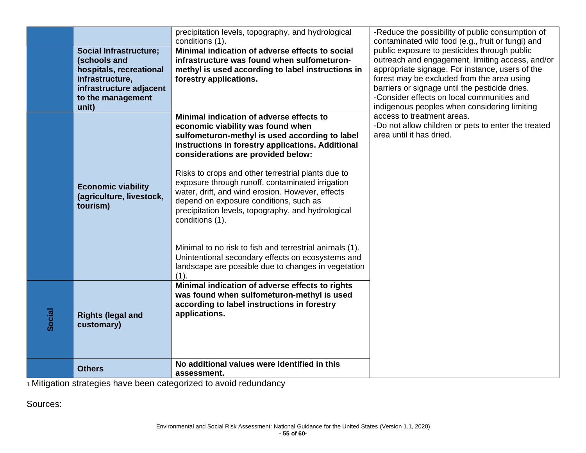|        | <b>Social Infrastructure;</b><br>(schools and<br>hospitals, recreational<br>infrastructure,<br>infrastructure adjacent<br>to the management<br>unit) | precipitation levels, topography, and hydrological<br>conditions (1).<br>Minimal indication of adverse effects to social<br>infrastructure was found when sulfometuron-<br>methyl is used according to label instructions in<br>forestry applications.                                                                                                                                                                                                                                                                                                                                                                                                                                        | -Reduce the possibility of public consumption of<br>contaminated wild food (e.g., fruit or fungi) and<br>public exposure to pesticides through public<br>outreach and engagement, limiting access, and/or<br>appropriate signage. For instance, users of the<br>forest may be excluded from the area using<br>barriers or signage until the pesticide dries.<br>-Consider effects on local communities and<br>indigenous peoples when considering limiting |
|--------|------------------------------------------------------------------------------------------------------------------------------------------------------|-----------------------------------------------------------------------------------------------------------------------------------------------------------------------------------------------------------------------------------------------------------------------------------------------------------------------------------------------------------------------------------------------------------------------------------------------------------------------------------------------------------------------------------------------------------------------------------------------------------------------------------------------------------------------------------------------|------------------------------------------------------------------------------------------------------------------------------------------------------------------------------------------------------------------------------------------------------------------------------------------------------------------------------------------------------------------------------------------------------------------------------------------------------------|
|        | <b>Economic viability</b><br>(agriculture, livestock,<br>tourism)                                                                                    | Minimal indication of adverse effects to<br>economic viability was found when<br>sulfometuron-methyl is used according to label<br>instructions in forestry applications. Additional<br>considerations are provided below:<br>Risks to crops and other terrestrial plants due to<br>exposure through runoff, contaminated irrigation<br>water, drift, and wind erosion. However, effects<br>depend on exposure conditions, such as<br>precipitation levels, topography, and hydrological<br>conditions (1).<br>Minimal to no risk to fish and terrestrial animals (1).<br>Unintentional secondary effects on ecosystems and<br>landscape are possible due to changes in vegetation<br>$(1)$ . | access to treatment areas.<br>-Do not allow children or pets to enter the treated<br>area until it has dried.                                                                                                                                                                                                                                                                                                                                              |
| Social | <b>Rights (legal and</b><br>customary)                                                                                                               | Minimal indication of adverse effects to rights<br>was found when sulfometuron-methyl is used<br>according to label instructions in forestry<br>applications.                                                                                                                                                                                                                                                                                                                                                                                                                                                                                                                                 |                                                                                                                                                                                                                                                                                                                                                                                                                                                            |
|        | <b>Others</b>                                                                                                                                        | No additional values were identified in this<br>assessment.                                                                                                                                                                                                                                                                                                                                                                                                                                                                                                                                                                                                                                   |                                                                                                                                                                                                                                                                                                                                                                                                                                                            |

Sources: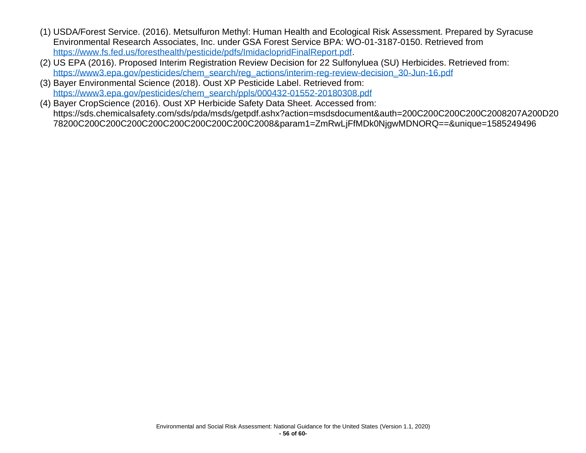- (1) USDA/Forest Service. (2016). Metsulfuron Methyl: Human Health and Ecological Risk Assessment. Prepared by Syracuse Environmental Research Associates, Inc. under GSA Forest Service BPA: WO-01-3187-0150. Retrieved from [https://www.fs.fed.us/foresthealth/pesticide/pdfs/ImidaclopridFinalReport.pdf.](https://www.fs.fed.us/foresthealth/pesticide/pdfs/ImidaclopridFinalReport.pdf)
- (2) US EPA (2016). Proposed Interim Registration Review Decision for 22 Sulfonyluea (SU) Herbicides. Retrieved from: [https://www3.epa.gov/pesticides/chem\\_search/reg\\_actions/interim-reg-review-decision\\_30-Jun-16.pdf](https://www3.epa.gov/pesticides/chem_search/reg_actions/interim-reg-review-decision_30-Jun-16.pdf)
- (3) Bayer Environmental Science (2018). Oust XP Pesticide Label. Retrieved from: [https://www3.epa.gov/pesticides/chem\\_search/ppls/000432-01552-20180308.pdf](https://www3.epa.gov/pesticides/chem_search/ppls/000432-01552-20180308.pdf)
- (4) Bayer CropScience (2016). Oust XP Herbicide Safety Data Sheet. Accessed from: https://sds.chemicalsafety.com/sds/pda/msds/getpdf.ashx?action=msdsdocument&auth=200C200C200C200C2008207A200D20 78200C200C200C200C200C200C200C200C200C2008&param1=ZmRwLjFfMDk0NjgwMDNORQ==&unique=1585249496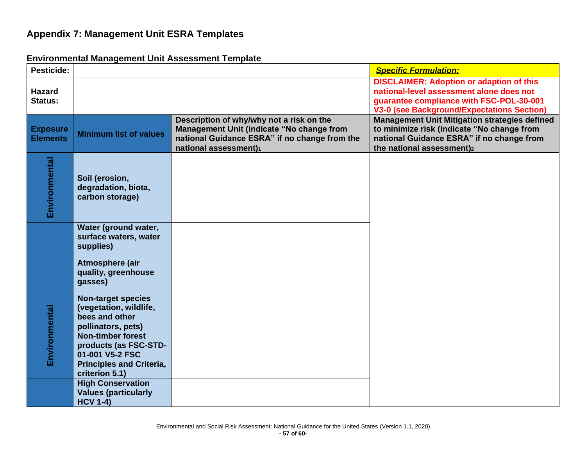## **Appendix 7: Management Unit ESRA Templates**

<span id="page-57-1"></span><span id="page-57-0"></span>

| <b>Pesticide:</b>                  |                                                                                                                    |                                                                                                                                                                 | <b>Specific Formulation:</b>                                                                                                                                                                 |
|------------------------------------|--------------------------------------------------------------------------------------------------------------------|-----------------------------------------------------------------------------------------------------------------------------------------------------------------|----------------------------------------------------------------------------------------------------------------------------------------------------------------------------------------------|
| <b>Hazard</b><br><b>Status:</b>    |                                                                                                                    |                                                                                                                                                                 | <b>DISCLAIMER: Adoption or adaption of this</b><br>national-level assessment alone does not<br>guarantee compliance with FSC-POL-30-001<br><b>V3-0 (see Background/Expectations Section)</b> |
| <b>Exposure</b><br><b>Elements</b> | <b>Minimum list of values</b>                                                                                      | Description of why/why not a risk on the<br>Management Unit (indicate "No change from<br>national Guidance ESRA" if no change from the<br>national assessment)1 | <b>Management Unit Mitigation strategies defined</b><br>to minimize risk (indicate "No change from<br>national Guidance ESRA" if no change from<br>the national assessment)2                 |
| Environmental                      | Soil (erosion,<br>degradation, biota,<br>carbon storage)                                                           |                                                                                                                                                                 |                                                                                                                                                                                              |
|                                    | Water (ground water,<br>surface waters, water<br>supplies)                                                         |                                                                                                                                                                 |                                                                                                                                                                                              |
|                                    | Atmosphere (air<br>quality, greenhouse<br>gasses)                                                                  |                                                                                                                                                                 |                                                                                                                                                                                              |
| Environmental                      | <b>Non-target species</b><br>(vegetation, wildlife,<br>bees and other<br>pollinators, pets)                        |                                                                                                                                                                 |                                                                                                                                                                                              |
|                                    | Non-timber forest<br>products (as FSC-STD-<br>01-001 V5-2 FSC<br><b>Principles and Criteria,</b><br>criterion 5.1) |                                                                                                                                                                 |                                                                                                                                                                                              |
|                                    | <b>High Conservation</b><br><b>Values (particularly</b><br><b>HCV 1-4)</b>                                         |                                                                                                                                                                 |                                                                                                                                                                                              |

## **Environmental Management Unit Assessment Template**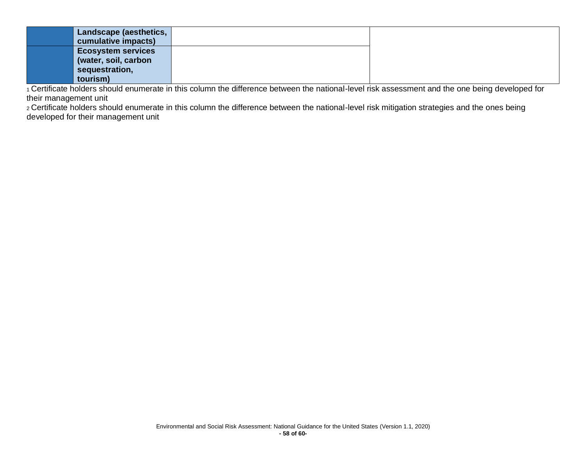| Landscape (aesthetics,    |  |
|---------------------------|--|
| cumulative impacts)       |  |
| <b>Ecosystem services</b> |  |
| (water, soil, carbon      |  |
| sequestration,            |  |
| tourism)                  |  |

<sup>1</sup> Certificate holders should enumerate in this column the difference between the national-level risk assessment and the one being developed for their management unit

2 Certificate holders should enumerate in this column the difference between the national-level risk mitigation strategies and the ones being developed for their management unit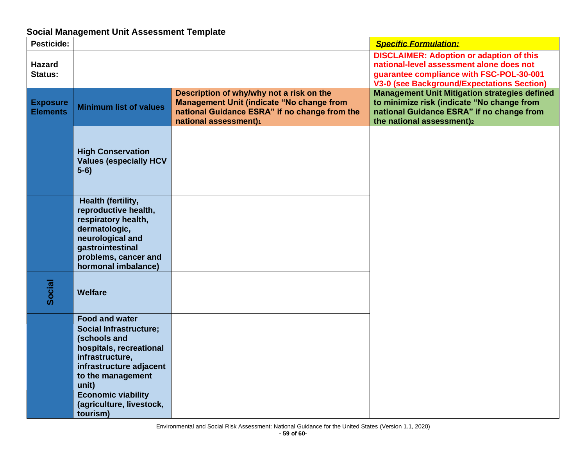## **Social Management Unit Assessment Template**

<span id="page-59-0"></span>

| Pesticide:                         |                                                                                                                                                                           |                                                                                                                                                                        | <b>Specific Formulation:</b>                                                                                                                                                                 |
|------------------------------------|---------------------------------------------------------------------------------------------------------------------------------------------------------------------------|------------------------------------------------------------------------------------------------------------------------------------------------------------------------|----------------------------------------------------------------------------------------------------------------------------------------------------------------------------------------------|
| <b>Hazard</b><br>Status:           |                                                                                                                                                                           |                                                                                                                                                                        | <b>DISCLAIMER: Adoption or adaption of this</b><br>national-level assessment alone does not<br>guarantee compliance with FSC-POL-30-001<br><b>V3-0 (see Background/Expectations Section)</b> |
| <b>Exposure</b><br><b>Elements</b> | <b>Minimum list of values</b>                                                                                                                                             | Description of why/why not a risk on the<br><b>Management Unit (indicate "No change from</b><br>national Guidance ESRA" if no change from the<br>national assessment)1 | <b>Management Unit Mitigation strategies defined</b><br>to minimize risk (indicate "No change from<br>national Guidance ESRA" if no change from<br>the national assessment)2                 |
|                                    | <b>High Conservation</b><br><b>Values (especially HCV</b><br>$5-6)$                                                                                                       |                                                                                                                                                                        |                                                                                                                                                                                              |
|                                    | Health (fertility,<br>reproductive health,<br>respiratory health,<br>dermatologic,<br>neurological and<br>gastrointestinal<br>problems, cancer and<br>hormonal imbalance) |                                                                                                                                                                        |                                                                                                                                                                                              |
| Social                             | Welfare                                                                                                                                                                   |                                                                                                                                                                        |                                                                                                                                                                                              |
|                                    | <b>Food and water</b>                                                                                                                                                     |                                                                                                                                                                        |                                                                                                                                                                                              |
|                                    | <b>Social Infrastructure;</b><br>(schools and<br>hospitals, recreational<br>infrastructure,<br>infrastructure adjacent<br>to the management<br>unit)                      |                                                                                                                                                                        |                                                                                                                                                                                              |
|                                    | <b>Economic viability</b><br>(agriculture, livestock,<br>tourism)                                                                                                         |                                                                                                                                                                        |                                                                                                                                                                                              |